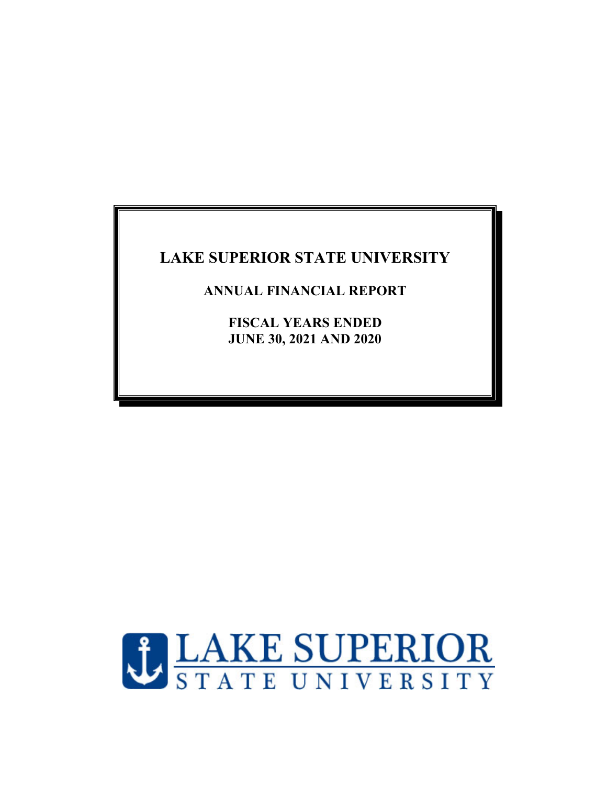**ANNUAL FINANCIAL REPORT** 

**FISCAL YEARS ENDED JUNE 30, 2021 AND 2020** 

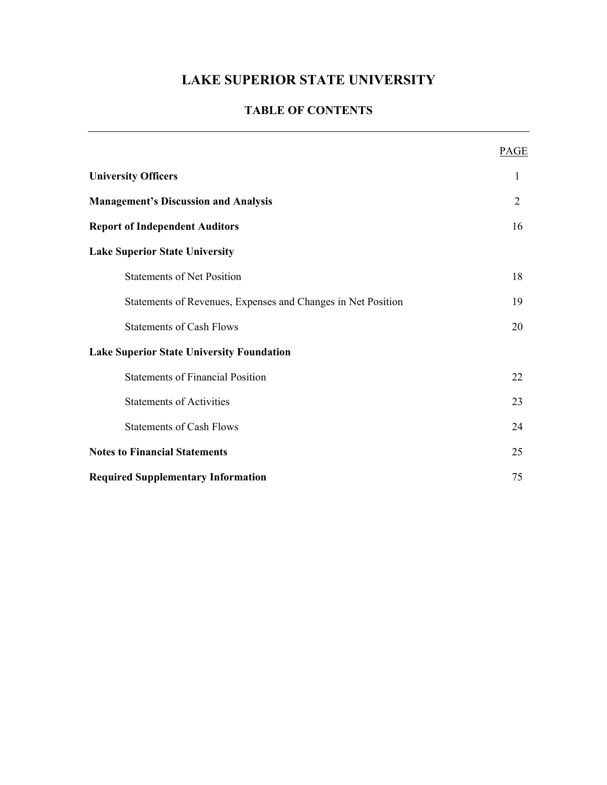## **TABLE OF CONTENTS**

|                                                              | PAGE           |
|--------------------------------------------------------------|----------------|
| <b>University Officers</b>                                   | 1              |
| <b>Management's Discussion and Analysis</b>                  | $\overline{2}$ |
| <b>Report of Independent Auditors</b>                        | 16             |
| <b>Lake Superior State University</b>                        |                |
| <b>Statements of Net Position</b>                            | 18             |
| Statements of Revenues, Expenses and Changes in Net Position | 19             |
| <b>Statements of Cash Flows</b>                              | 20             |
| <b>Lake Superior State University Foundation</b>             |                |
| <b>Statements of Financial Position</b>                      | 22             |
| <b>Statements of Activities</b>                              | 23             |
| <b>Statements of Cash Flows</b>                              | 24             |
| <b>Notes to Financial Statements</b>                         | 25             |
| <b>Required Supplementary Information</b>                    | 75             |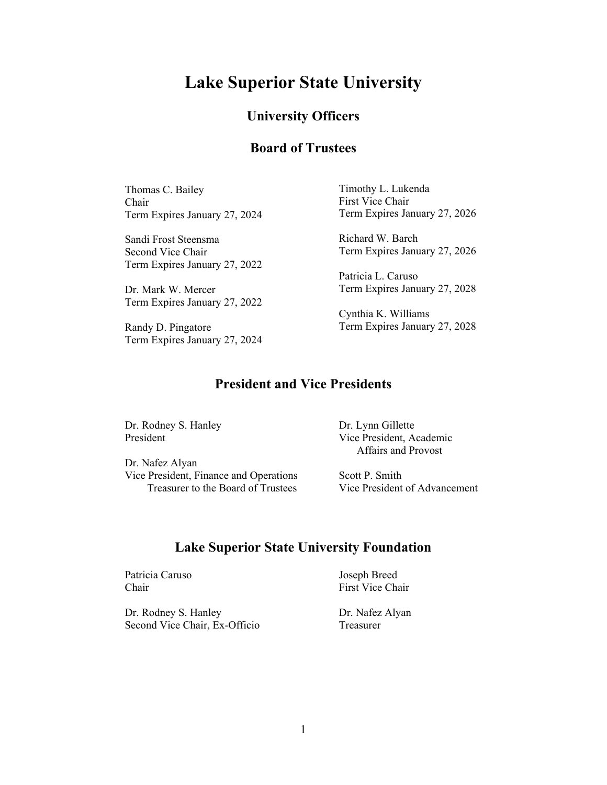# **Lake Superior State University**

## **University Officers**

## **Board of Trustees**

Thomas C. Bailey Chair Term Expires January 27, 2024

Sandi Frost Steensma Second Vice Chair Term Expires January 27, 2022

Dr. Mark W. Mercer Term Expires January 27, 2022

Randy D. Pingatore Term Expires January 27, 2024 Timothy L. Lukenda First Vice Chair Term Expires January 27, 2026

Richard W. Barch Term Expires January 27, 2026

Patricia L. Caruso Term Expires January 27, 2028

Cynthia K. Williams Term Expires January 27, 2028

## **President and Vice Presidents**

Dr. Rodney S. Hanley President

Dr. Nafez Alyan Vice President, Finance and Operations Treasurer to the Board of Trustees Dr. Lynn Gillette Vice President, Academic Affairs and Provost

Scott P. Smith Vice President of Advancement

# **Lake Superior State University Foundation**

Patricia Caruso Joseph Breed Chair First Vice Chair

Dr. Rodney S. Hanley Dr. Nafez Alyan Second Vice Chair, Ex-Officio Treasurer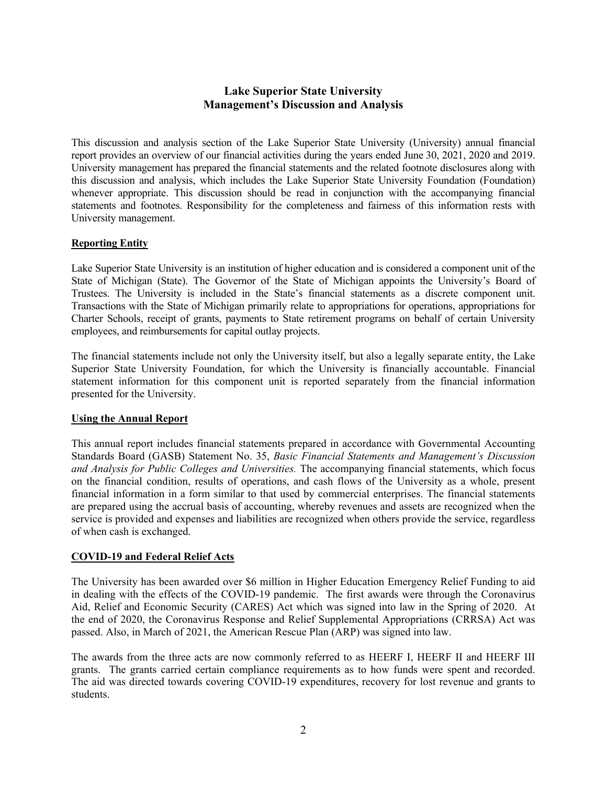### **Lake Superior State University Management's Discussion and Analysis**

This discussion and analysis section of the Lake Superior State University (University) annual financial report provides an overview of our financial activities during the years ended June 30, 2021, 2020 and 2019. University management has prepared the financial statements and the related footnote disclosures along with this discussion and analysis, which includes the Lake Superior State University Foundation (Foundation) whenever appropriate. This discussion should be read in conjunction with the accompanying financial statements and footnotes. Responsibility for the completeness and fairness of this information rests with University management.

### **Reporting Entity**

Lake Superior State University is an institution of higher education and is considered a component unit of the State of Michigan (State). The Governor of the State of Michigan appoints the University's Board of Trustees. The University is included in the State's financial statements as a discrete component unit. Transactions with the State of Michigan primarily relate to appropriations for operations, appropriations for Charter Schools, receipt of grants, payments to State retirement programs on behalf of certain University employees, and reimbursements for capital outlay projects.

The financial statements include not only the University itself, but also a legally separate entity, the Lake Superior State University Foundation, for which the University is financially accountable. Financial statement information for this component unit is reported separately from the financial information presented for the University.

#### **Using the Annual Report**

This annual report includes financial statements prepared in accordance with Governmental Accounting Standards Board (GASB) Statement No. 35, *Basic Financial Statements and Management's Discussion and Analysis for Public Colleges and Universities.* The accompanying financial statements, which focus on the financial condition, results of operations, and cash flows of the University as a whole, present financial information in a form similar to that used by commercial enterprises. The financial statements are prepared using the accrual basis of accounting, whereby revenues and assets are recognized when the service is provided and expenses and liabilities are recognized when others provide the service, regardless of when cash is exchanged.

#### **COVID-19 and Federal Relief Acts**

The University has been awarded over \$6 million in Higher Education Emergency Relief Funding to aid in dealing with the effects of the COVID-19 pandemic. The first awards were through the Coronavirus Aid, Relief and Economic Security (CARES) Act which was signed into law in the Spring of 2020. At the end of 2020, the Coronavirus Response and Relief Supplemental Appropriations (CRRSA) Act was passed. Also, in March of 2021, the American Rescue Plan (ARP) was signed into law.

The awards from the three acts are now commonly referred to as HEERF I, HEERF II and HEERF III grants. The grants carried certain compliance requirements as to how funds were spent and recorded. The aid was directed towards covering COVID-19 expenditures, recovery for lost revenue and grants to students.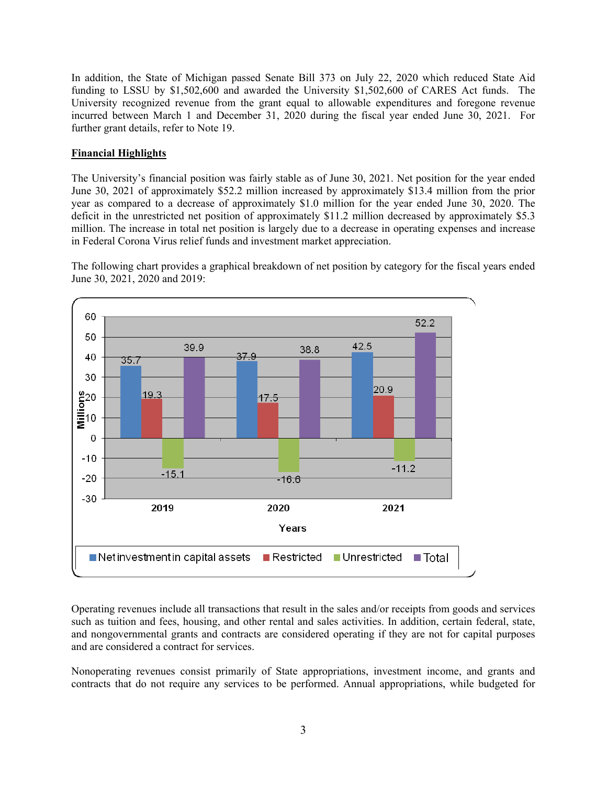In addition, the State of Michigan passed Senate Bill 373 on July 22, 2020 which reduced State Aid funding to LSSU by \$1,502,600 and awarded the University \$1,502,600 of CARES Act funds. The University recognized revenue from the grant equal to allowable expenditures and foregone revenue incurred between March 1 and December 31, 2020 during the fiscal year ended June 30, 2021. For further grant details, refer to Note 19.

#### **Financial Highlights**

The University's financial position was fairly stable as of June 30, 2021. Net position for the year ended June 30, 2021 of approximately \$52.2 million increased by approximately \$13.4 million from the prior year as compared to a decrease of approximately \$1.0 million for the year ended June 30, 2020. The deficit in the unrestricted net position of approximately \$11.2 million decreased by approximately \$5.3 million. The increase in total net position is largely due to a decrease in operating expenses and increase in Federal Corona Virus relief funds and investment market appreciation.

The following chart provides a graphical breakdown of net position by category for the fiscal years ended June 30, 2021, 2020 and 2019:



Operating revenues include all transactions that result in the sales and/or receipts from goods and services such as tuition and fees, housing, and other rental and sales activities. In addition, certain federal, state, and nongovernmental grants and contracts are considered operating if they are not for capital purposes and are considered a contract for services.

Nonoperating revenues consist primarily of State appropriations, investment income, and grants and contracts that do not require any services to be performed. Annual appropriations, while budgeted for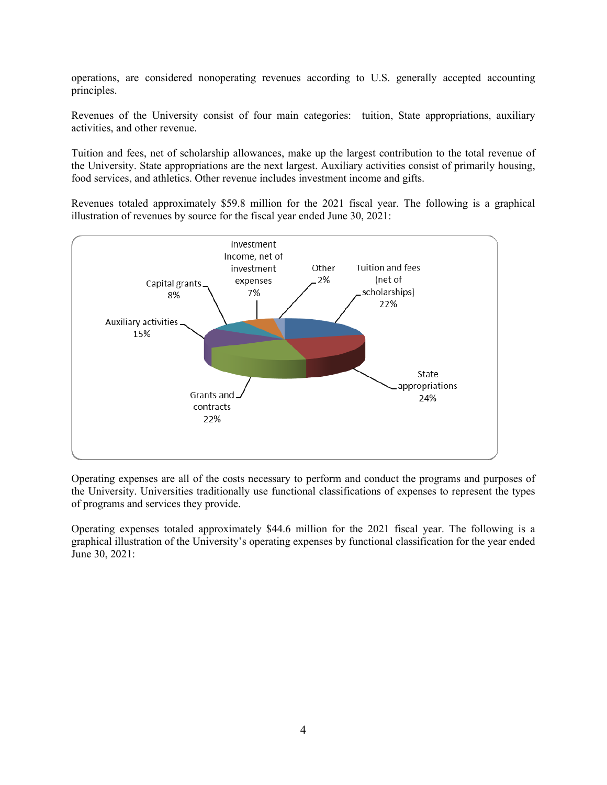operations, are considered nonoperating revenues according to U.S. generally accepted accounting principles.

Revenues of the University consist of four main categories: tuition, State appropriations, auxiliary activities, and other revenue.

Tuition and fees, net of scholarship allowances, make up the largest contribution to the total revenue of the University. State appropriations are the next largest. Auxiliary activities consist of primarily housing, food services, and athletics. Other revenue includes investment income and gifts.

Revenues totaled approximately \$59.8 million for the 2021 fiscal year. The following is a graphical illustration of revenues by source for the fiscal year ended June 30, 2021:



Operating expenses are all of the costs necessary to perform and conduct the programs and purposes of the University. Universities traditionally use functional classifications of expenses to represent the types of programs and services they provide.

Operating expenses totaled approximately \$44.6 million for the 2021 fiscal year. The following is a graphical illustration of the University's operating expenses by functional classification for the year ended June 30, 2021: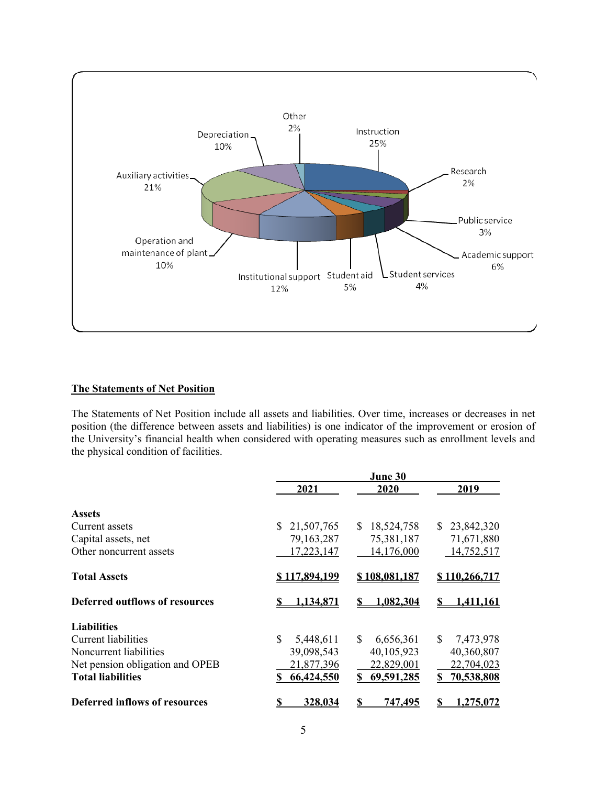

#### **The Statements of Net Position**

The Statements of Net Position include all assets and liabilities. Over time, increases or decreases in net position (the difference between assets and liabilities) is one indicator of the improvement or erosion of the University's financial health when considered with operating measures such as enrollment levels and the physical condition of facilities.

|                                       |                      | June 30              |                      |
|---------------------------------------|----------------------|----------------------|----------------------|
|                                       | 2021                 | 2020                 | 2019                 |
| <b>Assets</b>                         |                      |                      |                      |
| Current assets                        | 21,507,765<br>S.     | 18,524,758<br>S.     | 23,842,320<br>S.     |
| Capital assets, net                   | 79, 163, 287         | 75,381,187           | 71,671,880           |
| Other noncurrent assets               | 17,223,147           | 14,176,000           | 14,752,517           |
| <b>Total Assets</b>                   | <u>\$117,894,199</u> | <u>\$108,081,187</u> | <u>\$110,266,717</u> |
| <b>Deferred outflows of resources</b> | 134.871              | 1,082,304            | 1.411.161            |
| <b>Liabilities</b>                    |                      |                      |                      |
| Current liabilities                   | \$<br>5,448,611      | \$.<br>6,656,361     | \$.<br>7,473,978     |
| Noncurrent liabilities                | 39,098,543           | 40,105,923           | 40,360,807           |
| Net pension obligation and OPEB       | 21,877,396           | 22,829,001           | 22,704,023           |
| <b>Total liabilities</b>              | 66,424,550           | 69,591,285<br>S.     | 70,538,808<br>S      |
| Deferred inflows of resources         | <u>328.034</u>       | 747.495              | .275.072             |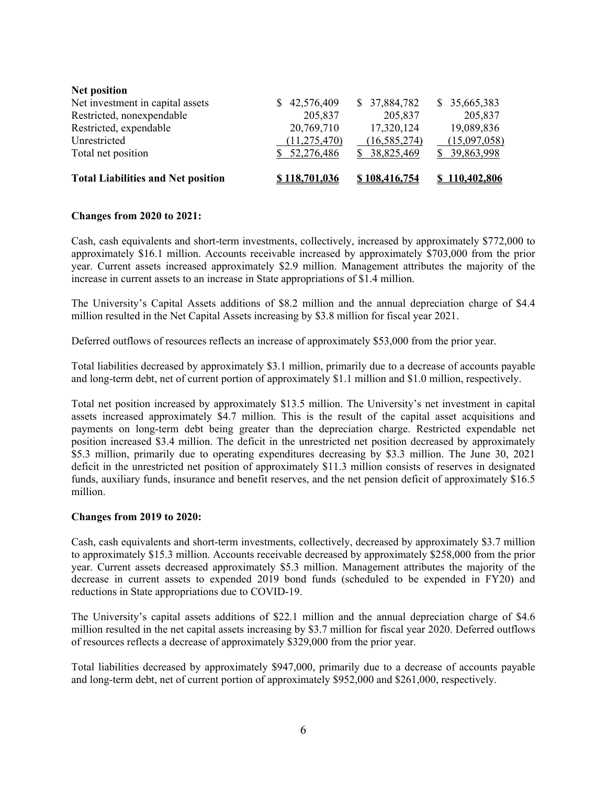| <b>Net position</b>                       |                |               |               |
|-------------------------------------------|----------------|---------------|---------------|
| Net investment in capital assets          | 42,576,409     | \$37,884,782  | \$35,665,383  |
| Restricted, nonexpendable                 | 205,837        | 205,837       | 205,837       |
| Restricted, expendable                    | 20,769,710     | 17,320,124    | 19,089,836    |
| Unrestricted                              | (11, 275, 470) | (16,585,274)  | (15,097,058)  |
| Total net position                        | \$52,276,486   | 38,825,469    | \$39,863,998  |
| <b>Total Liabilities and Net position</b> | \$118,701,036  | \$108,416,754 | \$110,402,806 |

#### **Changes from 2020 to 2021:**

Cash, cash equivalents and short-term investments, collectively, increased by approximately \$772,000 to approximately \$16.1 million. Accounts receivable increased by approximately \$703,000 from the prior year. Current assets increased approximately \$2.9 million. Management attributes the majority of the increase in current assets to an increase in State appropriations of \$1.4 million.

The University's Capital Assets additions of \$8.2 million and the annual depreciation charge of \$4.4 million resulted in the Net Capital Assets increasing by \$3.8 million for fiscal year 2021.

Deferred outflows of resources reflects an increase of approximately \$53,000 from the prior year.

Total liabilities decreased by approximately \$3.1 million, primarily due to a decrease of accounts payable and long-term debt, net of current portion of approximately \$1.1 million and \$1.0 million, respectively.

Total net position increased by approximately \$13.5 million. The University's net investment in capital assets increased approximately \$4.7 million. This is the result of the capital asset acquisitions and payments on long-term debt being greater than the depreciation charge. Restricted expendable net position increased \$3.4 million. The deficit in the unrestricted net position decreased by approximately \$5.3 million, primarily due to operating expenditures decreasing by \$3.3 million. The June 30, 2021 deficit in the unrestricted net position of approximately \$11.3 million consists of reserves in designated funds, auxiliary funds, insurance and benefit reserves, and the net pension deficit of approximately \$16.5 million.

#### **Changes from 2019 to 2020:**

Cash, cash equivalents and short-term investments, collectively, decreased by approximately \$3.7 million to approximately \$15.3 million. Accounts receivable decreased by approximately \$258,000 from the prior year. Current assets decreased approximately \$5.3 million. Management attributes the majority of the decrease in current assets to expended 2019 bond funds (scheduled to be expended in FY20) and reductions in State appropriations due to COVID-19.

The University's capital assets additions of \$22.1 million and the annual depreciation charge of \$4.6 million resulted in the net capital assets increasing by \$3.7 million for fiscal year 2020. Deferred outflows of resources reflects a decrease of approximately \$329,000 from the prior year.

Total liabilities decreased by approximately \$947,000, primarily due to a decrease of accounts payable and long-term debt, net of current portion of approximately \$952,000 and \$261,000, respectively.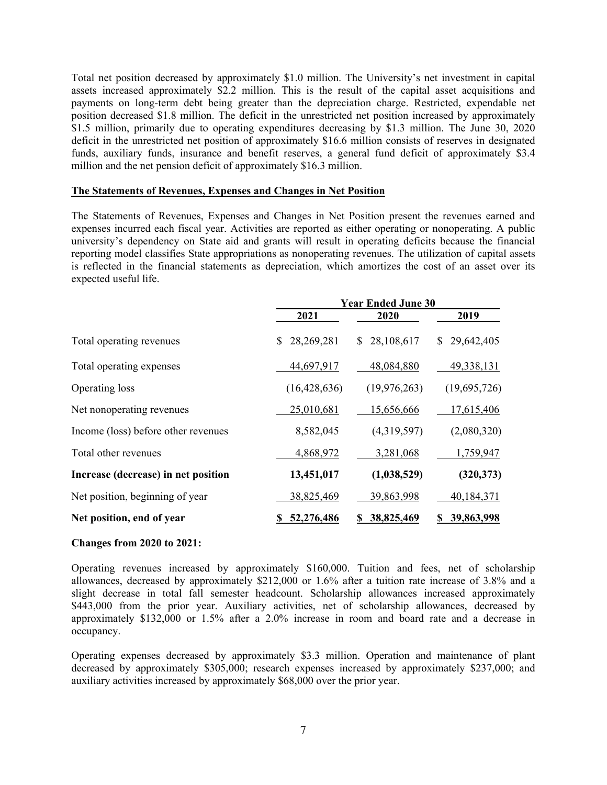Total net position decreased by approximately \$1.0 million. The University's net investment in capital assets increased approximately \$2.2 million. This is the result of the capital asset acquisitions and payments on long-term debt being greater than the depreciation charge. Restricted, expendable net position decreased \$1.8 million. The deficit in the unrestricted net position increased by approximately \$1.5 million, primarily due to operating expenditures decreasing by \$1.3 million. The June 30, 2020 deficit in the unrestricted net position of approximately \$16.6 million consists of reserves in designated funds, auxiliary funds, insurance and benefit reserves, a general fund deficit of approximately \$3.4 million and the net pension deficit of approximately \$16.3 million.

#### **The Statements of Revenues, Expenses and Changes in Net Position**

The Statements of Revenues, Expenses and Changes in Net Position present the revenues earned and expenses incurred each fiscal year. Activities are reported as either operating or nonoperating. A public university's dependency on State aid and grants will result in operating deficits because the financial reporting model classifies State appropriations as nonoperating revenues. The utilization of capital assets is reflected in the financial statements as depreciation, which amortizes the cost of an asset over its expected useful life.

|                                     | <b>Year Ended June 30</b> |                  |                   |
|-------------------------------------|---------------------------|------------------|-------------------|
|                                     | 2021                      | <b>2020</b>      | 2019              |
| Total operating revenues            | 28,269,281<br>S.          | 28,108,617<br>S. | 29,642,405<br>S.  |
| Total operating expenses            | 44,697,917                | 48,084,880       | 49,338,131        |
| Operating loss                      | (16, 428, 636)            | (19, 976, 263)   | (19,695,726)      |
| Net nonoperating revenues           | 25,010,681                | 15,656,666       | 17,615,406        |
| Income (loss) before other revenues | 8,582,045                 | (4,319,597)      | (2,080,320)       |
| Total other revenues                | 4,868,972                 | 3,281,068        | 1,759,947         |
| Increase (decrease) in net position | 13,451,017                | (1,038,529)      | (320, 373)        |
| Net position, beginning of year     | 38,825,469                | 39,863,998       | 40,184,371        |
| Net position, end of year           | 52,276,486                | 38,825,469       | <u>39,863,998</u> |

#### **Changes from 2020 to 2021:**

Operating revenues increased by approximately \$160,000. Tuition and fees, net of scholarship allowances, decreased by approximately \$212,000 or 1.6% after a tuition rate increase of 3.8% and a slight decrease in total fall semester headcount. Scholarship allowances increased approximately \$443,000 from the prior year. Auxiliary activities, net of scholarship allowances, decreased by approximately \$132,000 or 1.5% after a 2.0% increase in room and board rate and a decrease in occupancy.

Operating expenses decreased by approximately \$3.3 million. Operation and maintenance of plant decreased by approximately \$305,000; research expenses increased by approximately \$237,000; and auxiliary activities increased by approximately \$68,000 over the prior year.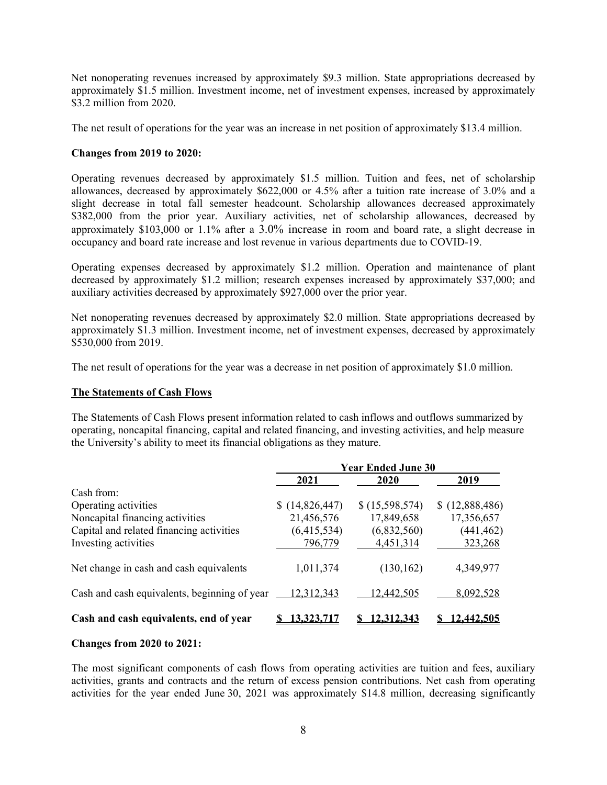Net nonoperating revenues increased by approximately \$9.3 million. State appropriations decreased by approximately \$1.5 million. Investment income, net of investment expenses, increased by approximately \$3.2 million from 2020.

The net result of operations for the year was an increase in net position of approximately \$13.4 million.

#### **Changes from 2019 to 2020:**

Operating revenues decreased by approximately \$1.5 million. Tuition and fees, net of scholarship allowances, decreased by approximately \$622,000 or 4.5% after a tuition rate increase of 3.0% and a slight decrease in total fall semester headcount. Scholarship allowances decreased approximately \$382,000 from the prior year. Auxiliary activities, net of scholarship allowances, decreased by approximately \$103,000 or 1.1% after a 3.0% increase in room and board rate, a slight decrease in occupancy and board rate increase and lost revenue in various departments due to COVID-19.

Operating expenses decreased by approximately \$1.2 million. Operation and maintenance of plant decreased by approximately \$1.2 million; research expenses increased by approximately \$37,000; and auxiliary activities decreased by approximately \$927,000 over the prior year.

Net nonoperating revenues decreased by approximately \$2.0 million. State appropriations decreased by approximately \$1.3 million. Investment income, net of investment expenses, decreased by approximately \$530,000 from 2019.

The net result of operations for the year was a decrease in net position of approximately \$1.0 million.

#### **The Statements of Cash Flows**

The Statements of Cash Flows present information related to cash inflows and outflows summarized by operating, noncapital financing, capital and related financing, and investing activities, and help measure the University's ability to meet its financial obligations as they mature.

|                                              |                | <b>Year Ended June 30</b> |                |
|----------------------------------------------|----------------|---------------------------|----------------|
|                                              | 2021           | 2020                      | 2019           |
| Cash from:                                   |                |                           |                |
| Operating activities                         | \$(14,826,447) | \$(15,598,574)            | \$(12,888,486) |
| Noncapital financing activities              | 21,456,576     | 17,849,658                | 17,356,657     |
| Capital and related financing activities     | (6,415,534)    | (6,832,560)               | (441, 462)     |
| Investing activities                         | 796,779        | 4,451,314                 | 323,268        |
| Net change in cash and cash equivalents      | 1,011,374      | (130, 162)                | 4,349,977      |
| Cash and cash equivalents, beginning of year | 12,312,343     | 12,442,505                | 8,092,528      |
| Cash and cash equivalents, end of year       | 3.325.         | 12.312.343                | 2.442.505      |

#### **Changes from 2020 to 2021:**

The most significant components of cash flows from operating activities are tuition and fees, auxiliary activities, grants and contracts and the return of excess pension contributions. Net cash from operating activities for the year ended June 30, 2021 was approximately \$14.8 million, decreasing significantly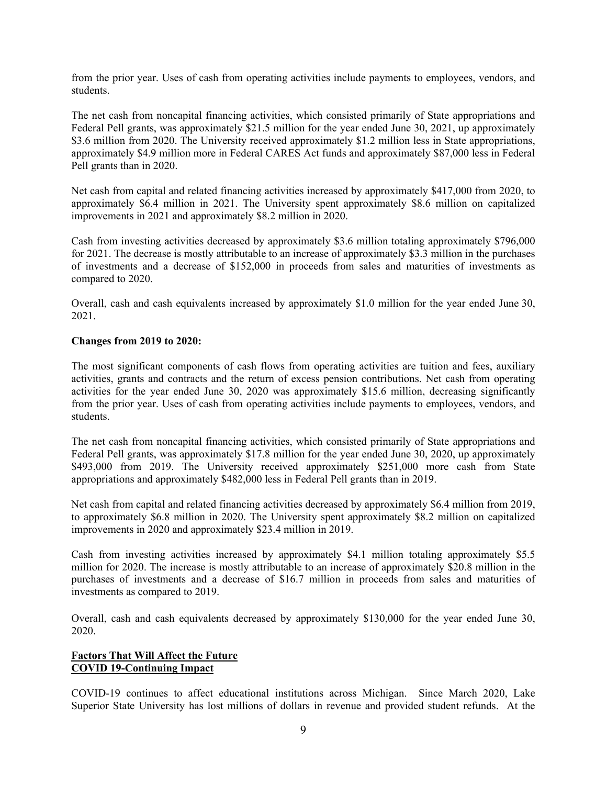from the prior year. Uses of cash from operating activities include payments to employees, vendors, and students.

The net cash from noncapital financing activities, which consisted primarily of State appropriations and Federal Pell grants, was approximately \$21.5 million for the year ended June 30, 2021, up approximately \$3.6 million from 2020. The University received approximately \$1.2 million less in State appropriations, approximately \$4.9 million more in Federal CARES Act funds and approximately \$87,000 less in Federal Pell grants than in 2020.

Net cash from capital and related financing activities increased by approximately \$417,000 from 2020, to approximately \$6.4 million in 2021. The University spent approximately \$8.6 million on capitalized improvements in 2021 and approximately \$8.2 million in 2020.

Cash from investing activities decreased by approximately \$3.6 million totaling approximately \$796,000 for 2021. The decrease is mostly attributable to an increase of approximately \$3.3 million in the purchases of investments and a decrease of \$152,000 in proceeds from sales and maturities of investments as compared to 2020.

Overall, cash and cash equivalents increased by approximately \$1.0 million for the year ended June 30, 2021.

#### **Changes from 2019 to 2020:**

The most significant components of cash flows from operating activities are tuition and fees, auxiliary activities, grants and contracts and the return of excess pension contributions. Net cash from operating activities for the year ended June 30, 2020 was approximately \$15.6 million, decreasing significantly from the prior year. Uses of cash from operating activities include payments to employees, vendors, and students.

The net cash from noncapital financing activities, which consisted primarily of State appropriations and Federal Pell grants, was approximately \$17.8 million for the year ended June 30, 2020, up approximately \$493,000 from 2019. The University received approximately \$251,000 more cash from State appropriations and approximately \$482,000 less in Federal Pell grants than in 2019.

Net cash from capital and related financing activities decreased by approximately \$6.4 million from 2019, to approximately \$6.8 million in 2020. The University spent approximately \$8.2 million on capitalized improvements in 2020 and approximately \$23.4 million in 2019.

Cash from investing activities increased by approximately \$4.1 million totaling approximately \$5.5 million for 2020. The increase is mostly attributable to an increase of approximately \$20.8 million in the purchases of investments and a decrease of \$16.7 million in proceeds from sales and maturities of investments as compared to 2019.

Overall, cash and cash equivalents decreased by approximately \$130,000 for the year ended June 30, 2020.

#### **Factors That Will Affect the Future COVID 19-Continuing Impact**

COVID-19 continues to affect educational institutions across Michigan. Since March 2020, Lake Superior State University has lost millions of dollars in revenue and provided student refunds. At the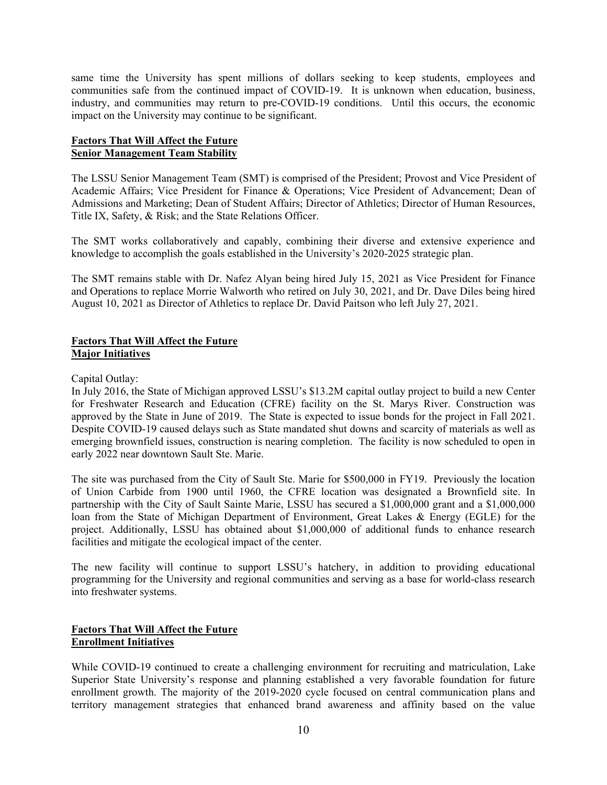same time the University has spent millions of dollars seeking to keep students, employees and communities safe from the continued impact of COVID-19. It is unknown when education, business, industry, and communities may return to pre-COVID-19 conditions. Until this occurs, the economic impact on the University may continue to be significant.

#### **Factors That Will Affect the Future Senior Management Team Stability**

The LSSU Senior Management Team (SMT) is comprised of the President; Provost and Vice President of Academic Affairs; Vice President for Finance & Operations; Vice President of Advancement; Dean of Admissions and Marketing; Dean of Student Affairs; Director of Athletics; Director of Human Resources, Title IX, Safety, & Risk; and the State Relations Officer.

The SMT works collaboratively and capably, combining their diverse and extensive experience and knowledge to accomplish the goals established in the University's 2020-2025 strategic plan.

The SMT remains stable with Dr. Nafez Alyan being hired July 15, 2021 as Vice President for Finance and Operations to replace Morrie Walworth who retired on July 30, 2021, and Dr. Dave Diles being hired August 10, 2021 as Director of Athletics to replace Dr. David Paitson who left July 27, 2021.

#### **Factors That Will Affect the Future Major Initiatives**

Capital Outlay:

In July 2016, the State of Michigan approved LSSU's \$13.2M capital outlay project to build a new Center for Freshwater Research and Education (CFRE) facility on the St. Marys River. Construction was approved by the State in June of 2019. The State is expected to issue bonds for the project in Fall 2021. Despite COVID-19 caused delays such as State mandated shut downs and scarcity of materials as well as emerging brownfield issues, construction is nearing completion. The facility is now scheduled to open in early 2022 near downtown Sault Ste. Marie.

The site was purchased from the City of Sault Ste. Marie for \$500,000 in FY19. Previously the location of Union Carbide from 1900 until 1960, the CFRE location was designated a Brownfield site. In partnership with the City of Sault Sainte Marie, LSSU has secured a \$1,000,000 grant and a \$1,000,000 loan from the State of Michigan Department of Environment, Great Lakes & Energy (EGLE) for the project. Additionally, LSSU has obtained about \$1,000,000 of additional funds to enhance research facilities and mitigate the ecological impact of the center.

The new facility will continue to support LSSU's hatchery, in addition to providing educational programming for the University and regional communities and serving as a base for world-class research into freshwater systems.

### **Factors That Will Affect the Future Enrollment Initiatives**

While COVID-19 continued to create a challenging environment for recruiting and matriculation, Lake Superior State University's response and planning established a very favorable foundation for future enrollment growth. The majority of the 2019-2020 cycle focused on central communication plans and territory management strategies that enhanced brand awareness and affinity based on the value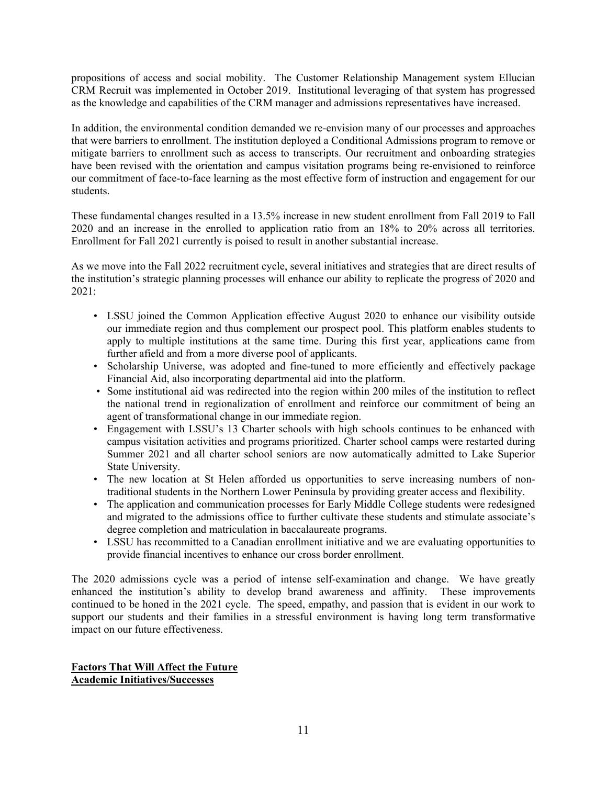propositions of access and social mobility. The Customer Relationship Management system Ellucian CRM Recruit was implemented in October 2019. Institutional leveraging of that system has progressed as the knowledge and capabilities of the CRM manager and admissions representatives have increased.

In addition, the environmental condition demanded we re-envision many of our processes and approaches that were barriers to enrollment. The institution deployed a Conditional Admissions program to remove or mitigate barriers to enrollment such as access to transcripts. Our recruitment and onboarding strategies have been revised with the orientation and campus visitation programs being re-envisioned to reinforce our commitment of face-to-face learning as the most effective form of instruction and engagement for our students.

These fundamental changes resulted in a 13.5% increase in new student enrollment from Fall 2019 to Fall 2020 and an increase in the enrolled to application ratio from an 18% to 20% across all territories. Enrollment for Fall 2021 currently is poised to result in another substantial increase.

As we move into the Fall 2022 recruitment cycle, several initiatives and strategies that are direct results of the institution's strategic planning processes will enhance our ability to replicate the progress of 2020 and 2021:

- LSSU joined the Common Application effective August 2020 to enhance our visibility outside our immediate region and thus complement our prospect pool. This platform enables students to apply to multiple institutions at the same time. During this first year, applications came from further afield and from a more diverse pool of applicants.
- Scholarship Universe, was adopted and fine-tuned to more efficiently and effectively package Financial Aid, also incorporating departmental aid into the platform.
- Some institutional aid was redirected into the region within 200 miles of the institution to reflect the national trend in regionalization of enrollment and reinforce our commitment of being an agent of transformational change in our immediate region.
- Engagement with LSSU's 13 Charter schools with high schools continues to be enhanced with campus visitation activities and programs prioritized. Charter school camps were restarted during Summer 2021 and all charter school seniors are now automatically admitted to Lake Superior State University.
- The new location at St Helen afforded us opportunities to serve increasing numbers of nontraditional students in the Northern Lower Peninsula by providing greater access and flexibility.
- The application and communication processes for Early Middle College students were redesigned and migrated to the admissions office to further cultivate these students and stimulate associate's degree completion and matriculation in baccalaureate programs.
- LSSU has recommitted to a Canadian enrollment initiative and we are evaluating opportunities to provide financial incentives to enhance our cross border enrollment.

The 2020 admissions cycle was a period of intense self-examination and change. We have greatly enhanced the institution's ability to develop brand awareness and affinity. These improvements continued to be honed in the 2021 cycle. The speed, empathy, and passion that is evident in our work to support our students and their families in a stressful environment is having long term transformative impact on our future effectiveness.

#### **Factors That Will Affect the Future Academic Initiatives/Successes**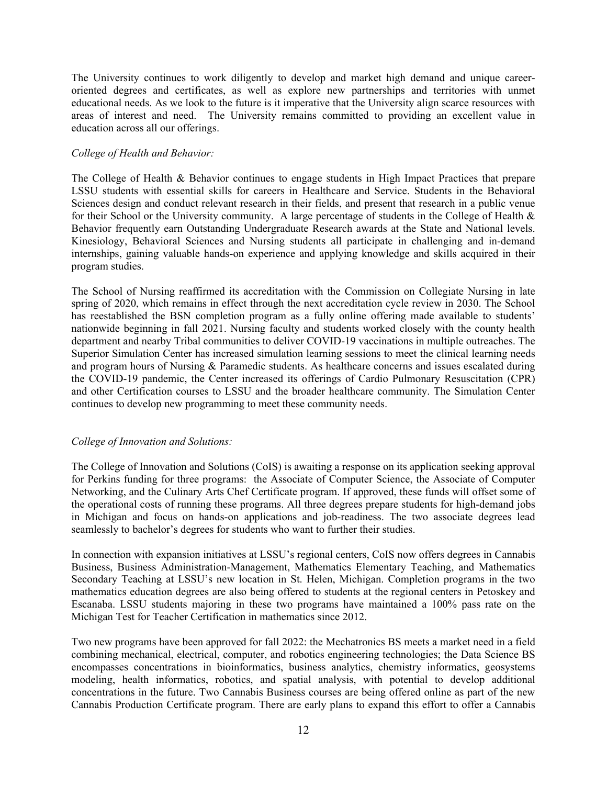The University continues to work diligently to develop and market high demand and unique careeroriented degrees and certificates, as well as explore new partnerships and territories with unmet educational needs. As we look to the future is it imperative that the University align scarce resources with areas of interest and need. The University remains committed to providing an excellent value in education across all our offerings.

#### *College of Health and Behavior:*

The College of Health & Behavior continues to engage students in High Impact Practices that prepare LSSU students with essential skills for careers in Healthcare and Service. Students in the Behavioral Sciences design and conduct relevant research in their fields, and present that research in a public venue for their School or the University community. A large percentage of students in the College of Health & Behavior frequently earn Outstanding Undergraduate Research awards at the State and National levels. Kinesiology, Behavioral Sciences and Nursing students all participate in challenging and in-demand internships, gaining valuable hands-on experience and applying knowledge and skills acquired in their program studies.

The School of Nursing reaffirmed its accreditation with the Commission on Collegiate Nursing in late spring of 2020, which remains in effect through the next accreditation cycle review in 2030. The School has reestablished the BSN completion program as a fully online offering made available to students' nationwide beginning in fall 2021. Nursing faculty and students worked closely with the county health department and nearby Tribal communities to deliver COVID-19 vaccinations in multiple outreaches. The Superior Simulation Center has increased simulation learning sessions to meet the clinical learning needs and program hours of Nursing & Paramedic students. As healthcare concerns and issues escalated during the COVID-19 pandemic, the Center increased its offerings of Cardio Pulmonary Resuscitation (CPR) and other Certification courses to LSSU and the broader healthcare community. The Simulation Center continues to develop new programming to meet these community needs.

#### *College of Innovation and Solutions:*

The College of Innovation and Solutions (CoIS) is awaiting a response on its application seeking approval for Perkins funding for three programs: the Associate of Computer Science, the Associate of Computer Networking, and the Culinary Arts Chef Certificate program. If approved, these funds will offset some of the operational costs of running these programs. All three degrees prepare students for high-demand jobs in Michigan and focus on hands-on applications and job-readiness. The two associate degrees lead seamlessly to bachelor's degrees for students who want to further their studies.

In connection with expansion initiatives at LSSU's regional centers, CoIS now offers degrees in Cannabis Business, Business Administration-Management, Mathematics Elementary Teaching, and Mathematics Secondary Teaching at LSSU's new location in St. Helen, Michigan. Completion programs in the two mathematics education degrees are also being offered to students at the regional centers in Petoskey and Escanaba. LSSU students majoring in these two programs have maintained a 100% pass rate on the Michigan Test for Teacher Certification in mathematics since 2012.

Two new programs have been approved for fall 2022: the Mechatronics BS meets a market need in a field combining mechanical, electrical, computer, and robotics engineering technologies; the Data Science BS encompasses concentrations in bioinformatics, business analytics, chemistry informatics, geosystems modeling, health informatics, robotics, and spatial analysis, with potential to develop additional concentrations in the future. Two Cannabis Business courses are being offered online as part of the new Cannabis Production Certificate program. There are early plans to expand this effort to offer a Cannabis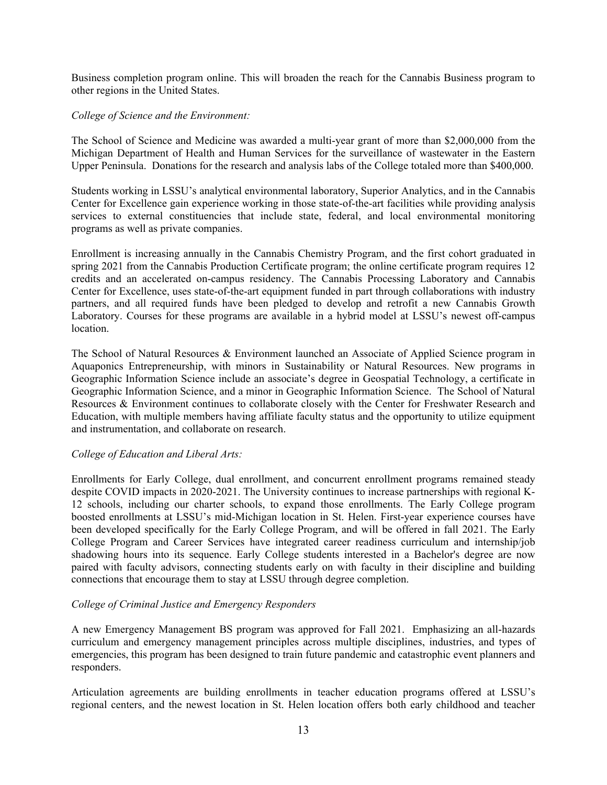Business completion program online. This will broaden the reach for the Cannabis Business program to other regions in the United States.

#### *College of Science and the Environment:*

The School of Science and Medicine was awarded a multi-year grant of more than \$2,000,000 from the Michigan Department of Health and Human Services for the surveillance of wastewater in the Eastern Upper Peninsula. Donations for the research and analysis labs of the College totaled more than \$400,000.

Students working in LSSU's analytical environmental laboratory, Superior Analytics, and in the Cannabis Center for Excellence gain experience working in those state-of-the-art facilities while providing analysis services to external constituencies that include state, federal, and local environmental monitoring programs as well as private companies.

Enrollment is increasing annually in the Cannabis Chemistry Program, and the first cohort graduated in spring 2021 from the Cannabis Production Certificate program; the online certificate program requires 12 credits and an accelerated on-campus residency. The Cannabis Processing Laboratory and Cannabis Center for Excellence, uses state-of-the-art equipment funded in part through collaborations with industry partners, and all required funds have been pledged to develop and retrofit a new Cannabis Growth Laboratory. Courses for these programs are available in a hybrid model at LSSU's newest off-campus location.

The School of Natural Resources & Environment launched an Associate of Applied Science program in Aquaponics Entrepreneurship, with minors in Sustainability or Natural Resources. New programs in Geographic Information Science include an associate's degree in Geospatial Technology, a certificate in Geographic Information Science, and a minor in Geographic Information Science. The School of Natural Resources & Environment continues to collaborate closely with the Center for Freshwater Research and Education, with multiple members having affiliate faculty status and the opportunity to utilize equipment and instrumentation, and collaborate on research.

#### *College of Education and Liberal Arts:*

Enrollments for Early College, dual enrollment, and concurrent enrollment programs remained steady despite COVID impacts in 2020-2021. The University continues to increase partnerships with regional K-12 schools, including our charter schools, to expand those enrollments. The Early College program boosted enrollments at LSSU's mid-Michigan location in St. Helen. First-year experience courses have been developed specifically for the Early College Program, and will be offered in fall 2021. The Early College Program and Career Services have integrated career readiness curriculum and internship/job shadowing hours into its sequence. Early College students interested in a Bachelor's degree are now paired with faculty advisors, connecting students early on with faculty in their discipline and building connections that encourage them to stay at LSSU through degree completion.

#### *College of Criminal Justice and Emergency Responders*

A new Emergency Management BS program was approved for Fall 2021. Emphasizing an all-hazards curriculum and emergency management principles across multiple disciplines, industries, and types of emergencies, this program has been designed to train future pandemic and catastrophic event planners and responders.

Articulation agreements are building enrollments in teacher education programs offered at LSSU's regional centers, and the newest location in St. Helen location offers both early childhood and teacher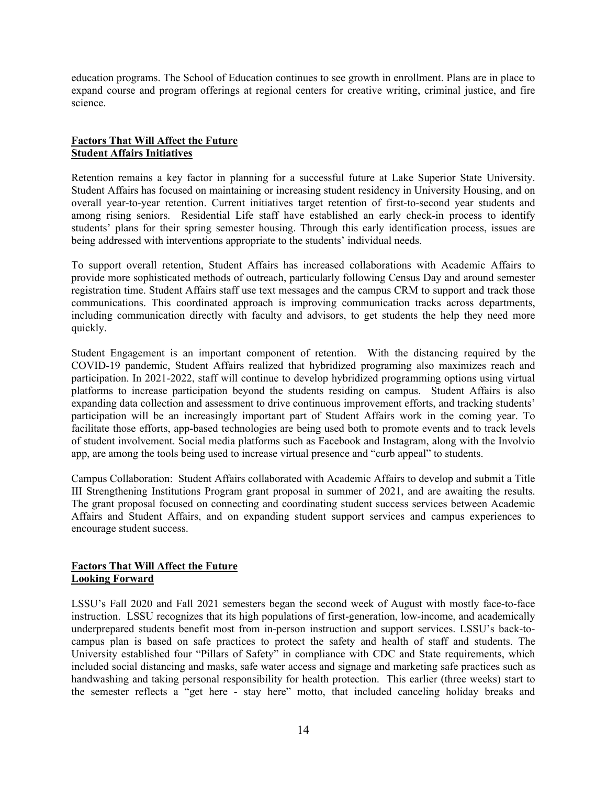education programs. The School of Education continues to see growth in enrollment. Plans are in place to expand course and program offerings at regional centers for creative writing, criminal justice, and fire science.

#### **Factors That Will Affect the Future Student Affairs Initiatives**

Retention remains a key factor in planning for a successful future at Lake Superior State University. Student Affairs has focused on maintaining or increasing student residency in University Housing, and on overall year-to-year retention. Current initiatives target retention of first-to-second year students and among rising seniors. Residential Life staff have established an early check-in process to identify students' plans for their spring semester housing. Through this early identification process, issues are being addressed with interventions appropriate to the students' individual needs.

To support overall retention, Student Affairs has increased collaborations with Academic Affairs to provide more sophisticated methods of outreach, particularly following Census Day and around semester registration time. Student Affairs staff use text messages and the campus CRM to support and track those communications. This coordinated approach is improving communication tracks across departments, including communication directly with faculty and advisors, to get students the help they need more quickly.

Student Engagement is an important component of retention. With the distancing required by the COVID-19 pandemic, Student Affairs realized that hybridized programing also maximizes reach and participation. In 2021-2022, staff will continue to develop hybridized programming options using virtual platforms to increase participation beyond the students residing on campus. Student Affairs is also expanding data collection and assessment to drive continuous improvement efforts, and tracking students' participation will be an increasingly important part of Student Affairs work in the coming year. To facilitate those efforts, app-based technologies are being used both to promote events and to track levels of student involvement. Social media platforms such as Facebook and Instagram, along with the Involvio app, are among the tools being used to increase virtual presence and "curb appeal" to students.

Campus Collaboration: Student Affairs collaborated with Academic Affairs to develop and submit a Title III Strengthening Institutions Program grant proposal in summer of 2021, and are awaiting the results. The grant proposal focused on connecting and coordinating student success services between Academic Affairs and Student Affairs, and on expanding student support services and campus experiences to encourage student success.

#### **Factors That Will Affect the Future Looking Forward**

LSSU's Fall 2020 and Fall 2021 semesters began the second week of August with mostly face-to-face instruction. LSSU recognizes that its high populations of first-generation, low-income, and academically underprepared students benefit most from in-person instruction and support services. LSSU's back-tocampus plan is based on safe practices to protect the safety and health of staff and students. The University established four "Pillars of Safety" in compliance with CDC and State requirements, which included social distancing and masks, safe water access and signage and marketing safe practices such as handwashing and taking personal responsibility for health protection. This earlier (three weeks) start to the semester reflects a "get here - stay here" motto, that included canceling holiday breaks and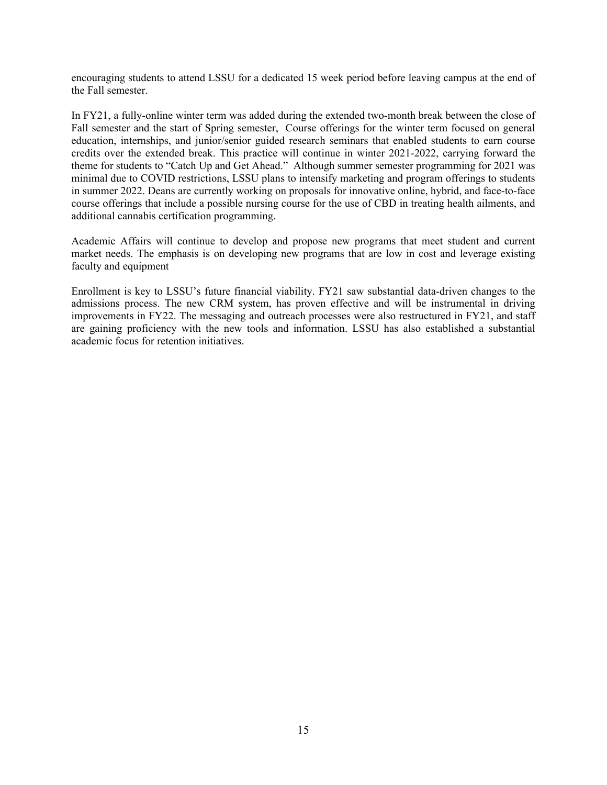encouraging students to attend LSSU for a dedicated 15 week period before leaving campus at the end of the Fall semester.

In FY21, a fully-online winter term was added during the extended two-month break between the close of Fall semester and the start of Spring semester, Course offerings for the winter term focused on general education, internships, and junior/senior guided research seminars that enabled students to earn course credits over the extended break. This practice will continue in winter 2021-2022, carrying forward the theme for students to "Catch Up and Get Ahead." Although summer semester programming for 2021 was minimal due to COVID restrictions, LSSU plans to intensify marketing and program offerings to students in summer 2022. Deans are currently working on proposals for innovative online, hybrid, and face-to-face course offerings that include a possible nursing course for the use of CBD in treating health ailments, and additional cannabis certification programming.

Academic Affairs will continue to develop and propose new programs that meet student and current market needs. The emphasis is on developing new programs that are low in cost and leverage existing faculty and equipment

Enrollment is key to LSSU's future financial viability. FY21 saw substantial data-driven changes to the admissions process. The new CRM system, has proven effective and will be instrumental in driving improvements in FY22. The messaging and outreach processes were also restructured in FY21, and staff are gaining proficiency with the new tools and information. LSSU has also established a substantial academic focus for retention initiatives.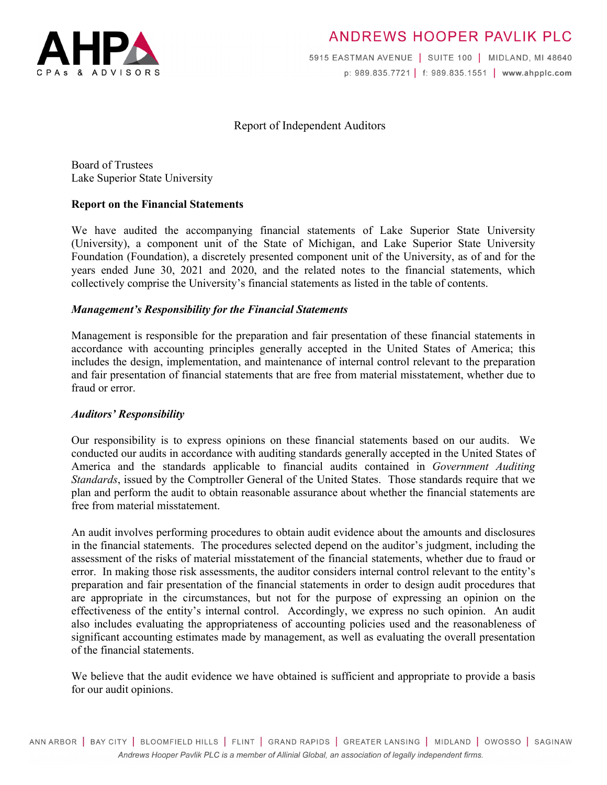

# ANDREWS HOOPER PAVLIK PLC

5915 EASTMAN AVENUE | SUITE 100 | MIDLAND, MI 48640 p: 989.835.7721 | f: 989.835.1551 | www.ahpplc.com

### Report of Independent Auditors

Board of Trustees Lake Superior State University

### **Report on the Financial Statements**

We have audited the accompanying financial statements of Lake Superior State University (University), a component unit of the State of Michigan, and Lake Superior State University Foundation (Foundation), a discretely presented component unit of the University, as of and for the years ended June 30, 2021 and 2020, and the related notes to the financial statements, which collectively comprise the University's financial statements as listed in the table of contents.

### *Management's Responsibility for the Financial Statements*

Management is responsible for the preparation and fair presentation of these financial statements in accordance with accounting principles generally accepted in the United States of America; this includes the design, implementation, and maintenance of internal control relevant to the preparation and fair presentation of financial statements that are free from material misstatement, whether due to fraud or error.

#### *Auditors' Responsibility*

Our responsibility is to express opinions on these financial statements based on our audits. We conducted our audits in accordance with auditing standards generally accepted in the United States of America and the standards applicable to financial audits contained in *Government Auditing Standards*, issued by the Comptroller General of the United States. Those standards require that we plan and perform the audit to obtain reasonable assurance about whether the financial statements are free from material misstatement.

An audit involves performing procedures to obtain audit evidence about the amounts and disclosures in the financial statements. The procedures selected depend on the auditor's judgment, including the assessment of the risks of material misstatement of the financial statements, whether due to fraud or error. In making those risk assessments, the auditor considers internal control relevant to the entity's preparation and fair presentation of the financial statements in order to design audit procedures that are appropriate in the circumstances, but not for the purpose of expressing an opinion on the effectiveness of the entity's internal control. Accordingly, we express no such opinion. An audit also includes evaluating the appropriateness of accounting policies used and the reasonableness of significant accounting estimates made by management, as well as evaluating the overall presentation of the financial statements.

We believe that the audit evidence we have obtained is sufficient and appropriate to provide a basis for our audit opinions.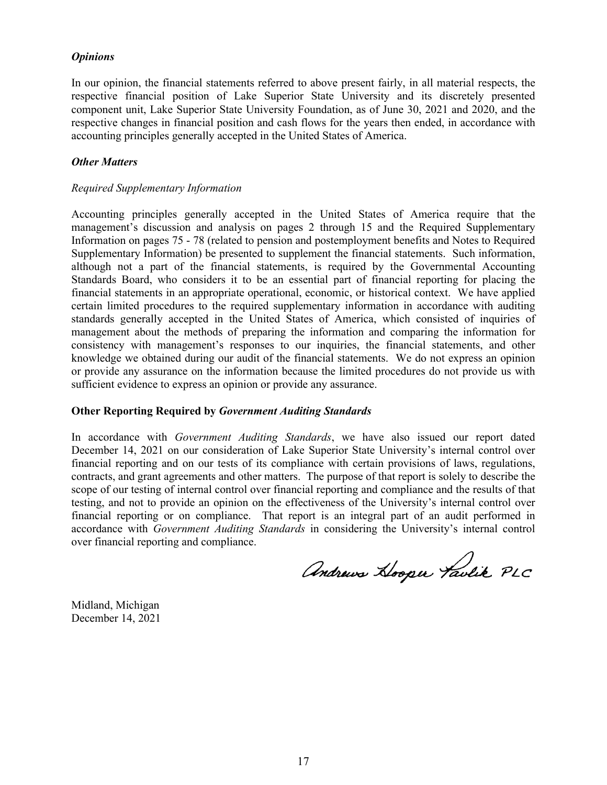#### *Opinions*

In our opinion, the financial statements referred to above present fairly, in all material respects, the respective financial position of Lake Superior State University and its discretely presented component unit, Lake Superior State University Foundation, as of June 30, 2021 and 2020, and the respective changes in financial position and cash flows for the years then ended, in accordance with accounting principles generally accepted in the United States of America.

#### *Other Matters*

#### *Required Supplementary Information*

Accounting principles generally accepted in the United States of America require that the management's discussion and analysis on pages 2 through 15 and the Required Supplementary Information on pages 75 - 78 (related to pension and postemployment benefits and Notes to Required Supplementary Information) be presented to supplement the financial statements. Such information, although not a part of the financial statements, is required by the Governmental Accounting Standards Board, who considers it to be an essential part of financial reporting for placing the financial statements in an appropriate operational, economic, or historical context. We have applied certain limited procedures to the required supplementary information in accordance with auditing standards generally accepted in the United States of America, which consisted of inquiries of management about the methods of preparing the information and comparing the information for consistency with management's responses to our inquiries, the financial statements, and other knowledge we obtained during our audit of the financial statements. We do not express an opinion or provide any assurance on the information because the limited procedures do not provide us with sufficient evidence to express an opinion or provide any assurance.

#### **Other Reporting Required by** *Government Auditing Standards*

In accordance with *Government Auditing Standards*, we have also issued our report dated December 14, 2021 on our consideration of Lake Superior State University's internal control over financial reporting and on our tests of its compliance with certain provisions of laws, regulations, contracts, and grant agreements and other matters. The purpose of that report is solely to describe the scope of our testing of internal control over financial reporting and compliance and the results of that testing, and not to provide an opinion on the effectiveness of the University's internal control over financial reporting or on compliance. That report is an integral part of an audit performed in accordance with *Government Auditing Standards* in considering the University's internal control over financial reporting and compliance.

Andrews Hooper Taulik PLC

Midland, Michigan December 14, 2021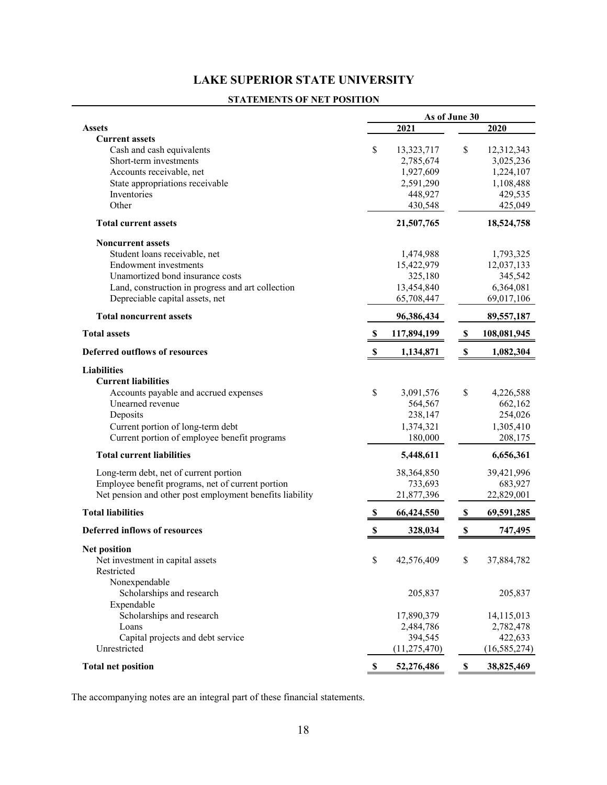#### **STATEMENTS OF NET POSITION**

|                                                          |    | As of June 30        |                           |                      |
|----------------------------------------------------------|----|----------------------|---------------------------|----------------------|
| <b>Assets</b>                                            |    | 2021                 |                           | 2020                 |
| <b>Current assets</b>                                    |    |                      |                           |                      |
| Cash and cash equivalents                                | \$ | 13,323,717           | \$                        | 12,312,343           |
| Short-term investments                                   |    | 2,785,674            |                           | 3,025,236            |
| Accounts receivable, net                                 |    | 1,927,609            |                           | 1,224,107            |
| State appropriations receivable                          |    | 2,591,290            |                           | 1,108,488            |
| Inventories                                              |    | 448,927              |                           | 429,535              |
| Other                                                    |    | 430,548              |                           | 425,049              |
| <b>Total current assets</b>                              |    | 21,507,765           |                           | 18,524,758           |
| <b>Noncurrent assets</b>                                 |    |                      |                           |                      |
| Student loans receivable, net                            |    | 1,474,988            |                           | 1,793,325            |
| <b>Endowment</b> investments                             |    | 15,422,979           |                           | 12,037,133           |
| Unamortized bond insurance costs                         |    | 325,180              |                           | 345,542              |
| Land, construction in progress and art collection        |    | 13,454,840           |                           | 6,364,081            |
| Depreciable capital assets, net                          |    | 65,708,447           |                           | 69,017,106           |
| <b>Total noncurrent assets</b>                           |    | 96,386,434           |                           | 89,557,187           |
| <b>Total assets</b>                                      | S  | 117,894,199          | \$                        | 108,081,945          |
| <b>Deferred outflows of resources</b>                    | S  | 1,134,871            | $\boldsymbol{\mathsf{s}}$ | 1,082,304            |
| <b>Liabilities</b>                                       |    |                      |                           |                      |
| <b>Current liabilities</b>                               |    |                      |                           |                      |
| Accounts payable and accrued expenses                    | \$ | 3,091,576            | \$                        | 4,226,588            |
| Unearned revenue                                         |    | 564,567              |                           | 662,162              |
| Deposits                                                 |    | 238,147              |                           | 254,026              |
| Current portion of long-term debt                        |    | 1,374,321            |                           | 1,305,410            |
| Current portion of employee benefit programs             |    | 180,000              |                           | 208,175              |
| <b>Total current liabilities</b>                         |    | 5,448,611            |                           | 6,656,361            |
| Long-term debt, net of current portion                   |    | 38,364,850           |                           | 39,421,996           |
| Employee benefit programs, net of current portion        |    | 733,693              |                           | 683,927              |
| Net pension and other post employment benefits liability |    | 21,877,396           |                           | 22,829,001           |
| <b>Total liabilities</b>                                 | S  | 66,424,550           | $\boldsymbol{\mathsf{s}}$ | 69,591,285           |
| <b>Deferred inflows of resources</b>                     | \$ | 328,034              | \$                        | 747,495              |
|                                                          |    |                      |                           |                      |
| <b>Net position</b>                                      | \$ |                      | \$                        |                      |
| Net investment in capital assets<br>Restricted           |    | 42,576,409           |                           | 37,884,782           |
| Nonexpendable                                            |    |                      |                           |                      |
| Scholarships and research                                |    | 205,837              |                           | 205,837              |
|                                                          |    |                      |                           |                      |
| Expendable<br>Scholarships and research                  |    |                      |                           |                      |
|                                                          |    | 17,890,379           |                           | 14,115,013           |
| Loans<br>Capital projects and debt service               |    | 2,484,786<br>394,545 |                           | 2,782,478<br>422,633 |
| Unrestricted                                             |    | (11, 275, 470)       |                           | (16, 585, 274)       |
|                                                          |    |                      |                           |                      |
| <b>Total net position</b>                                | \$ | 52,276,486           | \$                        | 38,825,469           |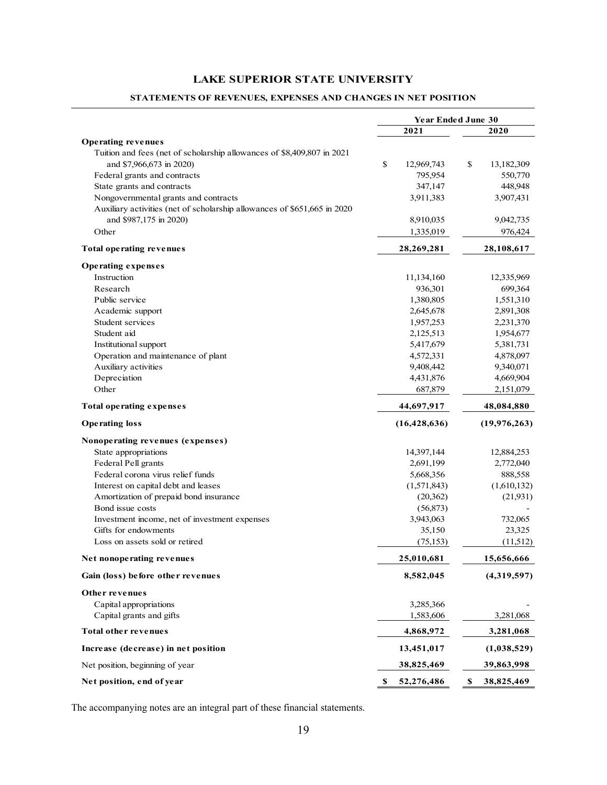#### **STATEMENTS OF REVENUES, EXPENSES AND CHANGES IN NET POSITION**

|                                                                          | <b>Year Ended June 30</b> |                  |
|--------------------------------------------------------------------------|---------------------------|------------------|
|                                                                          | 2021                      | 2020             |
| <b>Operating revenues</b>                                                |                           |                  |
| Tuition and fees (net of scholarship allowances of \$8,409,807 in 2021   |                           |                  |
| and \$7,966,673 in 2020)                                                 | \$<br>12,969,743          | \$<br>13,182,309 |
| Federal grants and contracts                                             | 795,954                   | 550,770          |
| State grants and contracts                                               | 347,147                   | 448,948          |
| Nongovernmental grants and contracts                                     | 3,911,383                 | 3,907,431        |
| Auxiliary activities (net of scholarship allowances of \$651,665 in 2020 |                           |                  |
| and \$987,175 in 2020)                                                   | 8,910,035                 | 9,042,735        |
| Other                                                                    | 1,335,019                 | 976,424          |
| <b>Total operating revenues</b>                                          | 28,269,281                | 28,108,617       |
| <b>Operating expenses</b>                                                |                           |                  |
| Instruction                                                              | 11,134,160                | 12,335,969       |
| Research                                                                 | 936,301                   | 699,364          |
| Public service                                                           | 1,380,805                 | 1,551,310        |
| Academic support                                                         | 2,645,678                 | 2,891,308        |
| Student services                                                         | 1,957,253                 | 2,231,370        |
| Student aid                                                              | 2,125,513                 | 1,954,677        |
| Institutional support                                                    | 5,417,679                 | 5,381,731        |
| Operation and maintenance of plant                                       | 4,572,331                 | 4,878,097        |
| Auxiliary activities                                                     | 9,408,442                 | 9,340,071        |
| Depreciation                                                             | 4,431,876                 | 4,669,904        |
| Other                                                                    | 687,879                   | 2,151,079        |
| <b>Total operating expenses</b>                                          | 44,697,917                | 48,084,880       |
| <b>Operating loss</b>                                                    | (16, 428, 636)            | (19, 976, 263)   |
| Nonoperating revenues (expenses)                                         |                           |                  |
| State appropriations                                                     | 14,397,144                | 12,884,253       |
| Federal Pell grants                                                      | 2,691,199                 | 2,772,040        |
| Federal corona virus relief funds                                        | 5,668,356                 | 888,558          |
| Interest on capital debt and leases                                      | (1,571,843)               | (1,610,132)      |
| Amortization of prepaid bond insurance                                   | (20, 362)                 | (21,931)         |
| Bond issue costs                                                         | (56, 873)                 |                  |
| Investment income, net of investment expenses                            | 3,943,063                 | 732,065          |
| Gifts for endowments                                                     | 35,150                    | 23,325           |
| Loss on assets sold or retired                                           | (75, 153)                 | (11,512)         |
| Net nonoperating revenues                                                | 25,010,681                | 15,656,666       |
| Gain (loss) before other revenues                                        | 8,582,045                 | (4,319,597)      |
| Other revenues                                                           |                           |                  |
| Capital appropriations                                                   | 3,285,366                 |                  |
| Capital grants and gifts                                                 | 1,583,606                 | 3,281,068        |
| <b>Total other revenues</b>                                              | 4,868,972                 | 3,281,068        |
| Increase (decrease) in net position                                      | 13,451,017                | (1,038,529)      |
| Net position, beginning of year                                          | 38,825,469                | 39,863,998       |
| Net position, end of year                                                | 52,276,486<br>\$          | \$<br>38,825,469 |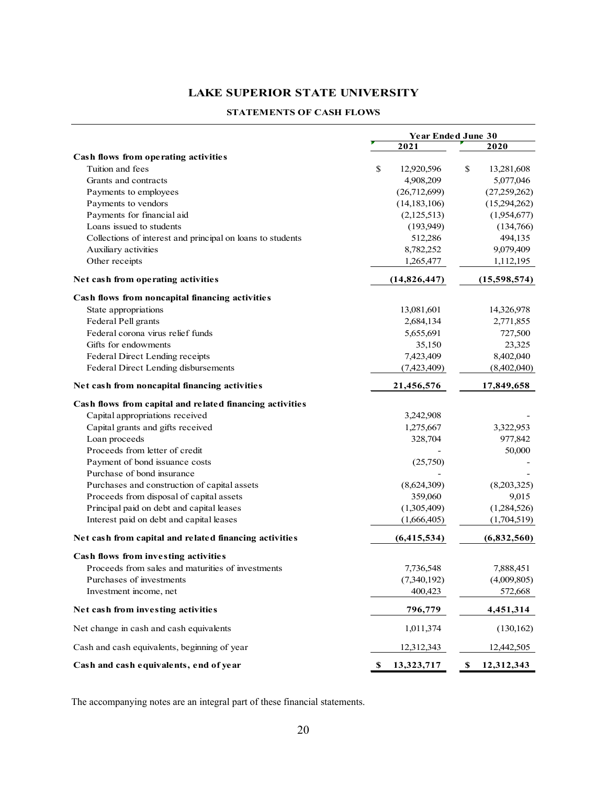#### **STATEMENTS OF CASH FLOWS**

|                                                            | <b>Year Ended June 30</b> |                           |  |
|------------------------------------------------------------|---------------------------|---------------------------|--|
|                                                            | 2021                      | 2020                      |  |
| Cash flows from operating activities                       |                           |                           |  |
| Tuition and fees                                           | \$<br>12,920,596          | \$<br>13,281,608          |  |
| Grants and contracts                                       | 4,908,209                 | 5,077,046                 |  |
| Payments to employees                                      | (26,712,699)              | (27,259,262)              |  |
| Payments to vendors                                        | (14, 183, 106)            | (15,294,262)              |  |
| Payments for financial aid                                 | (2,125,513)               | (1,954,677)               |  |
| Loans issued to students                                   | (193,949)                 | (134,766)                 |  |
| Collections of interest and principal on loans to students | 512,286                   | 494,135                   |  |
| Auxiliary activities                                       | 8,782,252                 | 9,079,409                 |  |
| Other receipts                                             | 1,265,477                 | 1,112,195                 |  |
| Net cash from operating activities                         | (14, 826, 447)            | (15,598,574)              |  |
| Cash flows from noncapital financing activities            |                           |                           |  |
| State appropriations                                       | 13,081,601                | 14,326,978                |  |
| Federal Pell grants                                        | 2,684,134                 | 2,771,855                 |  |
| Federal corona virus relief funds                          | 5,655,691                 | 727,500                   |  |
| Gifts for endowments                                       | 35,150                    | 23,325                    |  |
| Federal Direct Lending receipts                            | 7,423,409                 | 8,402,040                 |  |
| Federal Direct Lending disbursements                       | (7,423,409)               | (8,402,040)               |  |
| Net cash from noncapital financing activities              | 21,456,576                | 17,849,658                |  |
| Cash flows from capital and related financing activities   |                           |                           |  |
| Capital appropriations received                            | 3,242,908                 |                           |  |
| Capital grants and gifts received                          | 1,275,667                 | 3,322,953                 |  |
| Loan proceeds                                              | 328,704                   | 977,842                   |  |
| Proceeds from letter of credit                             |                           | 50,000                    |  |
| Payment of bond issuance costs                             | (25,750)                  |                           |  |
| Purchase of bond insurance                                 |                           |                           |  |
| Purchases and construction of capital assets               | (8,624,309)               | (8,203,325)               |  |
| Proceeds from disposal of capital assets                   | 359,060                   | 9,015                     |  |
| Principal paid on debt and capital leases                  | (1,305,409)               | (1,284,526)               |  |
| Interest paid on debt and capital leases                   | (1,666,405)               | (1,704,519)               |  |
| Net cash from capital and related financing activities     | (6,415,534)               | (6,832,560)               |  |
| Cash flows from investing activities                       |                           |                           |  |
| Proceeds from sales and maturities of investments          | 7,736,548                 | 7,888,451                 |  |
| Purchases of investments                                   | (7,340,192)               | (4,009,805)               |  |
| Investment income, net                                     | 400,423                   | 572,668                   |  |
| Net cash from investing activities                         | 796,779                   | 4,451,314                 |  |
| Net change in cash and cash equivalents                    | 1,011,374                 | (130, 162)                |  |
| Cash and cash equivalents, beginning of year               | 12,312,343                | 12,442,505                |  |
| Cash and cash equivalents, end of year                     | \$<br>13,323,717          | $\mathbb S$<br>12,312,343 |  |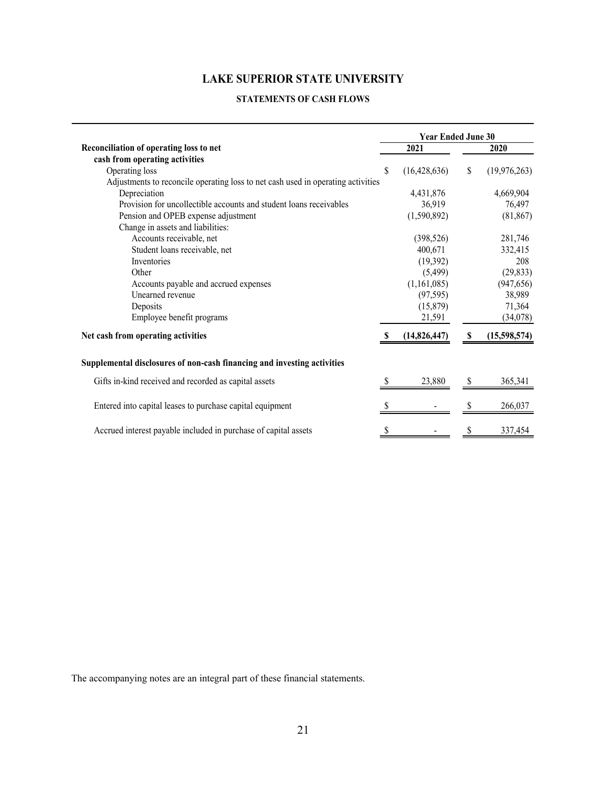#### **STATEMENTS OF CASH FLOWS**

|                                                                                  |    | <b>Year Ended June 30</b> |    |                |
|----------------------------------------------------------------------------------|----|---------------------------|----|----------------|
| Reconciliation of operating loss to net                                          |    | 2021                      |    | 2020           |
| cash from operating activities                                                   |    |                           |    |                |
| Operating loss                                                                   | \$ | (16, 428, 636)            | \$ | (19, 976, 263) |
| Adjustments to reconcile operating loss to net cash used in operating activities |    |                           |    |                |
| Depreciation                                                                     |    | 4,431,876                 |    | 4,669,904      |
| Provision for uncollectible accounts and student loans receivables               |    | 36,919                    |    | 76,497         |
| Pension and OPEB expense adjustment                                              |    | (1,590,892)               |    | (81, 867)      |
| Change in assets and liabilities:                                                |    |                           |    |                |
| Accounts receivable, net                                                         |    | (398, 526)                |    | 281,746        |
| Student loans receivable, net                                                    |    | 400,671                   |    | 332,415        |
| Inventories                                                                      |    | (19,392)                  |    | 208            |
| Other                                                                            |    | (5,499)                   |    | (29, 833)      |
| Accounts payable and accrued expenses                                            |    | (1,161,085)               |    | (947, 656)     |
| Unearned revenue                                                                 |    | (97, 595)                 |    | 38,989         |
| Deposits                                                                         |    | (15, 879)                 |    | 71,364         |
| Employee benefit programs                                                        |    | 21,591                    |    | (34,078)       |
| Net cash from operating activities                                               |    | (14, 826, 447)            | S  | (15,598,574)   |
| Supplemental disclosures of non-cash financing and investing activities          |    |                           |    |                |
| Gifts in-kind received and recorded as capital assets                            | S  | 23,880                    | \$ | 365,341        |
| Entered into capital leases to purchase capital equipment                        | S  |                           |    | 266,037        |
| Accrued interest payable included in purchase of capital assets                  |    |                           |    | 337,454        |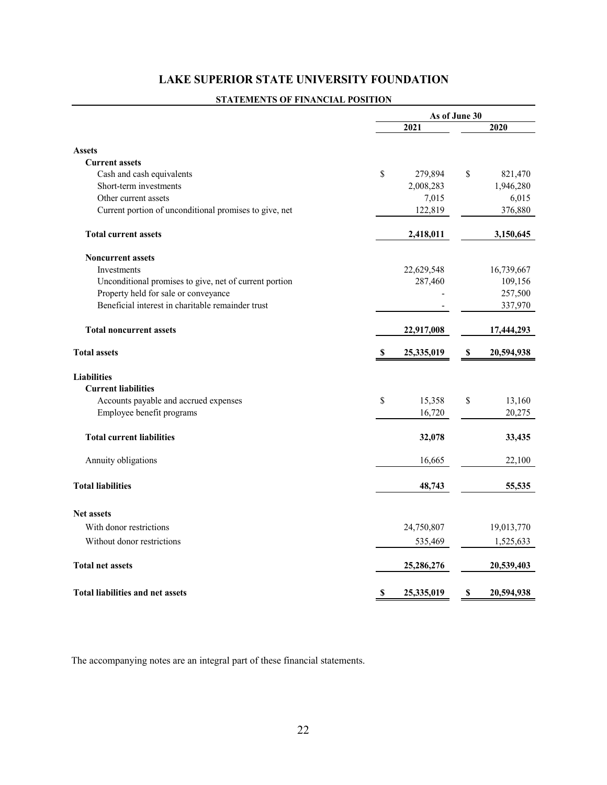## **LAKE SUPERIOR STATE UNIVERSITY FOUNDATION**

## **STATEMENTS OF FINANCIAL POSITION**

|                                                        | As of June 30                           |                  |  |
|--------------------------------------------------------|-----------------------------------------|------------------|--|
|                                                        | 2021                                    | 2020             |  |
| <b>Assets</b>                                          |                                         |                  |  |
| <b>Current assets</b>                                  |                                         |                  |  |
| Cash and cash equivalents                              | \$<br>279,894                           | \$<br>821,470    |  |
| Short-term investments                                 | 2,008,283                               | 1,946,280        |  |
| Other current assets                                   | 7,015                                   | 6,015            |  |
| Current portion of unconditional promises to give, net | 122,819                                 | 376,880          |  |
| <b>Total current assets</b>                            | 2,418,011                               | 3,150,645        |  |
| <b>Noncurrent assets</b>                               |                                         |                  |  |
| <b>Investments</b>                                     | 22,629,548                              | 16,739,667       |  |
| Unconditional promises to give, net of current portion | 287,460                                 | 109,156          |  |
| Property held for sale or conveyance                   |                                         | 257,500          |  |
| Beneficial interest in charitable remainder trust      |                                         | 337,970          |  |
| <b>Total noncurrent assets</b>                         | 22,917,008                              | 17,444,293       |  |
| <b>Total assets</b>                                    | $\boldsymbol{\mathsf{S}}$<br>25,335,019 | S<br>20,594,938  |  |
| <b>Liabilities</b>                                     |                                         |                  |  |
| <b>Current liabilities</b>                             |                                         |                  |  |
| Accounts payable and accrued expenses                  | \$<br>15,358                            | \$<br>13,160     |  |
| Employee benefit programs                              | 16,720                                  | 20,275           |  |
| <b>Total current liabilities</b>                       | 32,078                                  | 33,435           |  |
| Annuity obligations                                    | 16,665                                  | 22,100           |  |
| <b>Total liabilities</b>                               | 48,743                                  | 55,535           |  |
| <b>Net assets</b>                                      |                                         |                  |  |
| With donor restrictions                                | 24,750,807                              | 19,013,770       |  |
| Without donor restrictions                             | 535,469                                 | 1,525,633        |  |
| <b>Total net assets</b>                                | 25,286,276                              | 20,539,403       |  |
| <b>Total liabilities and net assets</b>                | S<br>25,335,019                         | 20,594,938<br>\$ |  |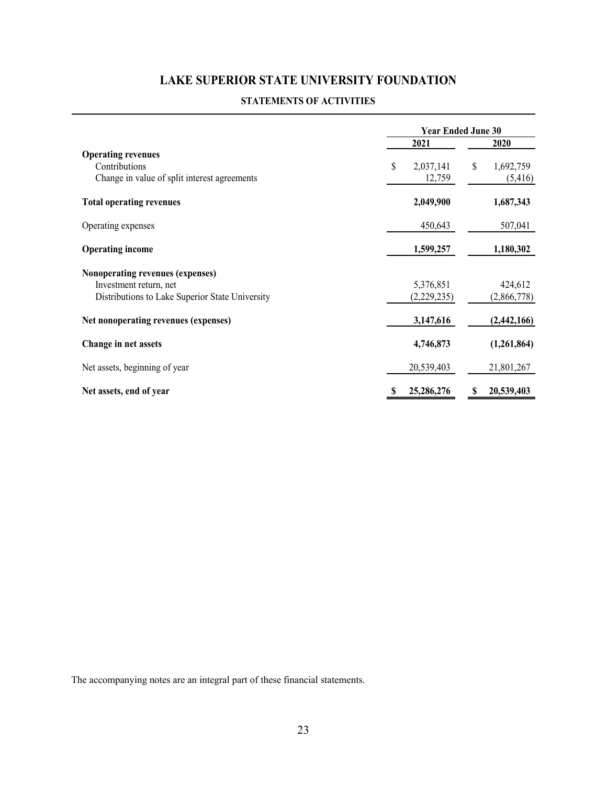## **LAKE SUPERIOR STATE UNIVERSITY FOUNDATION**

#### **STATEMENTS OF ACTIVITIES**

|                                                                                            | <b>Year Ended June 30</b> |                            |
|--------------------------------------------------------------------------------------------|---------------------------|----------------------------|
|                                                                                            | 2021                      | 2020                       |
| <b>Operating revenues</b><br>Contributions<br>Change in value of split interest agreements | \$<br>2,037,141<br>12,759 | \$<br>1,692,759<br>(5,416) |
| <b>Total operating revenues</b>                                                            | 2,049,900                 | 1,687,343                  |
| Operating expenses                                                                         | 450,643                   | 507,041                    |
| <b>Operating income</b>                                                                    | 1,599,257                 | 1,180,302                  |
| Nonoperating revenues (expenses)                                                           |                           |                            |
| Investment return, net                                                                     | 5,376,851                 | 424,612                    |
| Distributions to Lake Superior State University                                            | (2,229,235)               | (2,866,778)                |
| Net nonoperating revenues (expenses)                                                       | 3,147,616                 | (2,442,166)                |
| Change in net assets                                                                       | 4,746,873                 | (1,261,864)                |
| Net assets, beginning of year                                                              | 20,539,403                | 21,801,267                 |
| Net assets, end of year                                                                    | 25,286,276                | 20,539,403<br>\$           |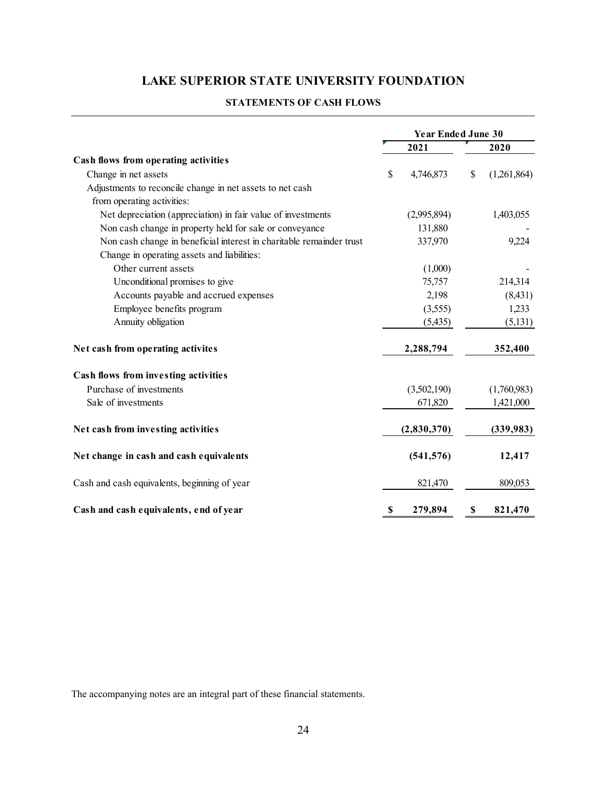# **LAKE SUPERIOR STATE UNIVERSITY FOUNDATION**

| <b>STATEMENTS OF CASH FLOWS</b> |
|---------------------------------|
|---------------------------------|

|                                                                      | <b>Year Ended June 30</b> |             |    |             |
|----------------------------------------------------------------------|---------------------------|-------------|----|-------------|
|                                                                      |                           | 2021        |    | 2020        |
| Cash flows from operating activities                                 |                           |             |    |             |
| Change in net assets                                                 | \$                        | 4,746,873   | \$ | (1,261,864) |
| Adjustments to reconcile change in net assets to net cash            |                           |             |    |             |
| from operating activities:                                           |                           |             |    |             |
| Net depreciation (appreciation) in fair value of investments         |                           | (2,995,894) |    | 1,403,055   |
| Non cash change in property held for sale or conveyance              |                           | 131,880     |    |             |
| Non cash change in beneficial interest in charitable remainder trust |                           | 337,970     |    | 9,224       |
| Change in operating assets and liabilities:                          |                           |             |    |             |
| Other current assets                                                 |                           | (1,000)     |    |             |
| Unconditional promises to give                                       |                           | 75,757      |    | 214,314     |
| Accounts payable and accrued expenses                                |                           | 2,198       |    | (8, 431)    |
| Employee benefits program                                            |                           | (3,555)     |    | 1,233       |
| Annuity obligation                                                   |                           | (5, 435)    |    | (5,131)     |
| Net cash from operating activites                                    |                           | 2,288,794   |    | 352,400     |
| Cash flows from investing activities                                 |                           |             |    |             |
| Purchase of investments                                              |                           | (3,502,190) |    | (1,760,983) |
| Sale of investments                                                  |                           | 671,820     |    | 1,421,000   |
| Net cash from investing activities                                   |                           | (2,830,370) |    | (339, 983)  |
| Net change in cash and cash equivalents                              |                           | (541, 576)  |    | 12,417      |
| Cash and cash equivalents, beginning of year                         |                           | 821,470     |    | 809,053     |
| Cash and cash equivalents, end of year                               | S                         | 279,894     | S  | 821,470     |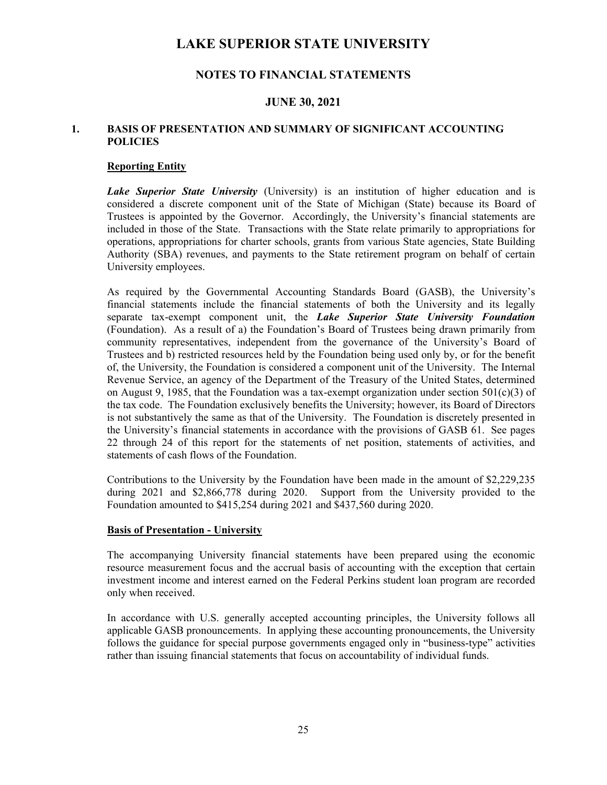## **NOTES TO FINANCIAL STATEMENTS**

### **JUNE 30, 2021**

### **1. BASIS OF PRESENTATION AND SUMMARY OF SIGNIFICANT ACCOUNTING POLICIES**

#### **Reporting Entity**

*Lake Superior State University* (University) is an institution of higher education and is considered a discrete component unit of the State of Michigan (State) because its Board of Trustees is appointed by the Governor. Accordingly, the University's financial statements are included in those of the State. Transactions with the State relate primarily to appropriations for operations, appropriations for charter schools, grants from various State agencies, State Building Authority (SBA) revenues, and payments to the State retirement program on behalf of certain University employees.

As required by the Governmental Accounting Standards Board (GASB), the University's financial statements include the financial statements of both the University and its legally separate tax-exempt component unit, the *Lake Superior State University Foundation* (Foundation). As a result of a) the Foundation's Board of Trustees being drawn primarily from community representatives, independent from the governance of the University's Board of Trustees and b) restricted resources held by the Foundation being used only by, or for the benefit of, the University, the Foundation is considered a component unit of the University. The Internal Revenue Service, an agency of the Department of the Treasury of the United States, determined on August 9, 1985, that the Foundation was a tax-exempt organization under section  $501(c)(3)$  of the tax code. The Foundation exclusively benefits the University; however, its Board of Directors is not substantively the same as that of the University. The Foundation is discretely presented in the University's financial statements in accordance with the provisions of GASB 61. See pages 22 through 24 of this report for the statements of net position, statements of activities, and statements of cash flows of the Foundation.

Contributions to the University by the Foundation have been made in the amount of \$2,229,235 during 2021 and \$2,866,778 during 2020. Support from the University provided to the Foundation amounted to \$415,254 during 2021 and \$437,560 during 2020.

#### **Basis of Presentation - University**

The accompanying University financial statements have been prepared using the economic resource measurement focus and the accrual basis of accounting with the exception that certain investment income and interest earned on the Federal Perkins student loan program are recorded only when received.

In accordance with U.S. generally accepted accounting principles, the University follows all applicable GASB pronouncements. In applying these accounting pronouncements, the University follows the guidance for special purpose governments engaged only in "business-type" activities rather than issuing financial statements that focus on accountability of individual funds.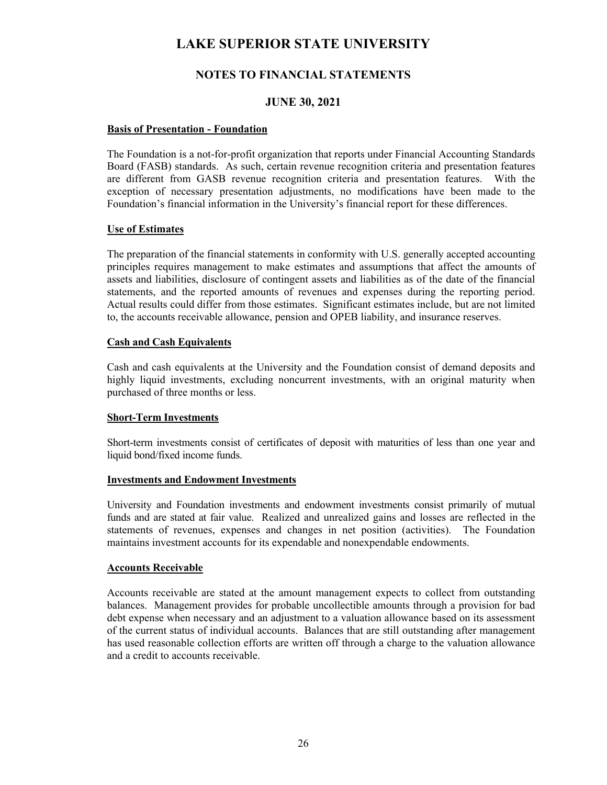## **NOTES TO FINANCIAL STATEMENTS**

### **JUNE 30, 2021**

#### **Basis of Presentation - Foundation**

The Foundation is a not-for-profit organization that reports under Financial Accounting Standards Board (FASB) standards. As such, certain revenue recognition criteria and presentation features are different from GASB revenue recognition criteria and presentation features. With the exception of necessary presentation adjustments, no modifications have been made to the Foundation's financial information in the University's financial report for these differences.

#### **Use of Estimates**

The preparation of the financial statements in conformity with U.S. generally accepted accounting principles requires management to make estimates and assumptions that affect the amounts of assets and liabilities, disclosure of contingent assets and liabilities as of the date of the financial statements, and the reported amounts of revenues and expenses during the reporting period. Actual results could differ from those estimates. Significant estimates include, but are not limited to, the accounts receivable allowance, pension and OPEB liability, and insurance reserves.

#### **Cash and Cash Equivalents**

Cash and cash equivalents at the University and the Foundation consist of demand deposits and highly liquid investments, excluding noncurrent investments, with an original maturity when purchased of three months or less.

#### **Short-Term Investments**

Short-term investments consist of certificates of deposit with maturities of less than one year and liquid bond/fixed income funds.

#### **Investments and Endowment Investments**

University and Foundation investments and endowment investments consist primarily of mutual funds and are stated at fair value. Realized and unrealized gains and losses are reflected in the statements of revenues, expenses and changes in net position (activities). The Foundation maintains investment accounts for its expendable and nonexpendable endowments.

#### **Accounts Receivable**

Accounts receivable are stated at the amount management expects to collect from outstanding balances. Management provides for probable uncollectible amounts through a provision for bad debt expense when necessary and an adjustment to a valuation allowance based on its assessment of the current status of individual accounts. Balances that are still outstanding after management has used reasonable collection efforts are written off through a charge to the valuation allowance and a credit to accounts receivable.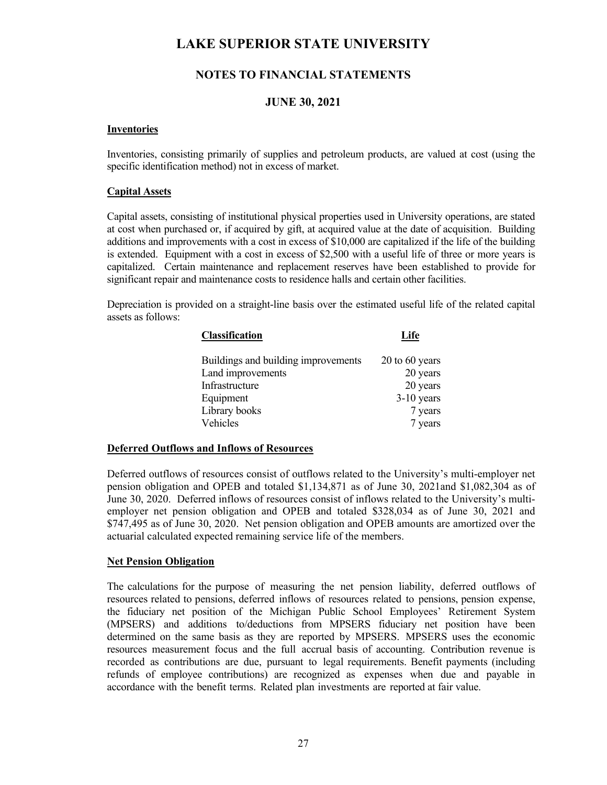## **NOTES TO FINANCIAL STATEMENTS**

### **JUNE 30, 2021**

#### **Inventories**

Inventories, consisting primarily of supplies and petroleum products, are valued at cost (using the specific identification method) not in excess of market.

#### **Capital Assets**

Capital assets, consisting of institutional physical properties used in University operations, are stated at cost when purchased or, if acquired by gift, at acquired value at the date of acquisition. Building additions and improvements with a cost in excess of \$10,000 are capitalized if the life of the building is extended. Equipment with a cost in excess of \$2,500 with a useful life of three or more years is capitalized. Certain maintenance and replacement reserves have been established to provide for significant repair and maintenance costs to residence halls and certain other facilities.

Depreciation is provided on a straight-line basis over the estimated useful life of the related capital assets as follows:

| Classification                      | Life             |
|-------------------------------------|------------------|
| Buildings and building improvements | $20$ to 60 years |
| Land improvements                   | 20 years         |
| Infrastructure                      | 20 years         |
| Equipment                           | $3-10$ years     |
| Library books                       | 7 years          |
| Vehicles                            | 7 years          |

#### **Deferred Outflows and Inflows of Resources**

Deferred outflows of resources consist of outflows related to the University's multi-employer net pension obligation and OPEB and totaled \$1,134,871 as of June 30, 2021and \$1,082,304 as of June 30, 2020. Deferred inflows of resources consist of inflows related to the University's multiemployer net pension obligation and OPEB and totaled \$328,034 as of June 30, 2021 and \$747,495 as of June 30, 2020. Net pension obligation and OPEB amounts are amortized over the actuarial calculated expected remaining service life of the members.

#### **Net Pension Obligation**

The calculations for the purpose of measuring the net pension liability, deferred outflows of resources related to pensions, deferred inflows of resources related to pensions, pension expense, the fiduciary net position of the Michigan Public School Employees' Retirement System (MPSERS) and additions to/deductions from MPSERS fiduciary net position have been determined on the same basis as they are reported by MPSERS. MPSERS uses the economic resources measurement focus and the full accrual basis of accounting. Contribution revenue is recorded as contributions are due, pursuant to legal requirements. Benefit payments (including refunds of employee contributions) are recognized as expenses when due and payable in accordance with the benefit terms. Related plan investments are reported at fair value.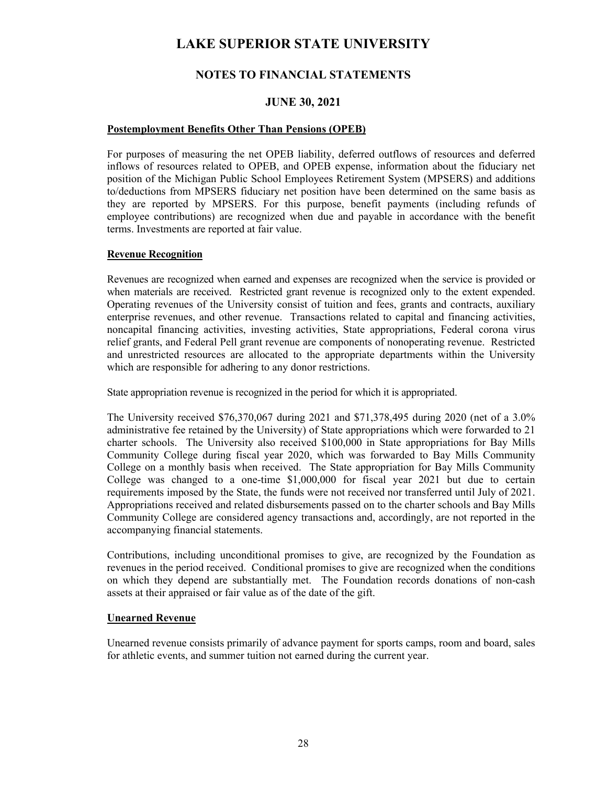## **NOTES TO FINANCIAL STATEMENTS**

### **JUNE 30, 2021**

#### **Postemployment Benefits Other Than Pensions (OPEB)**

For purposes of measuring the net OPEB liability, deferred outflows of resources and deferred inflows of resources related to OPEB, and OPEB expense, information about the fiduciary net position of the Michigan Public School Employees Retirement System (MPSERS) and additions to/deductions from MPSERS fiduciary net position have been determined on the same basis as they are reported by MPSERS. For this purpose, benefit payments (including refunds of employee contributions) are recognized when due and payable in accordance with the benefit terms. Investments are reported at fair value.

#### **Revenue Recognition**

Revenues are recognized when earned and expenses are recognized when the service is provided or when materials are received. Restricted grant revenue is recognized only to the extent expended. Operating revenues of the University consist of tuition and fees, grants and contracts, auxiliary enterprise revenues, and other revenue. Transactions related to capital and financing activities, noncapital financing activities, investing activities, State appropriations, Federal corona virus relief grants, and Federal Pell grant revenue are components of nonoperating revenue. Restricted and unrestricted resources are allocated to the appropriate departments within the University which are responsible for adhering to any donor restrictions.

State appropriation revenue is recognized in the period for which it is appropriated.

The University received \$76,370,067 during 2021 and \$71,378,495 during 2020 (net of a 3.0% administrative fee retained by the University) of State appropriations which were forwarded to 21 charter schools. The University also received \$100,000 in State appropriations for Bay Mills Community College during fiscal year 2020, which was forwarded to Bay Mills Community College on a monthly basis when received. The State appropriation for Bay Mills Community College was changed to a one-time \$1,000,000 for fiscal year 2021 but due to certain requirements imposed by the State, the funds were not received nor transferred until July of 2021. Appropriations received and related disbursements passed on to the charter schools and Bay Mills Community College are considered agency transactions and, accordingly, are not reported in the accompanying financial statements.

Contributions, including unconditional promises to give, are recognized by the Foundation as revenues in the period received. Conditional promises to give are recognized when the conditions on which they depend are substantially met. The Foundation records donations of non-cash assets at their appraised or fair value as of the date of the gift.

#### **Unearned Revenue**

Unearned revenue consists primarily of advance payment for sports camps, room and board, sales for athletic events, and summer tuition not earned during the current year.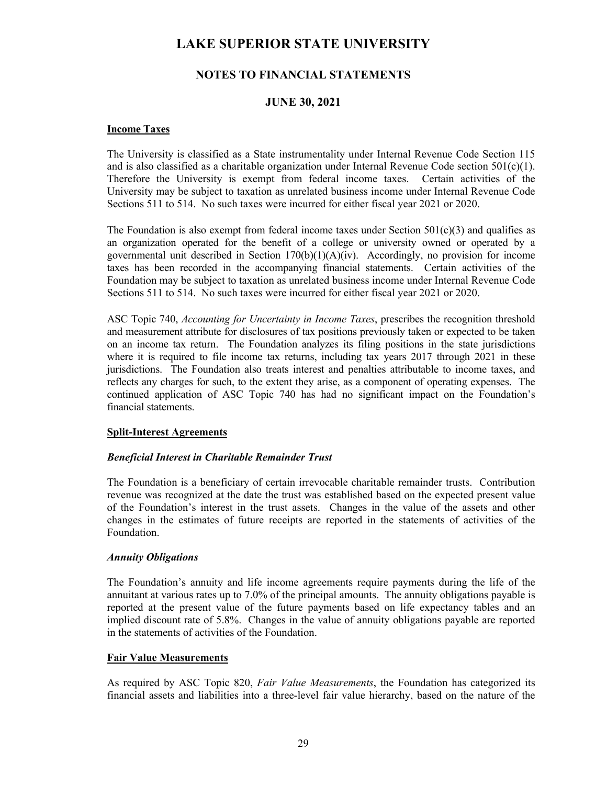## **NOTES TO FINANCIAL STATEMENTS**

### **JUNE 30, 2021**

#### **Income Taxes**

 The University is classified as a State instrumentality under Internal Revenue Code Section 115 and is also classified as a charitable organization under Internal Revenue Code section  $501(c)(1)$ . Therefore the University is exempt from federal income taxes. Certain activities of the University may be subject to taxation as unrelated business income under Internal Revenue Code Sections 511 to 514. No such taxes were incurred for either fiscal year 2021 or 2020.

The Foundation is also exempt from federal income taxes under Section  $501(c)(3)$  and qualifies as an organization operated for the benefit of a college or university owned or operated by a governmental unit described in Section  $170(b)(1)(A)(iv)$ . Accordingly, no provision for income taxes has been recorded in the accompanying financial statements. Certain activities of the Foundation may be subject to taxation as unrelated business income under Internal Revenue Code Sections 511 to 514. No such taxes were incurred for either fiscal year 2021 or 2020.

 ASC Topic 740, *Accounting for Uncertainty in Income Taxes*, prescribes the recognition threshold and measurement attribute for disclosures of tax positions previously taken or expected to be taken on an income tax return. The Foundation analyzes its filing positions in the state jurisdictions where it is required to file income tax returns, including tax years 2017 through 2021 in these jurisdictions. The Foundation also treats interest and penalties attributable to income taxes, and reflects any charges for such, to the extent they arise, as a component of operating expenses. The continued application of ASC Topic 740 has had no significant impact on the Foundation's financial statements.

#### **Split-Interest Agreements**

#### *Beneficial Interest in Charitable Remainder Trust*

The Foundation is a beneficiary of certain irrevocable charitable remainder trusts. Contribution revenue was recognized at the date the trust was established based on the expected present value of the Foundation's interest in the trust assets. Changes in the value of the assets and other changes in the estimates of future receipts are reported in the statements of activities of the Foundation.

#### *Annuity Obligations*

The Foundation's annuity and life income agreements require payments during the life of the annuitant at various rates up to 7.0% of the principal amounts. The annuity obligations payable is reported at the present value of the future payments based on life expectancy tables and an implied discount rate of 5.8%. Changes in the value of annuity obligations payable are reported in the statements of activities of the Foundation.

#### **Fair Value Measurements**

 As required by ASC Topic 820, *Fair Value Measurements*, the Foundation has categorized its financial assets and liabilities into a three-level fair value hierarchy, based on the nature of the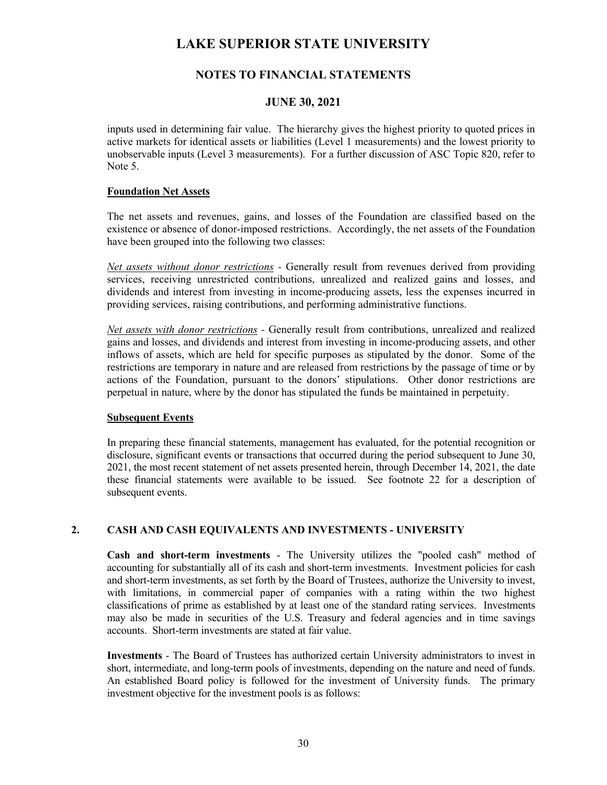## **NOTES TO FINANCIAL STATEMENTS**

#### **JUNE 30, 2021**

inputs used in determining fair value. The hierarchy gives the highest priority to quoted prices in active markets for identical assets or liabilities (Level 1 measurements) and the lowest priority to unobservable inputs (Level 3 measurements). For a further discussion of ASC Topic 820, refer to Note 5.

#### **Foundation Net Assets**

The net assets and revenues, gains, and losses of the Foundation are classified based on the existence or absence of donor-imposed restrictions. Accordingly, the net assets of the Foundation have been grouped into the following two classes:

*Net assets without donor restrictions -* Generally result from revenues derived from providing services, receiving unrestricted contributions, unrealized and realized gains and losses, and dividends and interest from investing in income-producing assets, less the expenses incurred in providing services, raising contributions, and performing administrative functions.

*Net assets with donor restrictions -* Generally result from contributions, unrealized and realized gains and losses, and dividends and interest from investing in income-producing assets, and other inflows of assets, which are held for specific purposes as stipulated by the donor. Some of the restrictions are temporary in nature and are released from restrictions by the passage of time or by actions of the Foundation, pursuant to the donors' stipulations. Other donor restrictions are perpetual in nature, where by the donor has stipulated the funds be maintained in perpetuity.

#### **Subsequent Events**

In preparing these financial statements, management has evaluated, for the potential recognition or disclosure, significant events or transactions that occurred during the period subsequent to June 30, 2021, the most recent statement of net assets presented herein, through December 14, 2021, the date these financial statements were available to be issued. See footnote 22 for a description of subsequent events.

#### **2. CASH AND CASH EQUIVALENTS AND INVESTMENTS - UNIVERSITY**

**Cash and short-term investments** - The University utilizes the "pooled cash" method of accounting for substantially all of its cash and short-term investments. Investment policies for cash and short-term investments, as set forth by the Board of Trustees, authorize the University to invest, with limitations, in commercial paper of companies with a rating within the two highest classifications of prime as established by at least one of the standard rating services. Investments may also be made in securities of the U.S. Treasury and federal agencies and in time savings accounts. Short-term investments are stated at fair value.

**Investments** - The Board of Trustees has authorized certain University administrators to invest in short, intermediate, and long-term pools of investments, depending on the nature and need of funds. An established Board policy is followed for the investment of University funds. The primary investment objective for the investment pools is as follows: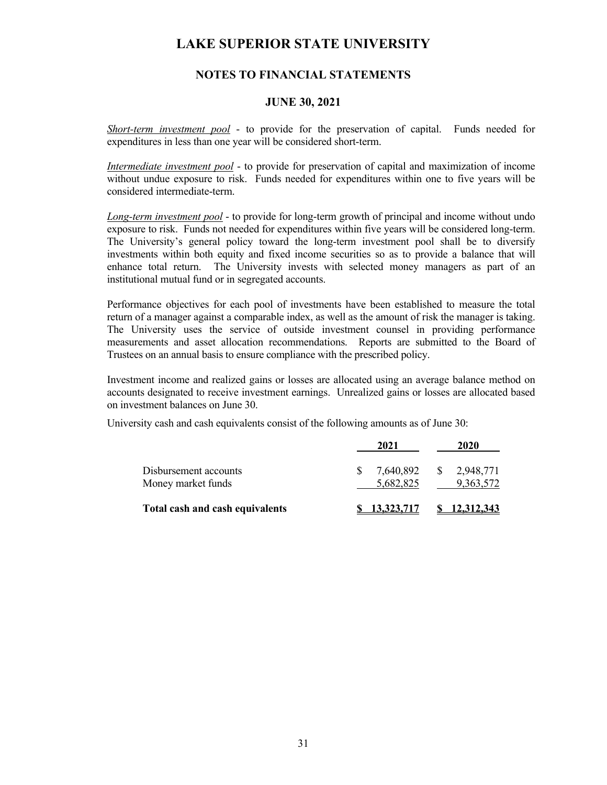## **NOTES TO FINANCIAL STATEMENTS**

#### **JUNE 30, 2021**

*Short-term investment pool* - to provide for the preservation of capital. Funds needed for expenditures in less than one year will be considered short-term.

*Intermediate investment pool* - to provide for preservation of capital and maximization of income without undue exposure to risk. Funds needed for expenditures within one to five years will be considered intermediate-term.

*Long-term investment pool* - to provide for long-term growth of principal and income without undo exposure to risk. Funds not needed for expenditures within five years will be considered long-term. The University's general policy toward the long-term investment pool shall be to diversify investments within both equity and fixed income securities so as to provide a balance that will enhance total return. The University invests with selected money managers as part of an institutional mutual fund or in segregated accounts.

Performance objectives for each pool of investments have been established to measure the total return of a manager against a comparable index, as well as the amount of risk the manager is taking. The University uses the service of outside investment counsel in providing performance measurements and asset allocation recommendations. Reports are submitted to the Board of Trustees on an annual basis to ensure compliance with the prescribed policy.

Investment income and realized gains or losses are allocated using an average balance method on accounts designated to receive investment earnings. Unrealized gains or losses are allocated based on investment balances on June 30.

University cash and cash equivalents consist of the following amounts as of June 30:

|                                             | 2021                                   | 2020                         |
|---------------------------------------------|----------------------------------------|------------------------------|
| Disbursement accounts<br>Money market funds | 7,640,892<br><sup>S</sup><br>5,682,825 | 2,948,771<br>S.<br>9,363,572 |
| Total cash and cash equivalents             | 13.323.717                             | 12.312.343                   |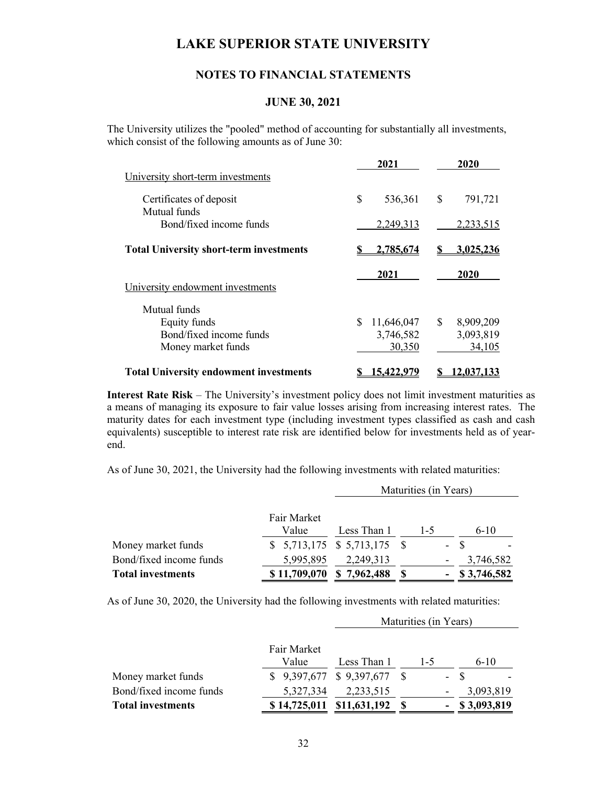### **NOTES TO FINANCIAL STATEMENTS**

#### **JUNE 30, 2021**

The University utilizes the "pooled" method of accounting for substantially all investments, which consist of the following amounts as of June 30:

| University short-term investments                                             | 2021                                     | 2020                                   |
|-------------------------------------------------------------------------------|------------------------------------------|----------------------------------------|
| Certificates of deposit                                                       | \$<br>536,361                            | $\mathbb{S}$<br>791,721                |
| Mutual funds<br>Bond/fixed income funds                                       | 2,249,313                                | 2,233,515                              |
| <b>Total University short-term investments</b>                                | 2,785,674                                | 3,025,236                              |
| University endowment investments                                              | 2021                                     | 2020                                   |
| Mutual funds<br>Equity funds<br>Bond/fixed income funds<br>Money market funds | \$.<br>11,646,047<br>3,746,582<br>30,350 | \$<br>8,909,209<br>3,093,819<br>34,105 |
| <b>Total University endowment investments</b>                                 | 5.422.979                                | 12.037.133                             |

**Interest Rate Risk** – The University's investment policy does not limit investment maturities as a means of managing its exposure to fair value losses arising from increasing interest rates. The maturity dates for each investment type (including investment types classified as cash and cash equivalents) susceptible to interest rate risk are identified below for investments held as of yearend.

As of June 30, 2021, the University had the following investments with related maturities:

|                          |              | Maturities (in Years)         |            |                  |  |
|--------------------------|--------------|-------------------------------|------------|------------------|--|
|                          |              |                               |            |                  |  |
|                          | Fair Market  |                               |            |                  |  |
|                          | Value        | Less Than 1                   | $1 - 5$    | $6 - 10$         |  |
| Money market funds       |              | $$5,713,175$ $$5,713,175$ $$$ | $\omega$ . |                  |  |
| Bond/fixed income funds  | 5,995,895    | 2,249,313                     |            | 3,746,582        |  |
| <b>Total investments</b> | \$11,709,070 | \$7,962,488                   |            | $-$ \$ 3,746,582 |  |

As of June 30, 2020, the University had the following investments with related maturities:

|                          |             | Maturities (in Years)         |         |  |                  |
|--------------------------|-------------|-------------------------------|---------|--|------------------|
|                          |             |                               |         |  |                  |
|                          | Fair Market |                               |         |  |                  |
|                          | Value       | Less Than 1                   | $1 - 5$ |  | $6 - 10$         |
| Money market funds       |             | $$9,397,677$ $$9,397,677$ $$$ |         |  | - \$             |
| Bond/fixed income funds  | 5,327,334   | 2,233,515                     |         |  | 3,093,819        |
| <b>Total investments</b> |             | \$14,725,011 \$11,631,192     |         |  | $-$ \$ 3,093,819 |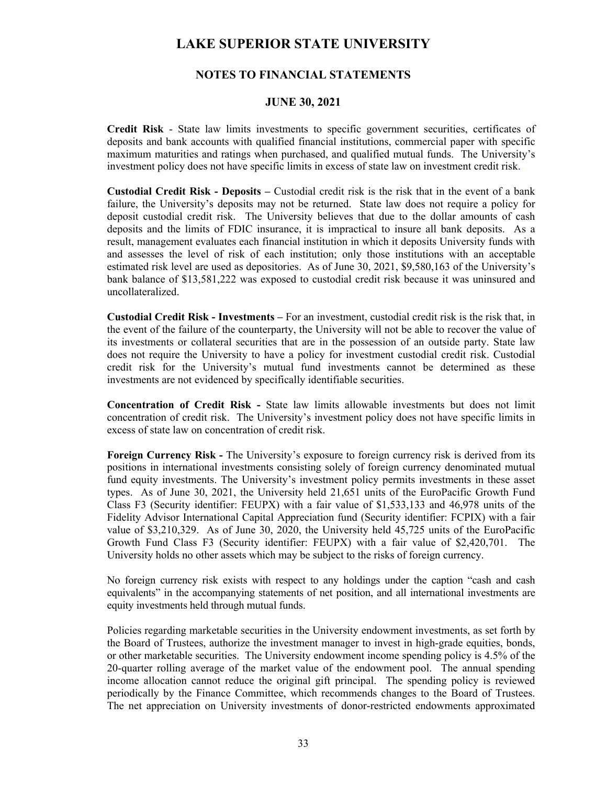## **NOTES TO FINANCIAL STATEMENTS**

#### **JUNE 30, 2021**

**Credit Risk** - State law limits investments to specific government securities, certificates of deposits and bank accounts with qualified financial institutions, commercial paper with specific maximum maturities and ratings when purchased, and qualified mutual funds. The University's investment policy does not have specific limits in excess of state law on investment credit risk.

**Custodial Credit Risk - Deposits –** Custodial credit risk is the risk that in the event of a bank failure, the University's deposits may not be returned. State law does not require a policy for deposit custodial credit risk. The University believes that due to the dollar amounts of cash deposits and the limits of FDIC insurance, it is impractical to insure all bank deposits. As a result, management evaluates each financial institution in which it deposits University funds with and assesses the level of risk of each institution; only those institutions with an acceptable estimated risk level are used as depositories. As of June 30, 2021, \$9,580,163 of the University's bank balance of \$13,581,222 was exposed to custodial credit risk because it was uninsured and uncollateralized.

 **Custodial Credit Risk - Investments –** For an investment, custodial credit risk is the risk that, in the event of the failure of the counterparty, the University will not be able to recover the value of its investments or collateral securities that are in the possession of an outside party. State law does not require the University to have a policy for investment custodial credit risk. Custodial credit risk for the University's mutual fund investments cannot be determined as these investments are not evidenced by specifically identifiable securities.

**Concentration of Credit Risk -** State law limits allowable investments but does not limit concentration of credit risk. The University's investment policy does not have specific limits in excess of state law on concentration of credit risk.

**Foreign Currency Risk -** The University's exposure to foreign currency risk is derived from its positions in international investments consisting solely of foreign currency denominated mutual fund equity investments. The University's investment policy permits investments in these asset types. As of June 30, 2021, the University held 21,651 units of the EuroPacific Growth Fund Class F3 (Security identifier: FEUPX) with a fair value of \$1,533,133 and 46,978 units of the Fidelity Advisor International Capital Appreciation fund (Security identifier: FCPIX) with a fair value of \$3,210,329. As of June 30, 2020, the University held 45,725 units of the EuroPacific Growth Fund Class F3 (Security identifier: FEUPX) with a fair value of \$2,420,701. The University holds no other assets which may be subject to the risks of foreign currency.

No foreign currency risk exists with respect to any holdings under the caption "cash and cash equivalents" in the accompanying statements of net position, and all international investments are equity investments held through mutual funds.

Policies regarding marketable securities in the University endowment investments, as set forth by the Board of Trustees, authorize the investment manager to invest in high-grade equities, bonds, or other marketable securities. The University endowment income spending policy is 4.5% of the 20-quarter rolling average of the market value of the endowment pool. The annual spending income allocation cannot reduce the original gift principal. The spending policy is reviewed periodically by the Finance Committee, which recommends changes to the Board of Trustees. The net appreciation on University investments of donor-restricted endowments approximated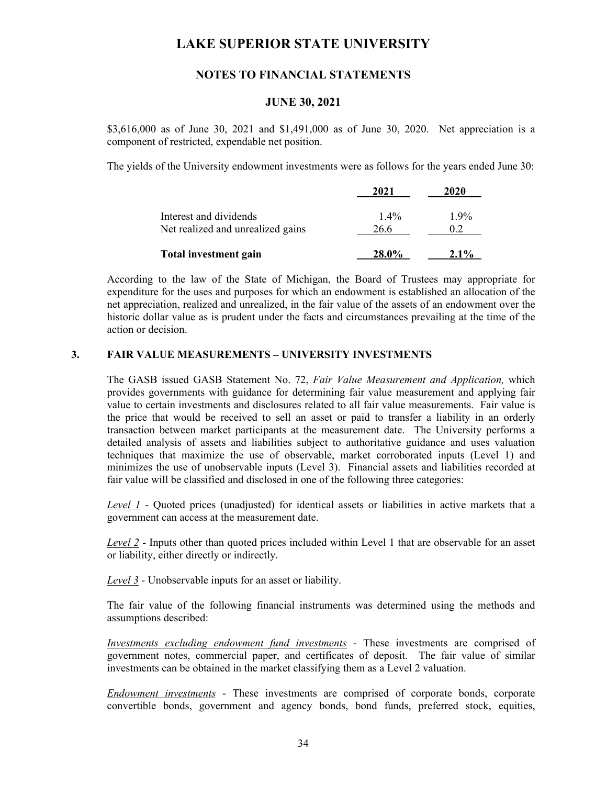## **NOTES TO FINANCIAL STATEMENTS**

#### **JUNE 30, 2021**

\$3,616,000 as of June 30, 2021 and \$1,491,000 as of June 30, 2020. Net appreciation is a component of restricted, expendable net position.

The yields of the University endowment investments were as follows for the years ended June 30:

|                                                             | 2021            | 2020    |
|-------------------------------------------------------------|-----------------|---------|
| Interest and dividends<br>Net realized and unrealized gains | $1.4\%$<br>26.6 | $1.9\%$ |
| <b>Total investment gain</b>                                |                 |         |

According to the law of the State of Michigan, the Board of Trustees may appropriate for expenditure for the uses and purposes for which an endowment is established an allocation of the net appreciation, realized and unrealized, in the fair value of the assets of an endowment over the historic dollar value as is prudent under the facts and circumstances prevailing at the time of the action or decision.

### **3. FAIR VALUE MEASUREMENTS – UNIVERSITY INVESTMENTS**

The GASB issued GASB Statement No. 72, *Fair Value Measurement and Application,* which provides governments with guidance for determining fair value measurement and applying fair value to certain investments and disclosures related to all fair value measurements. Fair value is the price that would be received to sell an asset or paid to transfer a liability in an orderly transaction between market participants at the measurement date. The University performs a detailed analysis of assets and liabilities subject to authoritative guidance and uses valuation techniques that maximize the use of observable, market corroborated inputs (Level 1) and minimizes the use of unobservable inputs (Level 3). Financial assets and liabilities recorded at fair value will be classified and disclosed in one of the following three categories:

*Level 1* - Quoted prices (unadjusted) for identical assets or liabilities in active markets that a government can access at the measurement date.

*Level 2* - Inputs other than quoted prices included within Level 1 that are observable for an asset or liability, either directly or indirectly.

*Level 3* - Unobservable inputs for an asset or liability.

The fair value of the following financial instruments was determined using the methods and assumptions described:

*Investments excluding endowment fund investments* - These investments are comprised of government notes, commercial paper, and certificates of deposit. The fair value of similar investments can be obtained in the market classifying them as a Level 2 valuation.

*Endowment investments* - These investments are comprised of corporate bonds, corporate convertible bonds, government and agency bonds, bond funds, preferred stock, equities,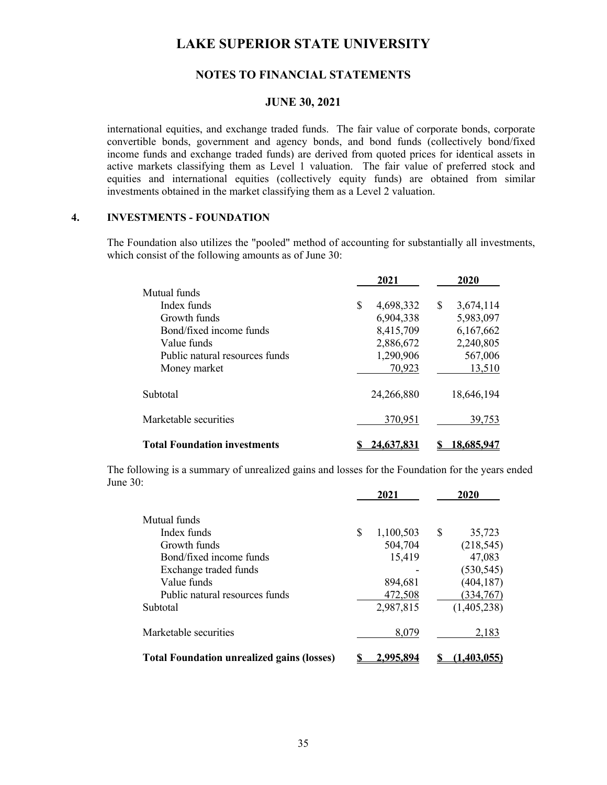## **NOTES TO FINANCIAL STATEMENTS**

#### **JUNE 30, 2021**

international equities, and exchange traded funds. The fair value of corporate bonds, corporate convertible bonds, government and agency bonds, and bond funds (collectively bond/fixed income funds and exchange traded funds) are derived from quoted prices for identical assets in active markets classifying them as Level 1 valuation. The fair value of preferred stock and equities and international equities (collectively equity funds) are obtained from similar investments obtained in the market classifying them as a Level 2 valuation.

### **4. INVESTMENTS - FOUNDATION**

The Foundation also utilizes the "pooled" method of accounting for substantially all investments, which consist of the following amounts as of June 30:

|                                     | 2021            | 2020            |
|-------------------------------------|-----------------|-----------------|
| Mutual funds                        |                 |                 |
| Index funds                         | \$<br>4,698,332 | \$<br>3,674,114 |
| Growth funds                        | 6,904,338       | 5,983,097       |
| Bond/fixed income funds             | 8,415,709       | 6,167,662       |
| Value funds                         | 2,886,672       | 2,240,805       |
| Public natural resources funds      | 1,290,906       | 567,006         |
| Money market                        | 70,923          | 13,510          |
| Subtotal                            | 24,266,880      | 18,646,194      |
| Marketable securities               | 370,951         | 39,753          |
| <b>Total Foundation investments</b> | 24.637.831      | 18.685.947      |

The following is a summary of unrealized gains and losses for the Foundation for the years ended June 30:

|                                                   | 2021             |   | 2020        |
|---------------------------------------------------|------------------|---|-------------|
| Mutual funds                                      |                  |   |             |
| Index funds                                       | \$<br>1,100,503  | S | 35,723      |
| Growth funds                                      | 504,704          |   | (218, 545)  |
| Bond/fixed income funds                           | 15,419           |   | 47,083      |
| Exchange traded funds                             |                  |   | (530, 545)  |
| Value funds                                       | 894,681          |   | (404, 187)  |
| Public natural resources funds                    | 472,508          |   | (334, 767)  |
| Subtotal                                          | 2,987,815        |   | (1,405,238) |
| Marketable securities                             | 8,079            |   | 2,183       |
| <b>Total Foundation unrealized gains (losses)</b> | <u>2,995,894</u> |   | (1,403,055) |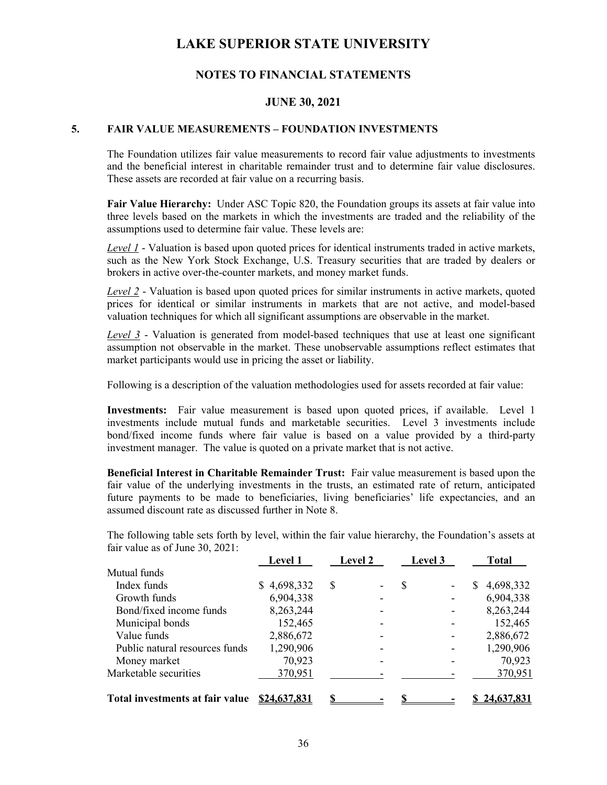## **NOTES TO FINANCIAL STATEMENTS**

### **JUNE 30, 2021**

### **5. FAIR VALUE MEASUREMENTS – FOUNDATION INVESTMENTS**

The Foundation utilizes fair value measurements to record fair value adjustments to investments and the beneficial interest in charitable remainder trust and to determine fair value disclosures. These assets are recorded at fair value on a recurring basis.

**Fair Value Hierarchy:** Under ASC Topic 820, the Foundation groups its assets at fair value into three levels based on the markets in which the investments are traded and the reliability of the assumptions used to determine fair value. These levels are:

*Level 1* - Valuation is based upon quoted prices for identical instruments traded in active markets, such as the New York Stock Exchange, U.S. Treasury securities that are traded by dealers or brokers in active over-the-counter markets, and money market funds.

*Level 2* - Valuation is based upon quoted prices for similar instruments in active markets, quoted prices for identical or similar instruments in markets that are not active, and model-based valuation techniques for which all significant assumptions are observable in the market.

*Level 3* - Valuation is generated from model-based techniques that use at least one significant assumption not observable in the market. These unobservable assumptions reflect estimates that market participants would use in pricing the asset or liability.

Following is a description of the valuation methodologies used for assets recorded at fair value:

**Investments:** Fair value measurement is based upon quoted prices, if available. Level 1 investments include mutual funds and marketable securities. Level 3 investments include bond/fixed income funds where fair value is based on a value provided by a third-party investment manager. The value is quoted on a private market that is not active.

**Beneficial Interest in Charitable Remainder Trust:** Fair value measurement is based upon the fair value of the underlying investments in the trusts, an estimated rate of return, anticipated future payments to be made to beneficiaries, living beneficiaries' life expectancies, and an assumed discount rate as discussed further in Note 8.

 The following table sets forth by level, within the fair value hierarchy, the Foundation's assets at fair value as of June 30, 2021:  **Level 1 Level 2 Level 3 Total** 

|                                 | Level 1      | Levei 2 |    | Level 3 |   | 1 otal     |
|---------------------------------|--------------|---------|----|---------|---|------------|
| Mutual funds                    |              |         |    |         |   |            |
| Index funds                     | \$4,698,332  | S       | \$ | -       | S | 4,698,332  |
| Growth funds                    | 6,904,338    |         |    |         |   | 6,904,338  |
| Bond/fixed income funds         | 8,263,244    |         |    |         |   | 8,263,244  |
| Municipal bonds                 | 152,465      |         |    |         |   | 152,465    |
| Value funds                     | 2,886,672    |         |    |         |   | 2,886,672  |
| Public natural resources funds  | 1,290,906    |         |    | -       |   | 1,290,906  |
| Money market                    | 70,923       |         |    |         |   | 70,923     |
| Marketable securities           | 370,951      |         |    |         |   | 370,951    |
| Total investments at fair value | \$24,637,831 |         |    |         |   | 24,637,831 |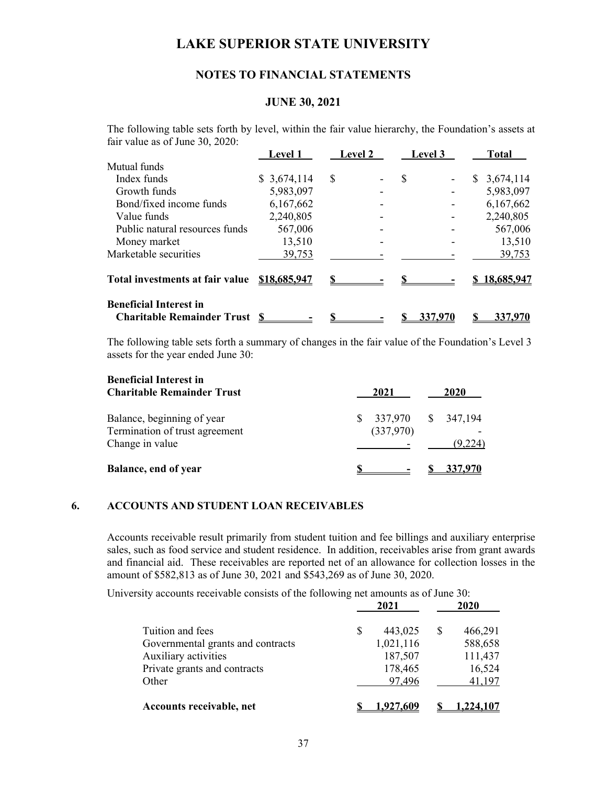## **NOTES TO FINANCIAL STATEMENTS**

### **JUNE 30, 2021**

 The following table sets forth by level, within the fair value hierarchy, the Foundation's assets at fair value as of June 30, 2020:

|                                                                    | <b>Level 1</b> | <b>Level 2</b> | <b>Level 3</b> | <b>Total</b>   |
|--------------------------------------------------------------------|----------------|----------------|----------------|----------------|
| Mutual funds                                                       |                |                |                |                |
| Index funds                                                        | \$3,674,114    | S              | \$             | 3,674,114<br>S |
| Growth funds                                                       | 5,983,097      |                |                | 5,983,097      |
| Bond/fixed income funds                                            | 6,167,662      |                |                | 6,167,662      |
| Value funds                                                        | 2,240,805      |                |                | 2,240,805      |
| Public natural resources funds                                     | 567,006        |                |                | 567,006        |
| Money market                                                       | 13,510         |                |                | 13,510         |
| Marketable securities                                              | 39,753         |                |                | 39,753         |
| Total investments at fair value                                    | \$18,685,947   |                |                | 18,685,947     |
| <b>Beneficial Interest in</b><br><b>Charitable Remainder Trust</b> |                |                | 337,970        | 337,970        |

The following table sets forth a summary of changes in the fair value of the Foundation's Level 3 assets for the year ended June 30:

| <b>Beneficial Interest in</b><br><b>Charitable Remainder Trust</b>              | 2021                            | 2020    |
|---------------------------------------------------------------------------------|---------------------------------|---------|
| Balance, beginning of year<br>Termination of trust agreement<br>Change in value | 337,970 \$ 347,194<br>(337,970) | (9,224) |
| Balance, end of year                                                            |                                 | 337,970 |

### **6. ACCOUNTS AND STUDENT LOAN RECEIVABLES**

Accounts receivable result primarily from student tuition and fee billings and auxiliary enterprise sales, such as food service and student residence. In addition, receivables arise from grant awards and financial aid. These receivables are reported net of an allowance for collection losses in the amount of \$582,813 as of June 30, 2021 and \$543,269 as of June 30, 2020.

University accounts receivable consists of the following net amounts as of June 30:

|                                   | 2021           |   | 2020     |
|-----------------------------------|----------------|---|----------|
| Tuition and fees                  | 443,025        | S | 466,291  |
| Governmental grants and contracts | 1,021,116      |   | 588,658  |
| Auxiliary activities              | 187,507        |   | 111,437  |
| Private grants and contracts      | 178,465        |   | 16,524   |
| Other                             | 97,496         |   | 41,197   |
| Accounts receivable, net          | <u>927,609</u> |   | ,224,107 |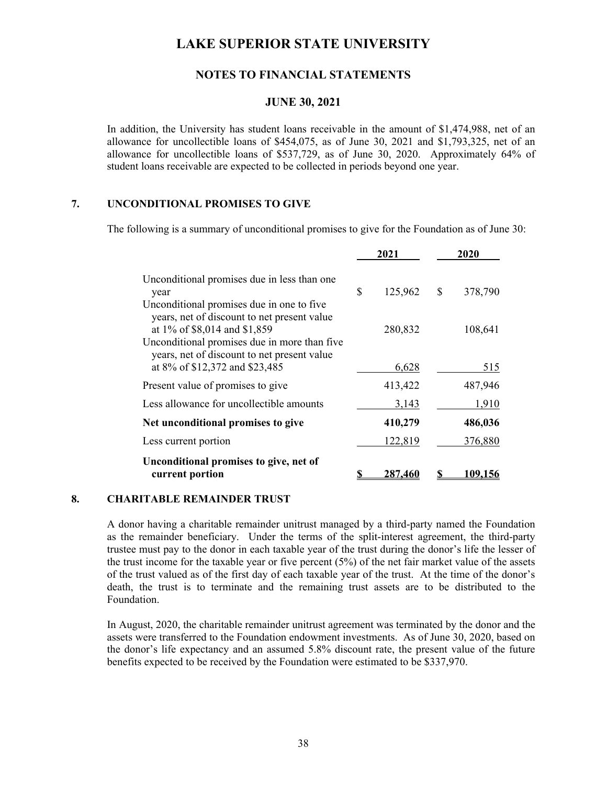## **NOTES TO FINANCIAL STATEMENTS**

### **JUNE 30, 2021**

In addition, the University has student loans receivable in the amount of \$1,474,988, net of an allowance for uncollectible loans of \$454,075, as of June 30, 2021 and \$1,793,325, net of an allowance for uncollectible loans of \$537,729, as of June 30, 2020. Approximately 64% of student loans receivable are expected to be collected in periods beyond one year.

## **7. UNCONDITIONAL PROMISES TO GIVE**

The following is a summary of unconditional promises to give for the Foundation as of June 30:

|                                                                                                                          | 2021          |             | 2020    |
|--------------------------------------------------------------------------------------------------------------------------|---------------|-------------|---------|
| Unconditional promises due in less than one<br>year                                                                      | \$<br>125,962 | $\mathbf S$ | 378,790 |
| Unconditional promises due in one to five<br>years, net of discount to net present value<br>at 1% of \$8,014 and \$1,859 | 280,832       |             | 108,641 |
| Unconditional promises due in more than five<br>years, net of discount to net present value                              |               |             |         |
| at 8% of \$12,372 and \$23,485                                                                                           | 6,628         |             | 515     |
| Present value of promises to give                                                                                        | 413,422       |             | 487,946 |
| Less allowance for uncollectible amounts                                                                                 | 3,143         |             | 1,910   |
| Net unconditional promises to give                                                                                       | 410,279       |             | 486,036 |
| Less current portion                                                                                                     | 122,819       |             | 376,880 |
| Unconditional promises to give, net of<br>current portion                                                                | 287.461       |             | 09.1    |

### **8. CHARITABLE REMAINDER TRUST**

A donor having a charitable remainder unitrust managed by a third-party named the Foundation as the remainder beneficiary. Under the terms of the split-interest agreement, the third-party trustee must pay to the donor in each taxable year of the trust during the donor's life the lesser of the trust income for the taxable year or five percent (5%) of the net fair market value of the assets of the trust valued as of the first day of each taxable year of the trust. At the time of the donor's death, the trust is to terminate and the remaining trust assets are to be distributed to the Foundation.

In August, 2020, the charitable remainder unitrust agreement was terminated by the donor and the assets were transferred to the Foundation endowment investments. As of June 30, 2020, based on the donor's life expectancy and an assumed 5.8% discount rate, the present value of the future benefits expected to be received by the Foundation were estimated to be \$337,970.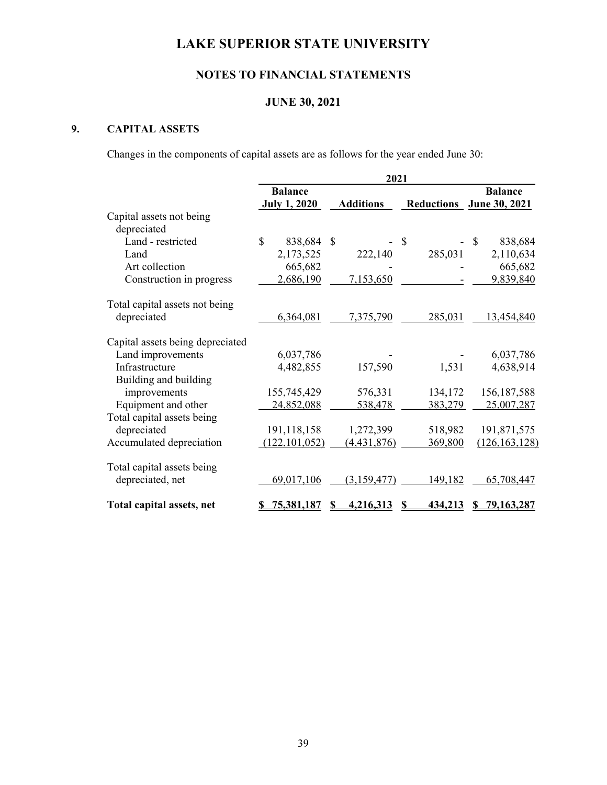# **NOTES TO FINANCIAL STATEMENTS**

# **JUNE 30, 2021**

# **9. CAPITAL ASSETS**

Changes in the components of capital assets are as follows for the year ended June 30:

|                                  | 2021                |                  |               |                          |  |
|----------------------------------|---------------------|------------------|---------------|--------------------------|--|
|                                  | <b>Balance</b>      |                  |               | <b>Balance</b>           |  |
|                                  | <b>July 1, 2020</b> | <b>Additions</b> |               | Reductions June 30, 2021 |  |
| Capital assets not being         |                     |                  |               |                          |  |
| depreciated                      |                     |                  |               |                          |  |
| Land - restricted                | \$<br>838,684       | <sup>\$</sup>    | <sup>\$</sup> | \$<br>838,684            |  |
| Land                             | 2,173,525           | 222,140          | 285,031       | 2,110,634                |  |
| Art collection                   | 665,682             |                  |               | 665,682                  |  |
| Construction in progress         | 2,686,190           | 7,153,650        |               | 9,839,840                |  |
| Total capital assets not being   |                     |                  |               |                          |  |
| depreciated                      | 6,364,081           | 7,375,790        | 285,031       | 13,454,840               |  |
| Capital assets being depreciated |                     |                  |               |                          |  |
| Land improvements                | 6,037,786           |                  |               | 6,037,786                |  |
| Infrastructure                   | 4,482,855           | 157,590          | 1,531         | 4,638,914                |  |
| Building and building            |                     |                  |               |                          |  |
| improvements                     | 155,745,429         | 576,331          | 134,172       | 156, 187, 588            |  |
| Equipment and other              | 24,852,088          | 538,478          | 383,279       | 25,007,287               |  |
| Total capital assets being       |                     |                  |               |                          |  |
| depreciated                      | 191,118,158         | 1,272,399        | 518,982       | 191,871,575              |  |
| Accumulated depreciation         | (122, 101, 052)     | (4,431,876)      | 369,800       | (126, 163, 128)          |  |
| Total capital assets being       |                     |                  |               |                          |  |
| depreciated, net                 | 69,017,106          | (3, 159, 477)    | 149,182       | 65,708,447               |  |
| Total capital assets, net        | 75,381,187          | 4,216,313        | 434,213       | 79,163,287<br>S          |  |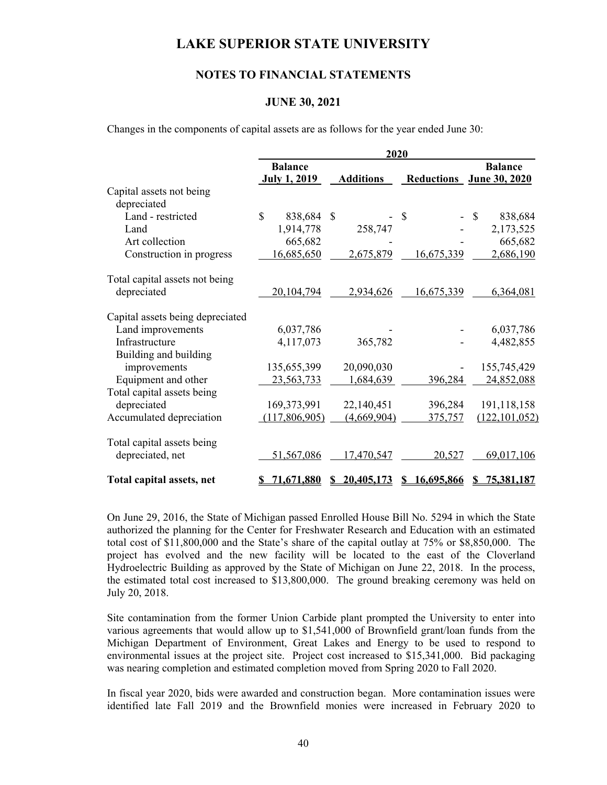### **NOTES TO FINANCIAL STATEMENTS**

#### **JUNE 30, 2021**

Changes in the components of capital assets are as follows for the year ended June 30:

|                                  | 2020                                  |                   |                        |                                            |  |
|----------------------------------|---------------------------------------|-------------------|------------------------|--------------------------------------------|--|
|                                  | <b>Balance</b><br><b>July 1, 2019</b> | <b>Additions</b>  |                        | <b>Balance</b><br>Reductions June 30, 2020 |  |
| Capital assets not being         |                                       |                   |                        |                                            |  |
| depreciated                      |                                       |                   |                        |                                            |  |
| Land - restricted                | \$<br>838,684                         | <sup>\$</sup>     | $\mathcal{S}$          | \$<br>838,684                              |  |
| Land                             | 1,914,778                             | 258,747           |                        | 2,173,525                                  |  |
| Art collection                   | 665,682                               |                   |                        | 665,682                                    |  |
| Construction in progress         | 16,685,650                            | 2,675,879         | 16,675,339             | 2,686,190                                  |  |
| Total capital assets not being   |                                       |                   |                        |                                            |  |
| depreciated                      | 20,104,794                            | 2,934,626         | 16,675,339             | 6,364,081                                  |  |
| Capital assets being depreciated |                                       |                   |                        |                                            |  |
| Land improvements                | 6,037,786                             |                   |                        | 6,037,786                                  |  |
| Infrastructure                   | 4,117,073                             | 365,782           |                        | 4,482,855                                  |  |
| Building and building            |                                       |                   |                        |                                            |  |
| improvements                     | 135,655,399                           | 20,090,030        |                        | 155,745,429                                |  |
| Equipment and other              | 23,563,733                            | 1,684,639         | 396,284                | 24,852,088                                 |  |
| Total capital assets being       |                                       |                   |                        |                                            |  |
| depreciated                      | 169,373,991                           | 22,140,451        | 396,284                | 191,118,158                                |  |
| Accumulated depreciation         | (117,806,905)                         | (4,669,904)       | 375,757                | (122, 101, 052)                            |  |
| Total capital assets being       |                                       |                   |                        |                                            |  |
| depreciated, net                 | 51,567,086                            | 17,470,547        | 20,527                 | 69,017,106                                 |  |
| Total capital assets, net        | 71,671,880<br>S                       | 20,405,173<br>SS. | 16,695,866<br><b>S</b> | 75,381,187<br>S                            |  |

On June 29, 2016, the State of Michigan passed Enrolled House Bill No. 5294 in which the State authorized the planning for the Center for Freshwater Research and Education with an estimated total cost of \$11,800,000 and the State's share of the capital outlay at 75% or \$8,850,000. The project has evolved and the new facility will be located to the east of the Cloverland Hydroelectric Building as approved by the State of Michigan on June 22, 2018. In the process, the estimated total cost increased to \$13,800,000. The ground breaking ceremony was held on July 20, 2018.

Site contamination from the former Union Carbide plant prompted the University to enter into various agreements that would allow up to \$1,541,000 of Brownfield grant/loan funds from the Michigan Department of Environment, Great Lakes and Energy to be used to respond to environmental issues at the project site. Project cost increased to \$15,341,000. Bid packaging was nearing completion and estimated completion moved from Spring 2020 to Fall 2020.

In fiscal year 2020, bids were awarded and construction began. More contamination issues were identified late Fall 2019 and the Brownfield monies were increased in February 2020 to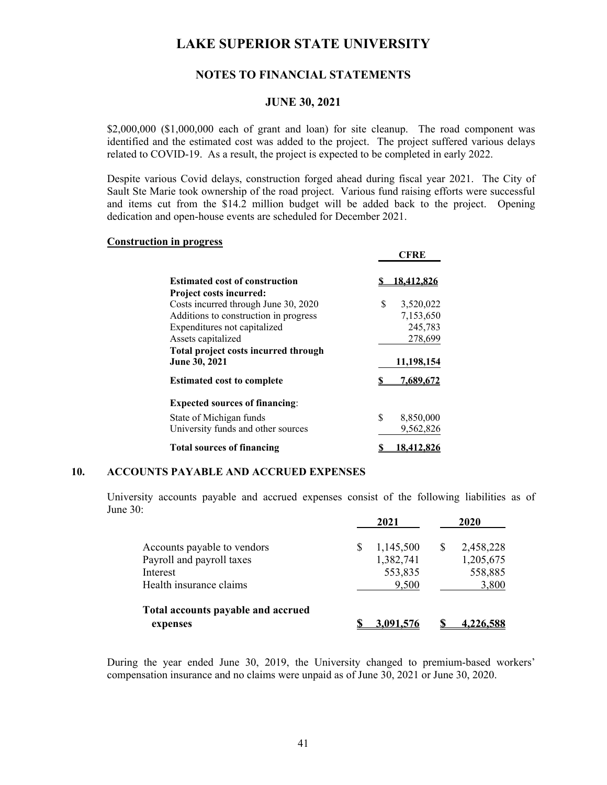## **NOTES TO FINANCIAL STATEMENTS**

#### **JUNE 30, 2021**

\$2,000,000 (\$1,000,000 each of grant and loan) for site cleanup. The road component was identified and the estimated cost was added to the project. The project suffered various delays related to COVID-19. As a result, the project is expected to be completed in early 2022.

Despite various Covid delays, construction forged ahead during fiscal year 2021. The City of Sault Ste Marie took ownership of the road project. Various fund raising efforts were successful and items cut from the \$14.2 million budget will be added back to the project. Opening dedication and open-house events are scheduled for December 2021.

**CFRE** 

### **Construction in progress**

|                                       | vr ive         |
|---------------------------------------|----------------|
| <b>Estimated cost of construction</b> | 18.412.820     |
| <b>Project costs incurred:</b>        |                |
| Costs incurred through June 30, 2020  | S<br>3,520,022 |
| Additions to construction in progress | 7,153,650      |
| Expenditures not capitalized          | 245,783        |
| Assets capitalized                    | 278,699        |
| Total project costs incurred through  |                |
| June 30, 2021                         | 11,198,154     |
| <b>Estimated cost to complete</b>     | 7,689,672      |
| <b>Expected sources of financing:</b> |                |
| State of Michigan funds               | S<br>8,850,000 |
| University funds and other sources    | 9,562,826      |
| <b>Total sources of financing</b>     | 18.412.826     |

#### **10. ACCOUNTS PAYABLE AND ACCRUED EXPENSES**

University accounts payable and accrued expenses consist of the following liabilities as of June 30:

|                                       | 2021                 | 2020                 |
|---------------------------------------|----------------------|----------------------|
| Accounts payable to vendors           | 1,145,500            | 2,458,228<br>S       |
| Payroll and payroll taxes<br>Interest | 1,382,741<br>553,835 | 1,205,675<br>558,885 |
| Health insurance claims               | 9,500                | 3,800                |
| Total accounts payable and accrued    |                      |                      |
| expenses                              | 3.091.576            | <u>4.226.588</u>     |

During the year ended June 30, 2019, the University changed to premium-based workers' compensation insurance and no claims were unpaid as of June 30, 2021 or June 30, 2020.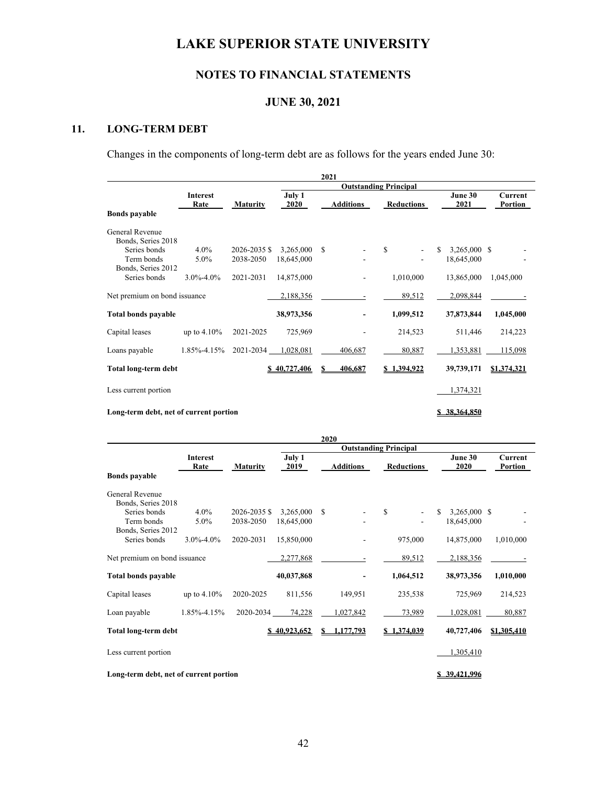# **NOTES TO FINANCIAL STATEMENTS**

## **JUNE 30, 2021**

# **11. LONG-TERM DEBT**

Changes in the components of long-term debt are as follows for the years ended June 30:

|                                        |                         |                 |                       |   | 2021             |                              |                 |                    |
|----------------------------------------|-------------------------|-----------------|-----------------------|---|------------------|------------------------------|-----------------|--------------------|
|                                        |                         |                 |                       |   |                  | <b>Outstanding Principal</b> |                 |                    |
|                                        | <b>Interest</b><br>Rate | <b>Maturity</b> | July 1<br><b>2020</b> |   | <b>Additions</b> | Reductions                   | June 30<br>2021 | Current<br>Portion |
| <b>Bonds payable</b>                   |                         |                 |                       |   |                  |                              |                 |                    |
| General Revenue                        |                         |                 |                       |   |                  |                              |                 |                    |
| Bonds, Series 2018                     |                         |                 |                       |   |                  |                              |                 |                    |
| Series bonds                           | $4.0\%$                 | 2026-2035 \$    | 3,265,000             | S |                  | $\mathbf S$                  | 3,265,000 \$    |                    |
| Term bonds                             | 5.0%                    | 2038-2050       | 18,645,000            |   |                  |                              | 18,645,000      |                    |
| Bonds, Series 2012                     |                         |                 |                       |   |                  |                              |                 |                    |
| Series bonds                           | $3.0\% - 4.0\%$         | 2021-2031       | 14,875,000            |   |                  | 1,010,000                    | 13,865,000      | 1,045,000          |
| Net premium on bond issuance           |                         |                 | 2,188,356             |   |                  | 89,512                       | 2,098,844       |                    |
| <b>Total bonds payable</b>             |                         |                 | 38,973,356            |   |                  | 1,099,512                    | 37,873,844      | 1,045,000          |
| Capital leases                         | up to $4.10\%$          | 2021-2025       | 725,969               |   |                  | 214,523                      | 511,446         | 214,223            |
| Loans payable                          | 1.85%-4.15%             | 2021-2034       | 1,028,081             |   | 406,687          | 80,887                       | 1,353,881       | 115,098            |
| Total long-term debt                   |                         |                 | \$40,727,406          | S | 406,687          | \$1,394,922                  | 39,739,171      | \$1,374,321        |
| Less current portion                   |                         |                 |                       |   |                  |                              | 1,374,321       |                    |
| Long-term debt, net of current portion |                         |                 |                       |   |                  |                              | \$38,364,850    |                    |

|                                        |                         |                 |                |    | 2020             |                              |                    |                                  |
|----------------------------------------|-------------------------|-----------------|----------------|----|------------------|------------------------------|--------------------|----------------------------------|
|                                        |                         |                 |                |    |                  | <b>Outstanding Principal</b> |                    |                                  |
|                                        | <b>Interest</b><br>Rate | <b>Maturity</b> | July 1<br>2019 |    | <b>Additions</b> | <b>Reductions</b>            | June 30<br>2020    | <b>Current</b><br><b>Portion</b> |
| <b>Bonds payable</b>                   |                         |                 |                |    |                  |                              |                    |                                  |
| General Revenue                        |                         |                 |                |    |                  |                              |                    |                                  |
| Bonds, Series 2018                     |                         |                 |                |    |                  |                              |                    |                                  |
| Series bonds                           | $4.0\%$                 | 2026-2035 \$    | 3,265,000      | S  |                  | S                            | 3,265,000 \$<br>\$ |                                  |
| Term bonds                             | $5.0\%$                 | 2038-2050       | 18,645,000     |    |                  |                              | 18,645,000         |                                  |
| Bonds, Series 2012                     |                         |                 |                |    |                  |                              |                    |                                  |
| Series bonds                           | $3.0\% - 4.0\%$         | 2020-2031       | 15,850,000     |    |                  | 975,000                      | 14,875,000         | 1,010,000                        |
| Net premium on bond issuance           |                         |                 | 2,277,868      |    |                  | 89,512                       | 2,188,356          |                                  |
| <b>Total bonds payable</b>             |                         |                 | 40,037,868     |    |                  | 1,064,512                    | 38,973,356         | 1,010,000                        |
| Capital leases                         | up to $4.10\%$          | 2020-2025       | 811,556        |    | 149,951          | 235,538                      | 725,969            | 214,523                          |
| Loan payable                           | 1.85%-4.15%             | 2020-2034       | 74,228         |    | 1,027,842        | 73,989                       | 1,028,081          | 80,887                           |
| <b>Total long-term debt</b>            |                         |                 | \$40,923,652   | S. | 1,177,793        | \$1,374,039                  | 40,727,406         | \$1,305,410                      |
| Less current portion                   |                         |                 |                |    |                  |                              | 1,305,410          |                                  |
| Long-term debt, net of current portion |                         |                 |                |    |                  |                              | \$39,421,996       |                                  |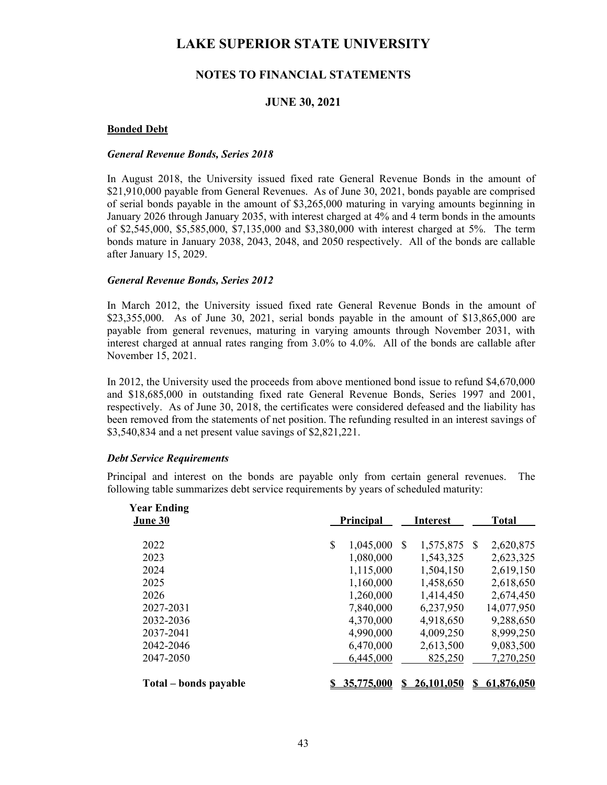## **NOTES TO FINANCIAL STATEMENTS**

## **JUNE 30, 2021**

### **Bonded Debt**

#### *General Revenue Bonds, Series 2018*

In August 2018, the University issued fixed rate General Revenue Bonds in the amount of \$21,910,000 payable from General Revenues. As of June 30, 2021, bonds payable are comprised of serial bonds payable in the amount of \$3,265,000 maturing in varying amounts beginning in January 2026 through January 2035, with interest charged at 4% and 4 term bonds in the amounts of \$2,545,000, \$5,585,000, \$7,135,000 and \$3,380,000 with interest charged at 5%. The term bonds mature in January 2038, 2043, 2048, and 2050 respectively. All of the bonds are callable after January 15, 2029.

#### *General Revenue Bonds, Series 2012*

In March 2012, the University issued fixed rate General Revenue Bonds in the amount of \$23,355,000. As of June 30, 2021, serial bonds payable in the amount of \$13,865,000 are payable from general revenues, maturing in varying amounts through November 2031, with interest charged at annual rates ranging from 3.0% to 4.0%. All of the bonds are callable after November 15, 2021.

In 2012, the University used the proceeds from above mentioned bond issue to refund \$4,670,000 and \$18,685,000 in outstanding fixed rate General Revenue Bonds, Series 1997 and 2001, respectively. As of June 30, 2018, the certificates were considered defeased and the liability has been removed from the statements of net position. The refunding resulted in an interest savings of \$3,540,834 and a net present value savings of \$2,821,221.

#### *Debt Service Requirements*

Principal and interest on the bonds are payable only from certain general revenues. The following table summarizes debt service requirements by years of scheduled maturity:

| <b>Year Ending</b><br>June 30 | Principal       | <b>Interest</b> |            | <b>Total</b> |            |
|-------------------------------|-----------------|-----------------|------------|--------------|------------|
| 2022                          | \$<br>1,045,000 | S               | 1,575,875  | <b>S</b>     | 2,620,875  |
| 2023                          | 1,080,000       |                 | 1,543,325  |              | 2,623,325  |
| 2024                          | 1,115,000       |                 | 1,504,150  |              | 2,619,150  |
| 2025                          | 1,160,000       |                 | 1,458,650  |              | 2,618,650  |
| 2026                          | 1,260,000       |                 | 1,414,450  |              | 2,674,450  |
| 2027-2031                     | 7,840,000       |                 | 6,237,950  |              | 14,077,950 |
| 2032-2036                     | 4,370,000       |                 | 4,918,650  |              | 9,288,650  |
| 2037-2041                     | 4,990,000       |                 | 4,009,250  |              | 8,999,250  |
| 2042-2046                     | 6,470,000       |                 | 2,613,500  |              | 9,083,500  |
| 2047-2050                     | 6,445,000       |                 | 825,250    |              | 7,270,250  |
| Total – bonds payable         | 35,775,000      |                 | 26,101,050 |              | 61,876,050 |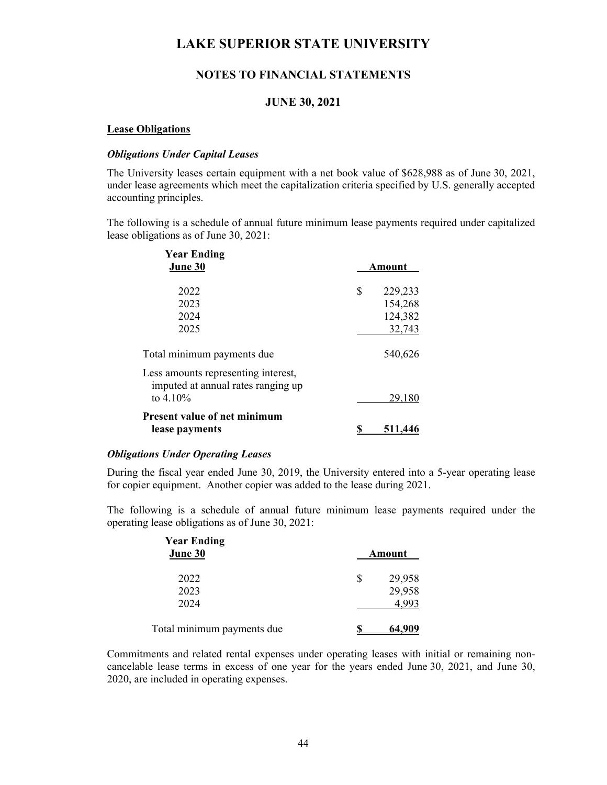## **NOTES TO FINANCIAL STATEMENTS**

## **JUNE 30, 2021**

#### **Lease Obligations**

### *Obligations Under Capital Leases*

The University leases certain equipment with a net book value of \$628,988 as of June 30, 2021, under lease agreements which meet the capitalization criteria specified by U.S. generally accepted accounting principles.

 The following is a schedule of annual future minimum lease payments required under capitalized lease obligations as of June 30, 2021:

| <b>Year Ending</b><br>June 30                                                            | Amount                   |
|------------------------------------------------------------------------------------------|--------------------------|
| 2022<br>2023                                                                             | \$<br>229,233<br>154,268 |
| 2024<br>2025                                                                             | 124,382<br>32,743        |
| Total minimum payments due<br>Less amounts representing interest,                        | 540,626                  |
| imputed at annual rates ranging up<br>to $4.10\%$<br><b>Present value of net minimum</b> | 29,180                   |
| lease payments                                                                           | 511.446                  |

### *Obligations Under Operating Leases*

During the fiscal year ended June 30, 2019, the University entered into a 5-year operating lease for copier equipment. Another copier was added to the lease during 2021.

 The following is a schedule of annual future minimum lease payments required under the operating lease obligations as of June 30, 2021:

| <b>Year Ending</b><br>June 30 | Amount         |
|-------------------------------|----------------|
| 2022                          | \$<br>29,958   |
| 2023                          | 29,958         |
| 2024                          | 4,993          |
| Total minimum payments due    | <u>64,</u> 909 |

Commitments and related rental expenses under operating leases with initial or remaining noncancelable lease terms in excess of one year for the years ended June 30, 2021, and June 30, 2020, are included in operating expenses.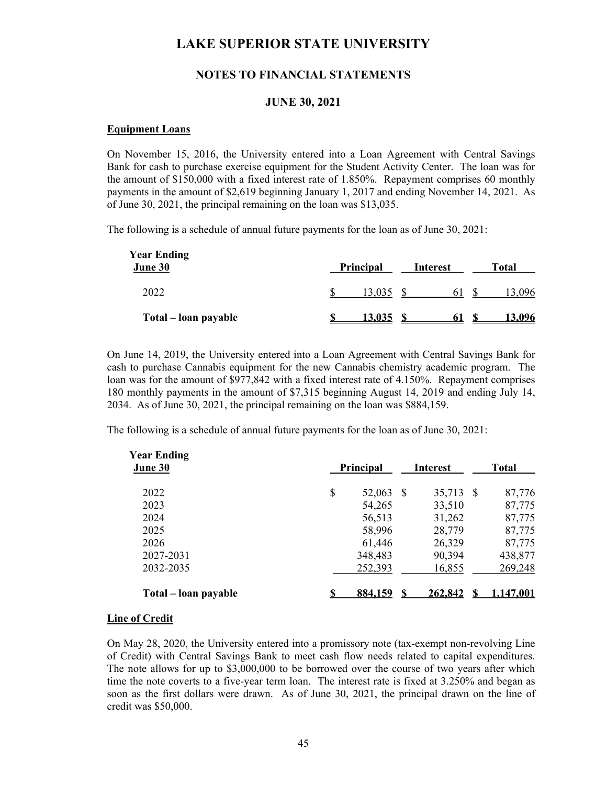## **NOTES TO FINANCIAL STATEMENTS**

### **JUNE 30, 2021**

#### **Equipment Loans**

On November 15, 2016, the University entered into a Loan Agreement with Central Savings Bank for cash to purchase exercise equipment for the Student Activity Center. The loan was for the amount of \$150,000 with a fixed interest rate of 1.850%. Repayment comprises 60 monthly payments in the amount of \$2,619 beginning January 1, 2017 and ending November 14, 2021. As of June 30, 2021, the principal remaining on the loan was \$13,035.

The following is a schedule of annual future payments for the loan as of June 30, 2021:

| <b>Year Ending</b><br>June 30 | Principal | Interest | Total  |
|-------------------------------|-----------|----------|--------|
| 2022                          | 13,035    | 61       | 13,096 |
| Total – loan payable          | 13,035    | 6 I      | 13.096 |

On June 14, 2019, the University entered into a Loan Agreement with Central Savings Bank for cash to purchase Cannabis equipment for the new Cannabis chemistry academic program. The loan was for the amount of \$977,842 with a fixed interest rate of 4.150%. Repayment comprises 180 monthly payments in the amount of \$7,315 beginning August 14, 2019 and ending July 14, 2034. As of June 30, 2021, the principal remaining on the loan was \$884,159.

The following is a schedule of annual future payments for the loan as of June 30, 2021:

| <b>Year Ending</b><br>June 30 | Principal       | <b>Interest</b> |         | Total |           |
|-------------------------------|-----------------|-----------------|---------|-------|-----------|
| 2022                          | \$<br>52,063 \$ |                 | 35,713  | -S    | 87,776    |
| 2023                          | 54,265          |                 | 33,510  |       | 87,775    |
| 2024                          | 56,513          |                 | 31,262  |       | 87,775    |
| 2025                          | 58,996          |                 | 28,779  |       | 87,775    |
| 2026                          | 61,446          |                 | 26,329  |       | 87,775    |
| 2027-2031                     | 348,483         |                 | 90,394  |       | 438,877   |
| 2032-2035                     | 252,393         |                 | 16,855  |       | 269,248   |
| Total – loan payable          | 884,159         |                 | 262,842 | -S    | 1,147,001 |

#### **Line of Credit**

On May 28, 2020, the University entered into a promissory note (tax-exempt non-revolving Line of Credit) with Central Savings Bank to meet cash flow needs related to capital expenditures. The note allows for up to \$3,000,000 to be borrowed over the course of two years after which time the note coverts to a five-year term loan. The interest rate is fixed at 3.250% and began as soon as the first dollars were drawn. As of June 30, 2021, the principal drawn on the line of credit was \$50,000.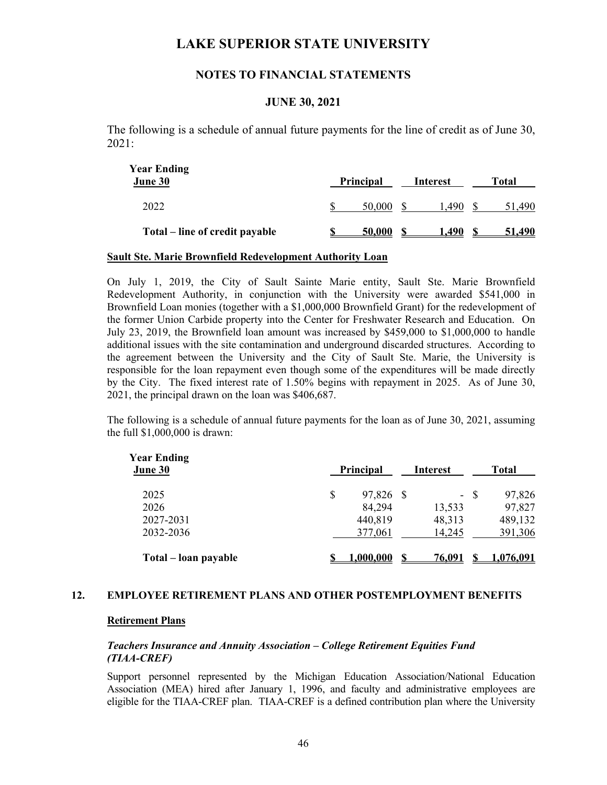## **NOTES TO FINANCIAL STATEMENTS**

### **JUNE 30, 2021**

The following is a schedule of annual future payments for the line of credit as of June 30, 2021:

| <b>Year Ending</b><br>June 30  | Principal | Interest | Total  |
|--------------------------------|-----------|----------|--------|
| 2022                           | 50,000    | .490     | .490   |
| Total – line of credit payable | 50,000    | 1.490    | 51.490 |

#### **Sault Ste. Marie Brownfield Redevelopment Authority Loan**

On July 1, 2019, the City of Sault Sainte Marie entity, Sault Ste. Marie Brownfield Redevelopment Authority, in conjunction with the University were awarded \$541,000 in Brownfield Loan monies (together with a \$1,000,000 Brownfield Grant) for the redevelopment of the former Union Carbide property into the Center for Freshwater Research and Education. On July 23, 2019, the Brownfield loan amount was increased by \$459,000 to \$1,000,000 to handle additional issues with the site contamination and underground discarded structures. According to the agreement between the University and the City of Sault Ste. Marie, the University is responsible for the loan repayment even though some of the expenditures will be made directly by the City. The fixed interest rate of 1.50% begins with repayment in 2025. As of June 30, 2021, the principal drawn on the loan was \$406,687.

 The following is a schedule of annual future payments for the loan as of June 30, 2021, assuming the full \$1,000,000 is drawn:

| <b>Year Ending</b><br>June 30 | Principal       | Interest   |    | <b>Total</b>     |
|-------------------------------|-----------------|------------|----|------------------|
| 2025                          | \$<br>97,826 \$ | $\sim$ $-$ | -S | 97,826           |
| 2026                          | 84,294          | 13,533     |    | 97,827           |
| 2027-2031                     | 440,819         | 48,313     |    | 489,132          |
| 2032-2036                     | 377,061         | 14,245     |    | 391,306          |
| Total – loan payable          | 0.000,000.      | 76,091     |    | <u>1,076,091</u> |

### **12. EMPLOYEE RETIREMENT PLANS AND OTHER POSTEMPLOYMENT BENEFITS**

#### **Retirement Plans**

### *Teachers Insurance and Annuity Association – College Retirement Equities Fund (TIAA-CREF)*

Support personnel represented by the Michigan Education Association/National Education Association (MEA) hired after January 1, 1996, and faculty and administrative employees are eligible for the TIAA-CREF plan. TIAA-CREF is a defined contribution plan where the University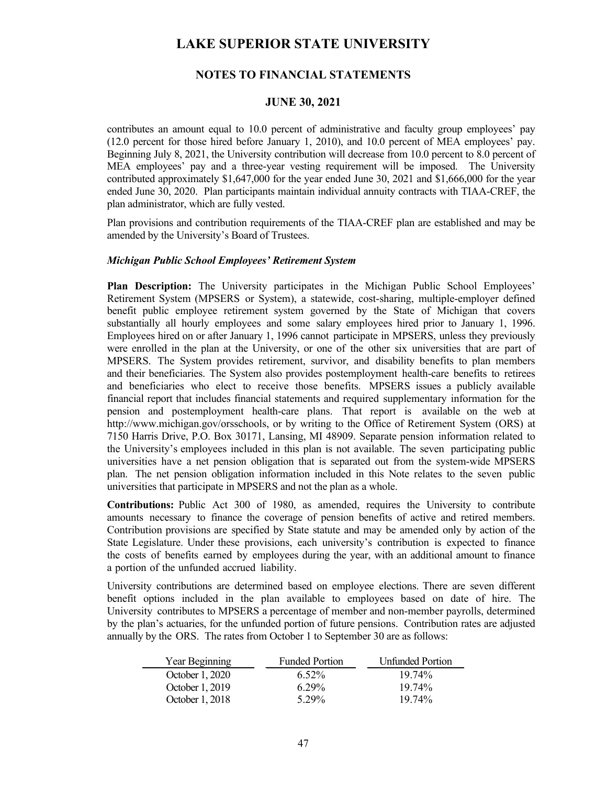## **NOTES TO FINANCIAL STATEMENTS**

### **JUNE 30, 2021**

contributes an amount equal to 10.0 percent of administrative and faculty group employees' pay (12.0 percent for those hired before January 1, 2010), and 10.0 percent of MEA employees' pay. Beginning July 8, 2021, the University contribution will decrease from 10.0 percent to 8.0 percent of MEA employees' pay and a three-year vesting requirement will be imposed. The University contributed approximately \$1,647,000 for the year ended June 30, 2021 and \$1,666,000 for the year ended June 30, 2020. Plan participants maintain individual annuity contracts with TIAA-CREF, the plan administrator, which are fully vested.

 Plan provisions and contribution requirements of the TIAA-CREF plan are established and may be amended by the University's Board of Trustees.

#### *Michigan Public School Employees' Retirement System*

**Plan Description:** The University participates in the Michigan Public School Employees' Retirement System (MPSERS or System), a statewide, cost-sharing, multiple-employer defined benefit public employee retirement system governed by the State of Michigan that covers substantially all hourly employees and some salary employees hired prior to January 1, 1996. Employees hired on or after January 1, 1996 cannot participate in MPSERS, unless they previously were enrolled in the plan at the University, or one of the other six universities that are part of MPSERS. The System provides retirement, survivor, and disability benefits to plan members and their beneficiaries. The System also provides postemployment health-care benefits to retirees and beneficiaries who elect to receive those benefits. MPSERS issues a publicly available financial report that includes financial statements and required supplementary information for the pension and postemployment health-care plans. That report is available on the web at http://www.michigan.gov/orsschools, or by writing to the Office of Retirement System (ORS) at 7150 Harris Drive, P.O. Box 30171, Lansing, MI 48909. Separate pension information related to the University's employees included in this plan is not available. The seven participating public universities have a net pension obligation that is separated out from the system-wide MPSERS plan. The net pension obligation information included in this Note relates to the seven public universities that participate in MPSERS and not the plan as a whole.

**Contributions:** Public Act 300 of 1980, as amended, requires the University to contribute amounts necessary to finance the coverage of pension benefits of active and retired members. Contribution provisions are specified by State statute and may be amended only by action of the State Legislature. Under these provisions, each university's contribution is expected to finance the costs of benefits earned by employees during the year, with an additional amount to finance a portion of the unfunded accrued liability.

University contributions are determined based on employee elections. There are seven different benefit options included in the plan available to employees based on date of hire. The University contributes to MPSERS a percentage of member and non-member payrolls, determined by the plan's actuaries, for the unfunded portion of future pensions. Contribution rates are adjusted annually by the ORS. The rates from October 1 to September 30 are as follows:

| Year Beginning  | <b>Funded Portion</b> | <b>Unfunded Portion</b> |
|-----------------|-----------------------|-------------------------|
| October 1, 2020 | $6.52\%$              | $19.74\%$               |
| October 1, 2019 | $6.29\%$              | $19.74\%$               |
| October 1, 2018 | 5.29%                 | $19.74\%$               |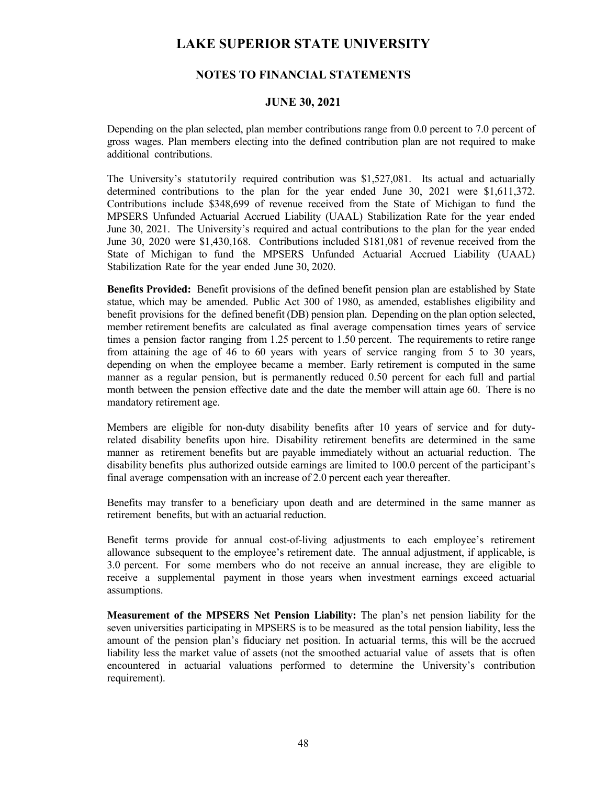## **NOTES TO FINANCIAL STATEMENTS**

### **JUNE 30, 2021**

Depending on the plan selected, plan member contributions range from 0.0 percent to 7.0 percent of gross wages. Plan members electing into the defined contribution plan are not required to make additional contributions.

The University's statutorily required contribution was \$1,527,081. Its actual and actuarially determined contributions to the plan for the year ended June 30, 2021 were \$1,611,372. Contributions include \$348,699 of revenue received from the State of Michigan to fund the MPSERS Unfunded Actuarial Accrued Liability (UAAL) Stabilization Rate for the year ended June 30, 2021. The University's required and actual contributions to the plan for the year ended June 30, 2020 were \$1,430,168. Contributions included \$181,081 of revenue received from the State of Michigan to fund the MPSERS Unfunded Actuarial Accrued Liability (UAAL) Stabilization Rate for the year ended June 30, 2020.

**Benefits Provided:** Benefit provisions of the defined benefit pension plan are established by State statue, which may be amended. Public Act 300 of 1980, as amended, establishes eligibility and benefit provisions for the defined benefit (DB) pension plan. Depending on the plan option selected, member retirement benefits are calculated as final average compensation times years of service times a pension factor ranging from 1.25 percent to 1.50 percent. The requirements to retire range from attaining the age of 46 to 60 years with years of service ranging from 5 to 30 years, depending on when the employee became a member. Early retirement is computed in the same manner as a regular pension, but is permanently reduced 0.50 percent for each full and partial month between the pension effective date and the date the member will attain age 60. There is no mandatory retirement age.

Members are eligible for non-duty disability benefits after 10 years of service and for dutyrelated disability benefits upon hire. Disability retirement benefits are determined in the same manner as retirement benefits but are payable immediately without an actuarial reduction. The disability benefits plus authorized outside earnings are limited to 100.0 percent of the participant's final average compensation with an increase of 2.0 percent each year thereafter.

Benefits may transfer to a beneficiary upon death and are determined in the same manner as retirement benefits, but with an actuarial reduction.

Benefit terms provide for annual cost-of-living adjustments to each employee's retirement allowance subsequent to the employee's retirement date. The annual adjustment, if applicable, is 3.0 percent. For some members who do not receive an annual increase, they are eligible to receive a supplemental payment in those years when investment earnings exceed actuarial assumptions.

**Measurement of the MPSERS Net Pension Liability:** The plan's net pension liability for the seven universities participating in MPSERS is to be measured as the total pension liability, less the amount of the pension plan's fiduciary net position. In actuarial terms, this will be the accrued liability less the market value of assets (not the smoothed actuarial value of assets that is often encountered in actuarial valuations performed to determine the University's contribution requirement).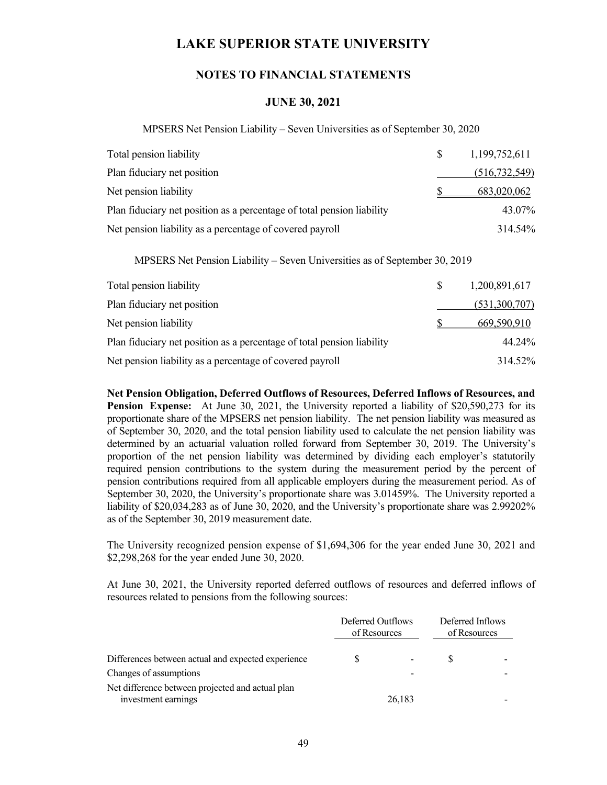### **NOTES TO FINANCIAL STATEMENTS**

### **JUNE 30, 2021**

MPSERS Net Pension Liability – Seven Universities as of September 30, 2020

| Total pension liability                                                | S. | 1,199,752,611   |
|------------------------------------------------------------------------|----|-----------------|
| Plan fiduciary net position                                            |    | (516, 732, 549) |
| Net pension liability                                                  |    | 683,020,062     |
| Plan fiduciary net position as a percentage of total pension liability |    | 43.07%          |
| Net pension liability as a percentage of covered payroll               |    | 314.54%         |

MPSERS Net Pension Liability – Seven Universities as of September 30, 2019

| Total pension liability                                                | S. | 1,200,891,617 |
|------------------------------------------------------------------------|----|---------------|
| Plan fiduciary net position                                            |    | (531,300,707) |
| Net pension liability                                                  |    | 669,590,910   |
| Plan fiduciary net position as a percentage of total pension liability |    | 44.24%        |
| Net pension liability as a percentage of covered payroll               |    | 314.52%       |

**Net Pension Obligation, Deferred Outflows of Resources, Deferred Inflows of Resources, and Pension Expense:** At June 30, 2021, the University reported a liability of \$20,590,273 for its proportionate share of the MPSERS net pension liability. The net pension liability was measured as of September 30, 2020, and the total pension liability used to calculate the net pension liability was determined by an actuarial valuation rolled forward from September 30, 2019. The University's proportion of the net pension liability was determined by dividing each employer's statutorily required pension contributions to the system during the measurement period by the percent of pension contributions required from all applicable employers during the measurement period. As of September 30, 2020, the University's proportionate share was 3.01459%. The University reported a liability of \$20,034,283 as of June 30, 2020, and the University's proportionate share was 2.99202% as of the September 30, 2019 measurement date.

The University recognized pension expense of \$1,694,306 for the year ended June 30, 2021 and \$2,298,268 for the year ended June 30, 2020.

At June 30, 2021, the University reported deferred outflows of resources and deferred inflows of resources related to pensions from the following sources:

|                                                                         |   | Deferred Outflows<br>of Resources |  | Deferred Inflows<br>of Resources |  |
|-------------------------------------------------------------------------|---|-----------------------------------|--|----------------------------------|--|
| Differences between actual and expected experience                      | S |                                   |  |                                  |  |
| Changes of assumptions                                                  |   |                                   |  |                                  |  |
| Net difference between projected and actual plan<br>investment earnings |   | 26,183                            |  |                                  |  |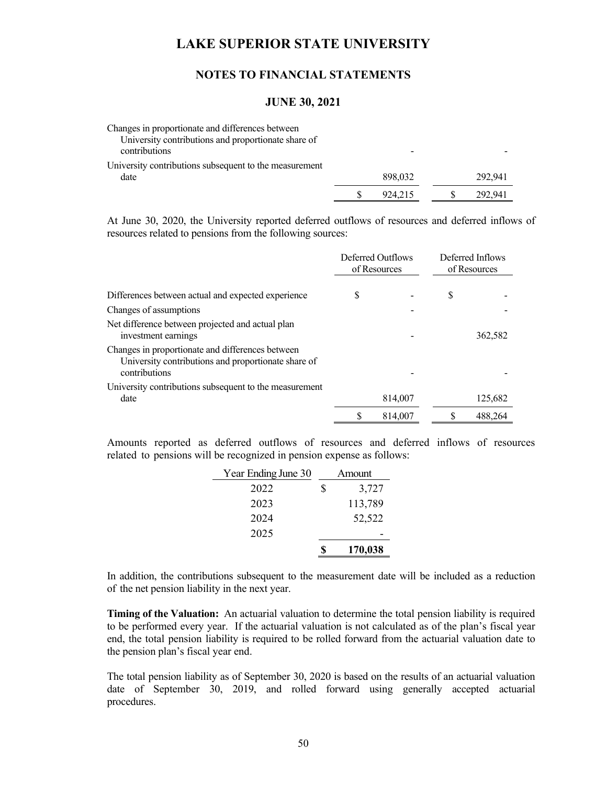## **NOTES TO FINANCIAL STATEMENTS**

#### **JUNE 30, 2021**

| Changes in proportionate and differences between<br>University contributions and proportionate share of<br>contributions |         |         |
|--------------------------------------------------------------------------------------------------------------------------|---------|---------|
| University contributions subsequent to the measurement                                                                   |         |         |
| date                                                                                                                     | 898,032 | 292,941 |
|                                                                                                                          | 924,215 | 292.941 |

At June 30, 2020, the University reported deferred outflows of resources and deferred inflows of resources related to pensions from the following sources:

|                                                                                                                          | Deferred Outflows<br>of Resources |         | Deferred Inflows<br>of Resources |         |
|--------------------------------------------------------------------------------------------------------------------------|-----------------------------------|---------|----------------------------------|---------|
|                                                                                                                          |                                   |         |                                  |         |
| Differences between actual and expected experience                                                                       | S                                 |         | S                                |         |
| Changes of assumptions                                                                                                   |                                   |         |                                  |         |
| Net difference between projected and actual plan<br>investment earnings                                                  |                                   |         |                                  | 362,582 |
| Changes in proportionate and differences between<br>University contributions and proportionate share of<br>contributions |                                   |         |                                  |         |
| University contributions subsequent to the measurement                                                                   |                                   |         |                                  |         |
| date                                                                                                                     |                                   | 814,007 |                                  | 125,682 |
|                                                                                                                          | S                                 | 814,007 |                                  | 488,264 |

Amounts reported as deferred outflows of resources and deferred inflows of resources related to pensions will be recognized in pension expense as follows:

| Year Ending June 30 |    | Amount  |
|---------------------|----|---------|
| 2022                | \$ | 3,727   |
| 2023                |    | 113,789 |
| 2024                |    | 52,522  |
| 2025                |    |         |
|                     | S  | 170,038 |

In addition, the contributions subsequent to the measurement date will be included as a reduction of the net pension liability in the next year.

**Timing of the Valuation:** An actuarial valuation to determine the total pension liability is required to be performed every year. If the actuarial valuation is not calculated as of the plan's fiscal year end, the total pension liability is required to be rolled forward from the actuarial valuation date to the pension plan's fiscal year end.

The total pension liability as of September 30, 2020 is based on the results of an actuarial valuation date of September 30, 2019, and rolled forward using generally accepted actuarial procedures.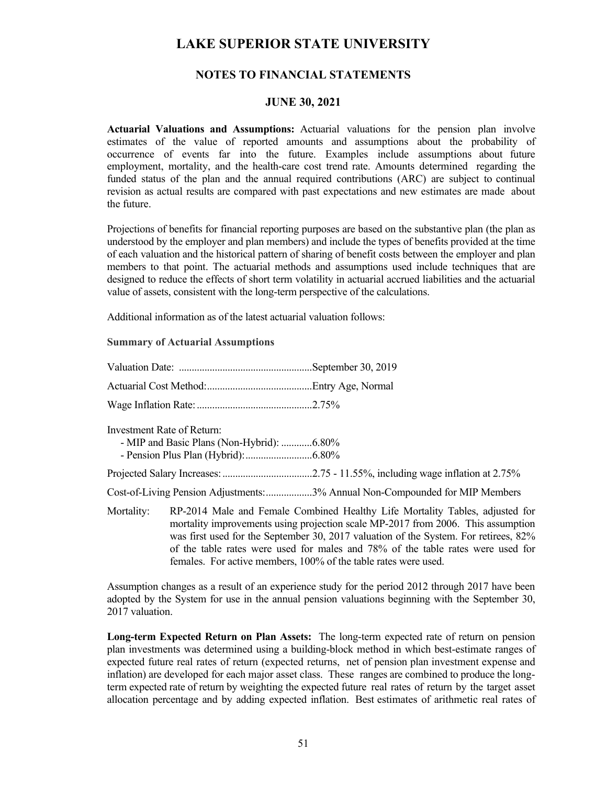## **NOTES TO FINANCIAL STATEMENTS**

### **JUNE 30, 2021**

**Actuarial Valuations and Assumptions:** Actuarial valuations for the pension plan involve estimates of the value of reported amounts and assumptions about the probability of occurrence of events far into the future. Examples include assumptions about future employment, mortality, and the health-care cost trend rate. Amounts determined regarding the funded status of the plan and the annual required contributions (ARC) are subject to continual revision as actual results are compared with past expectations and new estimates are made about the future.

Projections of benefits for financial reporting purposes are based on the substantive plan (the plan as understood by the employer and plan members) and include the types of benefits provided at the time of each valuation and the historical pattern of sharing of benefit costs between the employer and plan members to that point. The actuarial methods and assumptions used include techniques that are designed to reduce the effects of short term volatility in actuarial accrued liabilities and the actuarial value of assets, consistent with the long-term perspective of the calculations.

Additional information as of the latest actuarial valuation follows:

#### **Summary of Actuarial Assumptions**

|            | Investment Rate of Return:<br>- MIP and Basic Plans (Non-Hybrid): 6.80% |                                                                                                                                                                                                                                                                                                                                             |
|------------|-------------------------------------------------------------------------|---------------------------------------------------------------------------------------------------------------------------------------------------------------------------------------------------------------------------------------------------------------------------------------------------------------------------------------------|
|            |                                                                         |                                                                                                                                                                                                                                                                                                                                             |
|            |                                                                         | Cost-of-Living Pension Adjustments:3% Annual Non-Compounded for MIP Members                                                                                                                                                                                                                                                                 |
| Mortality: |                                                                         | RP-2014 Male and Female Combined Healthy Life Mortality Tables, adjusted for<br>mortality improvements using projection scale MP-2017 from 2006. This assumption<br>was first used for the September 30, 2017 valuation of the System. For retirees, 82%<br>of the table rates were used for males and 78% of the table rates were used for |

Assumption changes as a result of an experience study for the period 2012 through 2017 have been adopted by the System for use in the annual pension valuations beginning with the September 30, 2017 valuation.

females. For active members, 100% of the table rates were used.

**Long-term Expected Return on Plan Assets:** The long-term expected rate of return on pension plan investments was determined using a building-block method in which best-estimate ranges of expected future real rates of return (expected returns, net of pension plan investment expense and inflation) are developed for each major asset class. These ranges are combined to produce the longterm expected rate of return by weighting the expected future real rates of return by the target asset allocation percentage and by adding expected inflation. Best estimates of arithmetic real rates of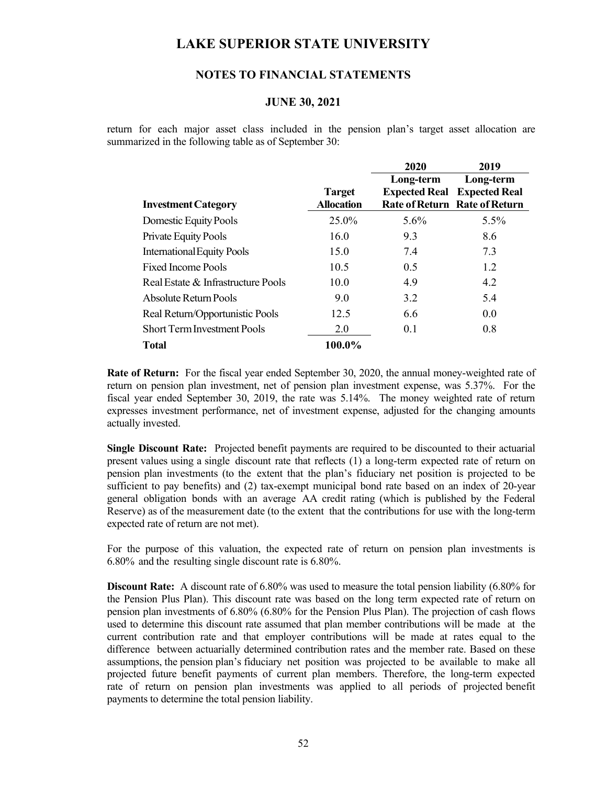## **NOTES TO FINANCIAL STATEMENTS**

### **JUNE 30, 2021**

return for each major asset class included in the pension plan's target asset allocation are summarized in the following table as of September 30:

|                                    |                   | 2020      | 2019                                 |
|------------------------------------|-------------------|-----------|--------------------------------------|
|                                    |                   | Long-term | Long-term                            |
|                                    | <b>Target</b>     |           | <b>Expected Real</b> Expected Real   |
| <b>Investment Category</b>         | <b>Allocation</b> |           | <b>Rate of Return Rate of Return</b> |
| Domestic Equity Pools              | 25.0%             | $5.6\%$   | $5.5\%$                              |
| Private Equity Pools               | 16.0              | 9.3       | 8.6                                  |
| <b>International Equity Pools</b>  | 15.0              | 7.4       | 7.3                                  |
| <b>Fixed Income Pools</b>          | 10.5              | 0.5       | 1.2                                  |
| Real Estate & Infrastructure Pools | 10.0              | 4.9       | 4.2                                  |
| Absolute Return Pools              | 9.0               | 3.2       | 5.4                                  |
| Real Return/Opportunistic Pools    | 12.5              | 6.6       | 0.0                                  |
| <b>Short Term Investment Pools</b> | 2.0               | 0.1       | 0.8                                  |
| <b>Total</b>                       | 100.0%            |           |                                      |

**Rate of Return:** For the fiscal year ended September 30, 2020, the annual money-weighted rate of return on pension plan investment, net of pension plan investment expense, was 5.37%. For the fiscal year ended September 30, 2019, the rate was 5.14%. The money weighted rate of return expresses investment performance, net of investment expense, adjusted for the changing amounts actually invested.

**Single Discount Rate:** Projected benefit payments are required to be discounted to their actuarial present values using a single discount rate that reflects (1) a long-term expected rate of return on pension plan investments (to the extent that the plan's fiduciary net position is projected to be sufficient to pay benefits) and (2) tax-exempt municipal bond rate based on an index of 20-year general obligation bonds with an average AA credit rating (which is published by the Federal Reserve) as of the measurement date (to the extent that the contributions for use with the long-term expected rate of return are not met).

For the purpose of this valuation, the expected rate of return on pension plan investments is 6.80% and the resulting single discount rate is 6.80%.

**Discount Rate:** A discount rate of 6.80% was used to measure the total pension liability (6.80% for the Pension Plus Plan). This discount rate was based on the long term expected rate of return on pension plan investments of 6.80% (6.80% for the Pension Plus Plan). The projection of cash flows used to determine this discount rate assumed that plan member contributions will be made at the current contribution rate and that employer contributions will be made at rates equal to the difference between actuarially determined contribution rates and the member rate. Based on these assumptions, the pension plan's fiduciary net position was projected to be available to make all projected future benefit payments of current plan members. Therefore, the long-term expected rate of return on pension plan investments was applied to all periods of projected benefit payments to determine the total pension liability.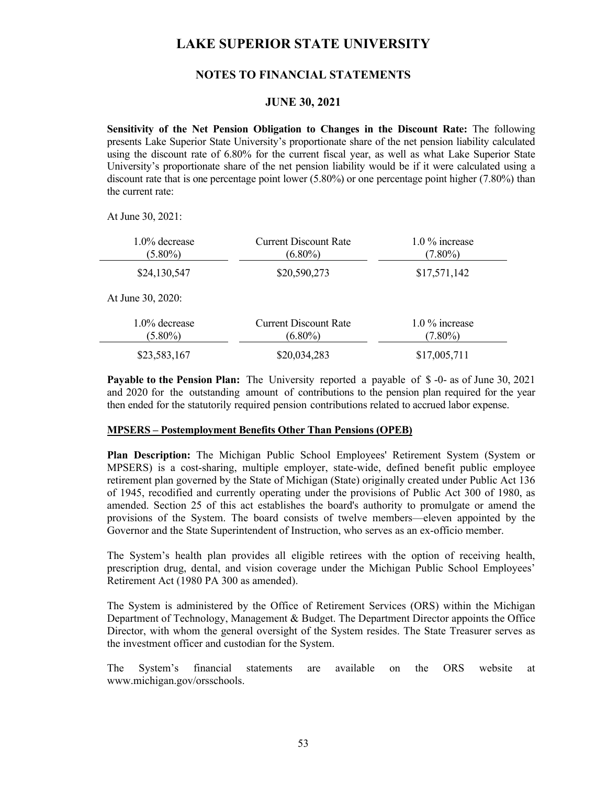## **NOTES TO FINANCIAL STATEMENTS**

### **JUNE 30, 2021**

**Sensitivity of the Net Pension Obligation to Changes in the Discount Rate:** The following presents Lake Superior State University's proportionate share of the net pension liability calculated using the discount rate of 6.80% for the current fiscal year, as well as what Lake Superior State University's proportionate share of the net pension liability would be if it were calculated using a discount rate that is one percentage point lower (5.80%) or one percentage point higher (7.80%) than the current rate:

At June 30, 2021:

| $1.0\%$ decrease<br>$(5.80\%)$ | <b>Current Discount Rate</b><br>$(6.80\%)$ | $1.0\%$ increase<br>$(7.80\%)$ |
|--------------------------------|--------------------------------------------|--------------------------------|
| \$24,130,547                   | \$20,590,273                               | \$17,571,142                   |
| At June 30, 2020:              |                                            |                                |
| $1.0\%$ decrease<br>$(5.80\%)$ | <b>Current Discount Rate</b><br>$(6.80\%)$ | $1.0\%$ increase<br>$(7.80\%)$ |
| \$23,583,167                   | \$20,034,283                               | \$17,005,711                   |

**Payable to the Pension Plan:** The University reported a payable of \$ -0- as of June 30, 2021 and 2020 for the outstanding amount of contributions to the pension plan required for the year then ended for the statutorily required pension contributions related to accrued labor expense.

#### **MPSERS – Postemployment Benefits Other Than Pensions (OPEB)**

**Plan Description:** The Michigan Public School Employees' Retirement System (System or MPSERS) is a cost-sharing, multiple employer, state-wide, defined benefit public employee retirement plan governed by the State of Michigan (State) originally created under Public Act 136 of 1945, recodified and currently operating under the provisions of Public Act 300 of 1980, as amended. Section 25 of this act establishes the board's authority to promulgate or amend the provisions of the System. The board consists of twelve members—eleven appointed by the Governor and the State Superintendent of Instruction, who serves as an ex-officio member.

The System's health plan provides all eligible retirees with the option of receiving health, prescription drug, dental, and vision coverage under the Michigan Public School Employees' Retirement Act (1980 PA 300 as amended).

The System is administered by the Office of Retirement Services (ORS) within the Michigan Department of Technology, Management & Budget. The Department Director appoints the Office Director, with whom the general oversight of the System resides. The State Treasurer serves as the investment officer and custodian for the System.

The System's financial statements are available on the ORS website at www.michigan.gov/orsschools.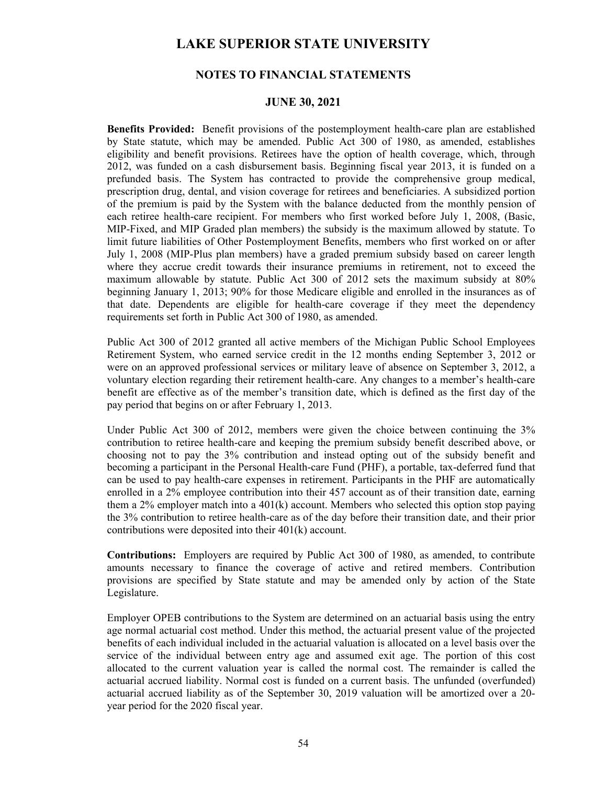## **NOTES TO FINANCIAL STATEMENTS**

### **JUNE 30, 2021**

**Benefits Provided:** Benefit provisions of the postemployment health-care plan are established by State statute, which may be amended. Public Act 300 of 1980, as amended, establishes eligibility and benefit provisions. Retirees have the option of health coverage, which, through 2012, was funded on a cash disbursement basis. Beginning fiscal year 2013, it is funded on a prefunded basis. The System has contracted to provide the comprehensive group medical, prescription drug, dental, and vision coverage for retirees and beneficiaries. A subsidized portion of the premium is paid by the System with the balance deducted from the monthly pension of each retiree health-care recipient. For members who first worked before July 1, 2008, (Basic, MIP-Fixed, and MIP Graded plan members) the subsidy is the maximum allowed by statute. To limit future liabilities of Other Postemployment Benefits, members who first worked on or after July 1, 2008 (MIP-Plus plan members) have a graded premium subsidy based on career length where they accrue credit towards their insurance premiums in retirement, not to exceed the maximum allowable by statute. Public Act 300 of 2012 sets the maximum subsidy at 80% beginning January 1, 2013; 90% for those Medicare eligible and enrolled in the insurances as of that date. Dependents are eligible for health-care coverage if they meet the dependency requirements set forth in Public Act 300 of 1980, as amended.

Public Act 300 of 2012 granted all active members of the Michigan Public School Employees Retirement System, who earned service credit in the 12 months ending September 3, 2012 or were on an approved professional services or military leave of absence on September 3, 2012, a voluntary election regarding their retirement health-care. Any changes to a member's health-care benefit are effective as of the member's transition date, which is defined as the first day of the pay period that begins on or after February 1, 2013.

Under Public Act 300 of 2012, members were given the choice between continuing the 3% contribution to retiree health-care and keeping the premium subsidy benefit described above, or choosing not to pay the 3% contribution and instead opting out of the subsidy benefit and becoming a participant in the Personal Health-care Fund (PHF), a portable, tax-deferred fund that can be used to pay health-care expenses in retirement. Participants in the PHF are automatically enrolled in a 2% employee contribution into their 457 account as of their transition date, earning them a 2% employer match into a  $401(k)$  account. Members who selected this option stop paying the 3% contribution to retiree health-care as of the day before their transition date, and their prior contributions were deposited into their 401(k) account.

**Contributions:** Employers are required by Public Act 300 of 1980, as amended, to contribute amounts necessary to finance the coverage of active and retired members. Contribution provisions are specified by State statute and may be amended only by action of the State Legislature.

Employer OPEB contributions to the System are determined on an actuarial basis using the entry age normal actuarial cost method. Under this method, the actuarial present value of the projected benefits of each individual included in the actuarial valuation is allocated on a level basis over the service of the individual between entry age and assumed exit age. The portion of this cost allocated to the current valuation year is called the normal cost. The remainder is called the actuarial accrued liability. Normal cost is funded on a current basis. The unfunded (overfunded) actuarial accrued liability as of the September 30, 2019 valuation will be amortized over a 20 year period for the 2020 fiscal year.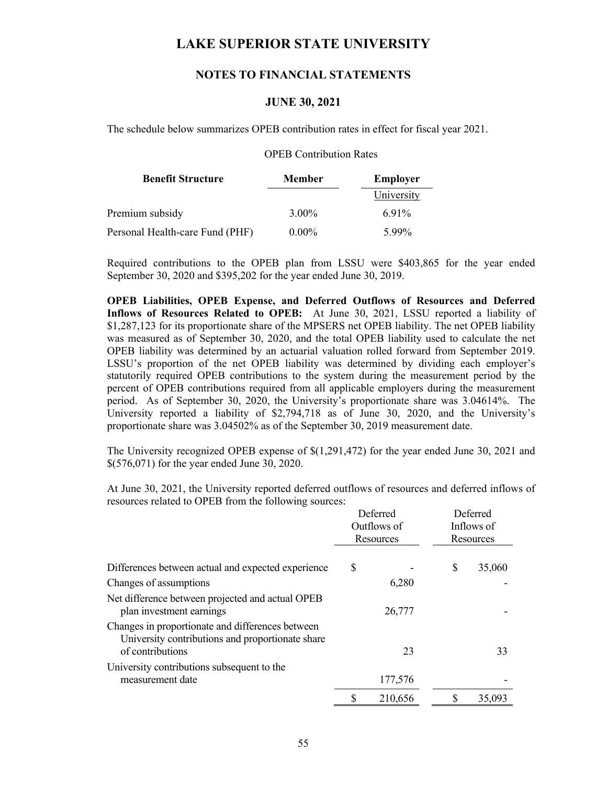## **NOTES TO FINANCIAL STATEMENTS**

## **JUNE 30, 2021**

The schedule below summarizes OPEB contribution rates in effect for fiscal year 2021.

### OPEB Contribution Rates

| <b>Benefit Structure</b>        | <b>Member</b> | Employer   |
|---------------------------------|---------------|------------|
|                                 |               | University |
| Premium subsidy                 | 3.00%         | 6.91%      |
| Personal Health-care Fund (PHF) | $0.00\%$      | 5.99%      |

Required contributions to the OPEB plan from LSSU were \$403,865 for the year ended September 30, 2020 and \$395,202 for the year ended June 30, 2019.

**OPEB Liabilities, OPEB Expense, and Deferred Outflows of Resources and Deferred Inflows of Resources Related to OPEB:** At June 30, 2021, LSSU reported a liability of \$1,287,123 for its proportionate share of the MPSERS net OPEB liability. The net OPEB liability was measured as of September 30, 2020, and the total OPEB liability used to calculate the net OPEB liability was determined by an actuarial valuation rolled forward from September 2019. LSSU's proportion of the net OPEB liability was determined by dividing each employer's statutorily required OPEB contributions to the system during the measurement period by the percent of OPEB contributions required from all applicable employers during the measurement period. As of September 30, 2020, the University's proportionate share was 3.04614%. The University reported a liability of \$2,794,718 as of June 30, 2020, and the University's proportionate share was 3.04502% as of the September 30, 2019 measurement date.

The University recognized OPEB expense of \$(1,291,472) for the year ended June 30, 2021 and \$(576,071) for the year ended June 30, 2020.

At June 30, 2021, the University reported deferred outflows of resources and deferred inflows of resources related to OPEB from the following sources:

|                                                                                                                          | Deferred<br>Outflows of<br>Resources |   | Deferred<br>Inflows of<br>Resources |
|--------------------------------------------------------------------------------------------------------------------------|--------------------------------------|---|-------------------------------------|
| Differences between actual and expected experience                                                                       | \$                                   | S | 35,060                              |
| Changes of assumptions                                                                                                   | 6,280                                |   |                                     |
| Net difference between projected and actual OPEB<br>plan investment earnings                                             | 26,777                               |   |                                     |
| Changes in proportionate and differences between<br>University contributions and proportionate share<br>of contributions | 23                                   |   | 33                                  |
| University contributions subsequent to the<br>measurement date                                                           | 177,576                              |   |                                     |
|                                                                                                                          | 210,656                              |   | 35,093                              |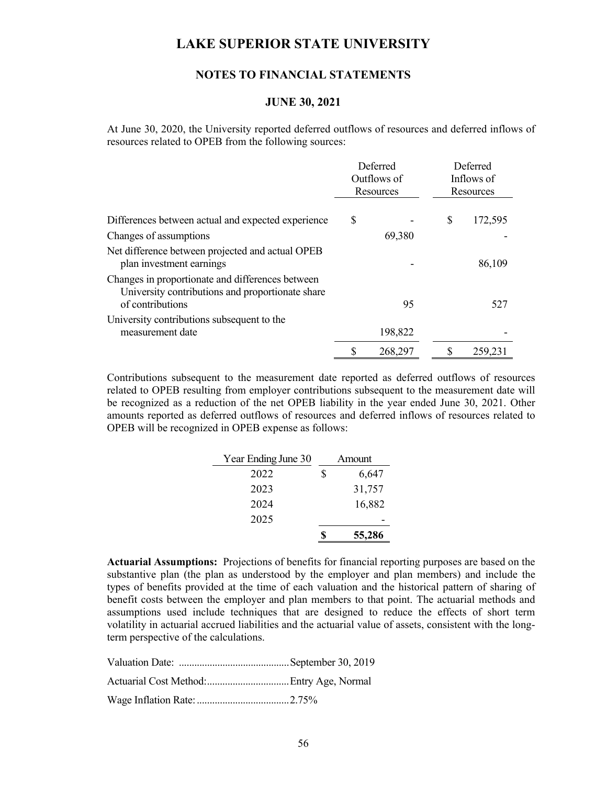### **NOTES TO FINANCIAL STATEMENTS**

### **JUNE 30, 2021**

At June 30, 2020, the University reported deferred outflows of resources and deferred inflows of resources related to OPEB from the following sources:

|                                                                                                      | Deferred<br>Outflows of<br>Resources |         | Deferred<br>Inflows of<br>Resources |  |
|------------------------------------------------------------------------------------------------------|--------------------------------------|---------|-------------------------------------|--|
| Differences between actual and expected experience                                                   | \$                                   |         | \$<br>172,595                       |  |
| Changes of assumptions                                                                               |                                      | 69,380  |                                     |  |
| Net difference between projected and actual OPEB<br>plan investment earnings                         |                                      |         | 86,109                              |  |
| Changes in proportionate and differences between<br>University contributions and proportionate share |                                      |         |                                     |  |
| of contributions                                                                                     |                                      | 95      | 527                                 |  |
| University contributions subsequent to the                                                           |                                      |         |                                     |  |
| measurement date                                                                                     |                                      | 198,822 |                                     |  |
|                                                                                                      |                                      | 268,297 | 259,231                             |  |

Contributions subsequent to the measurement date reported as deferred outflows of resources related to OPEB resulting from employer contributions subsequent to the measurement date will be recognized as a reduction of the net OPEB liability in the year ended June 30, 2021. Other amounts reported as deferred outflows of resources and deferred inflows of resources related to OPEB will be recognized in OPEB expense as follows:

| Year Ending June 30 | Amount |        |
|---------------------|--------|--------|
| 2022                | \$     | 6,647  |
| 2023                |        | 31,757 |
| 2024                |        | 16,882 |
| 2025                |        |        |
|                     |        | 55,286 |

**Actuarial Assumptions:** Projections of benefits for financial reporting purposes are based on the substantive plan (the plan as understood by the employer and plan members) and include the types of benefits provided at the time of each valuation and the historical pattern of sharing of benefit costs between the employer and plan members to that point. The actuarial methods and assumptions used include techniques that are designed to reduce the effects of short term volatility in actuarial accrued liabilities and the actuarial value of assets, consistent with the longterm perspective of the calculations.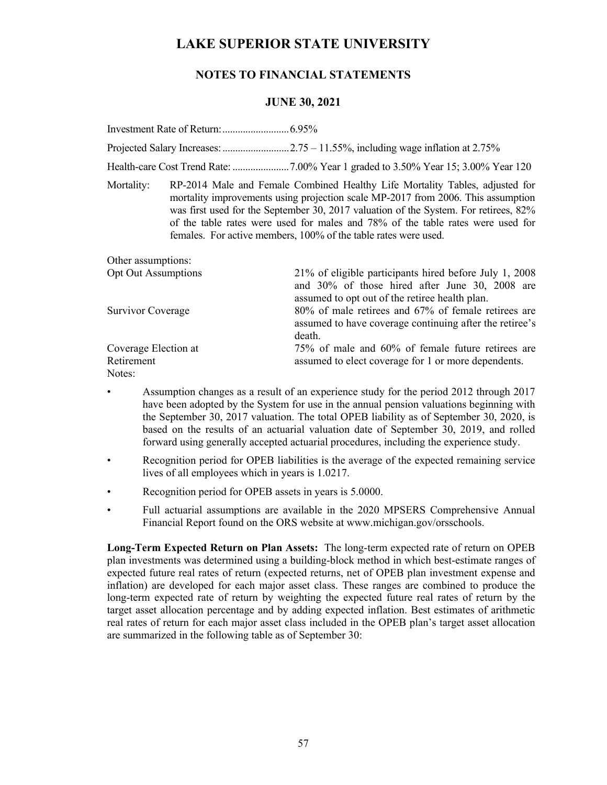## **NOTES TO FINANCIAL STATEMENTS**

## **JUNE 30, 2021**

Investment Rate of Return: .......................... 6.95%

Projected Salary Increases: .......................... 2.75 – 11.55%, including wage inflation at 2.75%

Health-care Cost Trend Rate: ...................... 7.00% Year 1 graded to 3.50% Year 15; 3.00% Year 120

Mortality: RP-2014 Male and Female Combined Healthy Life Mortality Tables, adjusted for mortality improvements using projection scale MP-2017 from 2006. This assumption was first used for the September 30, 2017 valuation of the System. For retirees, 82% of the table rates were used for males and 78% of the table rates were used for females. For active members, 100% of the table rates were used.

| Other assumptions:                           |                                                                                                                                                            |
|----------------------------------------------|------------------------------------------------------------------------------------------------------------------------------------------------------------|
| <b>Opt Out Assumptions</b>                   | 21% of eligible participants hired before July 1, 2008<br>and 30% of those hired after June 30, 2008 are<br>assumed to opt out of the retiree health plan. |
| Survivor Coverage                            | 80% of male retirees and 67% of female retirees are<br>assumed to have coverage continuing after the retiree's<br>death.                                   |
| Coverage Election at<br>Retirement<br>Notes: | 75% of male and 60% of female future retirees are<br>assumed to elect coverage for 1 or more dependents.                                                   |
|                                              |                                                                                                                                                            |

- Assumption changes as a result of an experience study for the period 2012 through 2017 have been adopted by the System for use in the annual pension valuations beginning with the September 30, 2017 valuation. The total OPEB liability as of September 30, 2020, is based on the results of an actuarial valuation date of September 30, 2019, and rolled forward using generally accepted actuarial procedures, including the experience study.
- Recognition period for OPEB liabilities is the average of the expected remaining service lives of all employees which in years is 1.0217.
- Recognition period for OPEB assets in years is  $5.0000$ .
- Full actuarial assumptions are available in the 2020 MPSERS Comprehensive Annual Financial Report found on the ORS website at www.michigan.gov/orsschools.

**Long-Term Expected Return on Plan Assets:** The long-term expected rate of return on OPEB plan investments was determined using a building-block method in which best-estimate ranges of expected future real rates of return (expected returns, net of OPEB plan investment expense and inflation) are developed for each major asset class. These ranges are combined to produce the long-term expected rate of return by weighting the expected future real rates of return by the target asset allocation percentage and by adding expected inflation. Best estimates of arithmetic real rates of return for each major asset class included in the OPEB plan's target asset allocation are summarized in the following table as of September 30: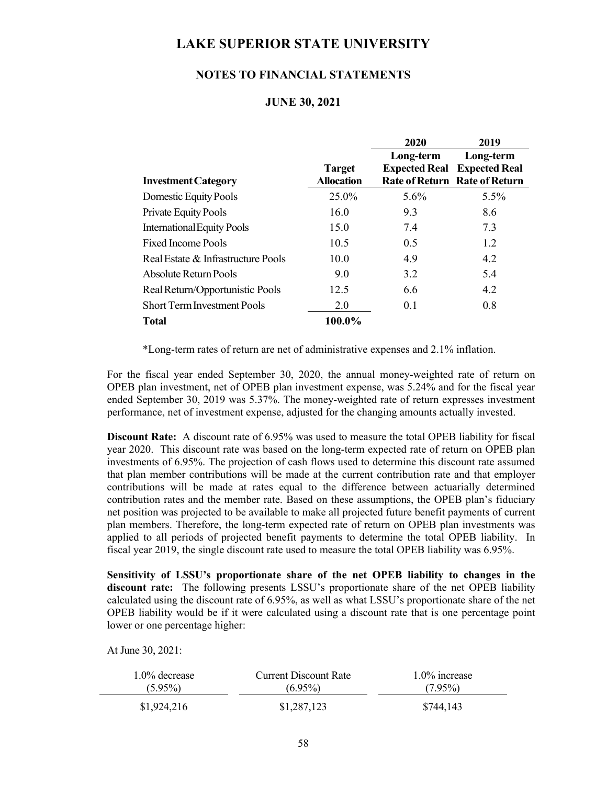## **NOTES TO FINANCIAL STATEMENTS**

### **JUNE 30, 2021**

|                                    |                   | 2020      | 2019                                 |
|------------------------------------|-------------------|-----------|--------------------------------------|
|                                    |                   | Long-term | Long-term                            |
|                                    | <b>Target</b>     |           | <b>Expected Real Expected Real</b>   |
| <b>Investment Category</b>         | <b>Allocation</b> |           | <b>Rate of Return Rate of Return</b> |
| Domestic Equity Pools              | 25.0%             | $5.6\%$   | $5.5\%$                              |
| <b>Private Equity Pools</b>        | 16.0              | 9.3       | 8.6                                  |
| <b>International Equity Pools</b>  | 15.0              | 7.4       | 7.3                                  |
| <b>Fixed Income Pools</b>          | 10.5              | 0.5       | 1.2                                  |
| Real Estate & Infrastructure Pools | 10.0              | 4.9       | 4.2                                  |
| Absolute Return Pools              | 9.0               | 3.2       | 5.4                                  |
| Real Return/Opportunistic Pools    | 12.5              | 6.6       | 4.2                                  |
| <b>Short Term Investment Pools</b> | 2.0               | 0.1       | 0.8                                  |
| <b>Total</b>                       | 100.0%            |           |                                      |

\*Long-term rates of return are net of administrative expenses and 2.1% inflation.

For the fiscal year ended September 30, 2020, the annual money-weighted rate of return on OPEB plan investment, net of OPEB plan investment expense, was 5.24% and for the fiscal year ended September 30, 2019 was 5.37%. The money-weighted rate of return expresses investment performance, net of investment expense, adjusted for the changing amounts actually invested.

**Discount Rate:** A discount rate of 6.95% was used to measure the total OPEB liability for fiscal year 2020. This discount rate was based on the long-term expected rate of return on OPEB plan investments of 6.95%. The projection of cash flows used to determine this discount rate assumed that plan member contributions will be made at the current contribution rate and that employer contributions will be made at rates equal to the difference between actuarially determined contribution rates and the member rate. Based on these assumptions, the OPEB plan's fiduciary net position was projected to be available to make all projected future benefit payments of current plan members. Therefore, the long-term expected rate of return on OPEB plan investments was applied to all periods of projected benefit payments to determine the total OPEB liability. In fiscal year 2019, the single discount rate used to measure the total OPEB liability was 6.95%.

**Sensitivity of LSSU's proportionate share of the net OPEB liability to changes in the discount rate:** The following presents LSSU's proportionate share of the net OPEB liability calculated using the discount rate of 6.95%, as well as what LSSU's proportionate share of the net OPEB liability would be if it were calculated using a discount rate that is one percentage point lower or one percentage higher:

At June 30, 2021:

| $1.0\%$ decrease | <b>Current Discount Rate</b> | $1.0\%$ increase |
|------------------|------------------------------|------------------|
| $(5.95\%)$       | $(6.95\%)$                   | $(7.95\%)$       |
| \$1,924,216      | \$1,287,123                  | \$744,143        |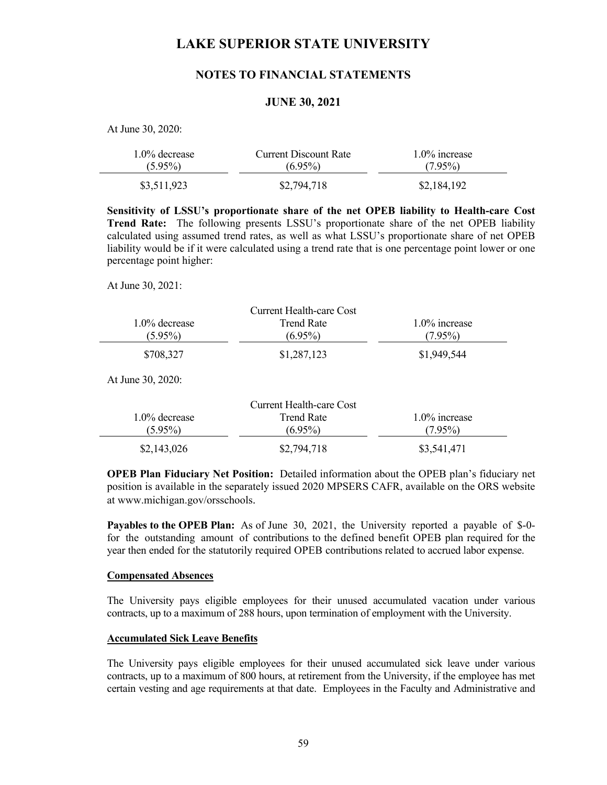## **NOTES TO FINANCIAL STATEMENTS**

## **JUNE 30, 2021**

At June 30, 2020:

| $1.0\%$ decrease | Current Discount Rate | $1.0\%$ increase |  |
|------------------|-----------------------|------------------|--|
| $(5.95\%)$       | $(6.95\%)$            | $(7.95\%)$       |  |
| \$3,511,923      | \$2,794,718           | \$2,184,192      |  |

**Sensitivity of LSSU's proportionate share of the net OPEB liability to Health-care Cost Trend Rate:** The following presents LSSU's proportionate share of the net OPEB liability calculated using assumed trend rates, as well as what LSSU's proportionate share of net OPEB liability would be if it were calculated using a trend rate that is one percentage point lower or one percentage point higher:

At June 30, 2021:

|                  | Current Health-care Cost |                  |
|------------------|--------------------------|------------------|
| $1.0\%$ decrease | Trend Rate               | $1.0\%$ increase |
| $(5.95\%)$       | $(6.95\%)$               | $(7.95\%)$       |
| \$708,327        | \$1,287,123              | \$1,949,544      |

At June 30, 2020:

|                  | Current Health-care Cost |                  |
|------------------|--------------------------|------------------|
| $1.0\%$ decrease | Trend Rate               | $1.0\%$ increase |
| $(5.95\%)$       | $(6.95\%)$               | $(7.95\%)$       |
| \$2,143,026      | \$2,794,718              | \$3,541,471      |

**OPEB Plan Fiduciary Net Position:** Detailed information about the OPEB plan's fiduciary net position is available in the separately issued 2020 MPSERS CAFR, available on the ORS website at www.michigan.gov/orsschools.

**Payables to the OPEB Plan:** As of June 30, 2021, the University reported a payable of \$-0 for the outstanding amount of contributions to the defined benefit OPEB plan required for the year then ended for the statutorily required OPEB contributions related to accrued labor expense.

#### **Compensated Absences**

The University pays eligible employees for their unused accumulated vacation under various contracts, up to a maximum of 288 hours, upon termination of employment with the University.

### **Accumulated Sick Leave Benefits**

 The University pays eligible employees for their unused accumulated sick leave under various contracts, up to a maximum of 800 hours, at retirement from the University, if the employee has met certain vesting and age requirements at that date. Employees in the Faculty and Administrative and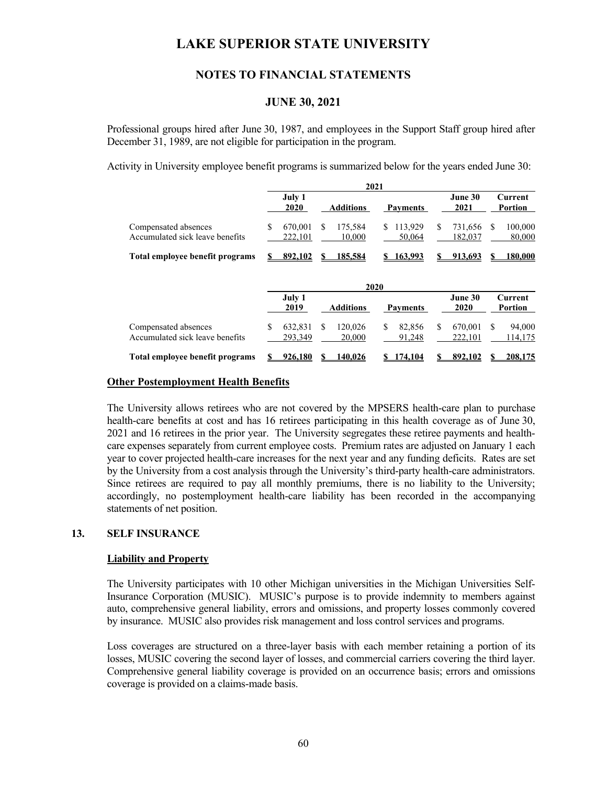## **NOTES TO FINANCIAL STATEMENTS**

## **JUNE 30, 2021**

Professional groups hired after June 30, 1987, and employees in the Support Staff group hired after December 31, 1989, are not eligible for participation in the program.

Activity in University employee benefit programs is summarized below for the years ended June 30:

|                                                         |                         | 2021                    |                         |                          |                          |
|---------------------------------------------------------|-------------------------|-------------------------|-------------------------|--------------------------|--------------------------|
|                                                         | July 1<br>2020          | <b>Additions</b>        | <b>Payments</b>         | June 30<br>2021          | Current<br>Portion       |
| Compensated absences<br>Accumulated sick leave benefits | S<br>670,001<br>222,101 | S<br>175,584<br>10,000  | 113,929<br>S.<br>50,064 | S<br>731,656<br>182,037  | 100,000<br>\$.<br>80,000 |
| Total employee benefit programs                         | 892.102                 | 185.584                 | \$163,993               | 913.693                  | <u>180.000</u>           |
|                                                         |                         |                         | 2020                    |                          |                          |
|                                                         | July 1<br>2019          | <b>Additions</b>        | <b>Payments</b>         | June 30<br>2020          | Current<br>Portion       |
| Compensated absences<br>Accumulated sick leave benefits | S<br>632,831<br>293,349 | \$<br>120,026<br>20,000 | \$<br>82,856<br>91,248  | \$<br>670,001<br>222,101 | 94,000<br>S.<br>114,175  |
| Total employee benefit programs                         | 926,180                 | 140.026                 | 174.104                 | 892.102                  | 208,175                  |

### **Other Postemployment Health Benefits**

 The University allows retirees who are not covered by the MPSERS health-care plan to purchase health-care benefits at cost and has 16 retirees participating in this health coverage as of June 30, 2021 and 16 retirees in the prior year. The University segregates these retiree payments and healthcare expenses separately from current employee costs. Premium rates are adjusted on January 1 each year to cover projected health-care increases for the next year and any funding deficits. Rates are set by the University from a cost analysis through the University's third-party health-care administrators. Since retirees are required to pay all monthly premiums, there is no liability to the University; accordingly, no postemployment health-care liability has been recorded in the accompanying statements of net position.

### **13. SELF INSURANCE**

#### **Liability and Property**

 The University participates with 10 other Michigan universities in the Michigan Universities Self-Insurance Corporation (MUSIC). MUSIC's purpose is to provide indemnity to members against auto, comprehensive general liability, errors and omissions, and property losses commonly covered by insurance. MUSIC also provides risk management and loss control services and programs.

 Loss coverages are structured on a three-layer basis with each member retaining a portion of its losses, MUSIC covering the second layer of losses, and commercial carriers covering the third layer. Comprehensive general liability coverage is provided on an occurrence basis; errors and omissions coverage is provided on a claims-made basis.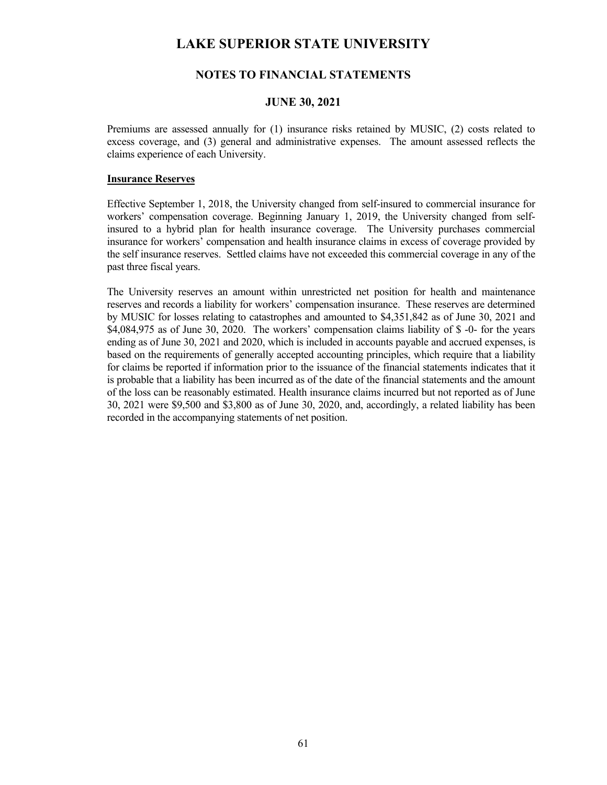## **NOTES TO FINANCIAL STATEMENTS**

### **JUNE 30, 2021**

Premiums are assessed annually for (1) insurance risks retained by MUSIC, (2) costs related to excess coverage, and (3) general and administrative expenses. The amount assessed reflects the claims experience of each University.

### **Insurance Reserves**

Effective September 1, 2018, the University changed from self-insured to commercial insurance for workers' compensation coverage. Beginning January 1, 2019, the University changed from selfinsured to a hybrid plan for health insurance coverage. The University purchases commercial insurance for workers' compensation and health insurance claims in excess of coverage provided by the self insurance reserves. Settled claims have not exceeded this commercial coverage in any of the past three fiscal years.

The University reserves an amount within unrestricted net position for health and maintenance reserves and records a liability for workers' compensation insurance. These reserves are determined by MUSIC for losses relating to catastrophes and amounted to \$4,351,842 as of June 30, 2021 and \$4,084,975 as of June 30, 2020. The workers' compensation claims liability of \$ -0- for the years ending as of June 30, 2021 and 2020, which is included in accounts payable and accrued expenses, is based on the requirements of generally accepted accounting principles, which require that a liability for claims be reported if information prior to the issuance of the financial statements indicates that it is probable that a liability has been incurred as of the date of the financial statements and the amount of the loss can be reasonably estimated. Health insurance claims incurred but not reported as of June 30, 2021 were \$9,500 and \$3,800 as of June 30, 2020, and, accordingly, a related liability has been recorded in the accompanying statements of net position.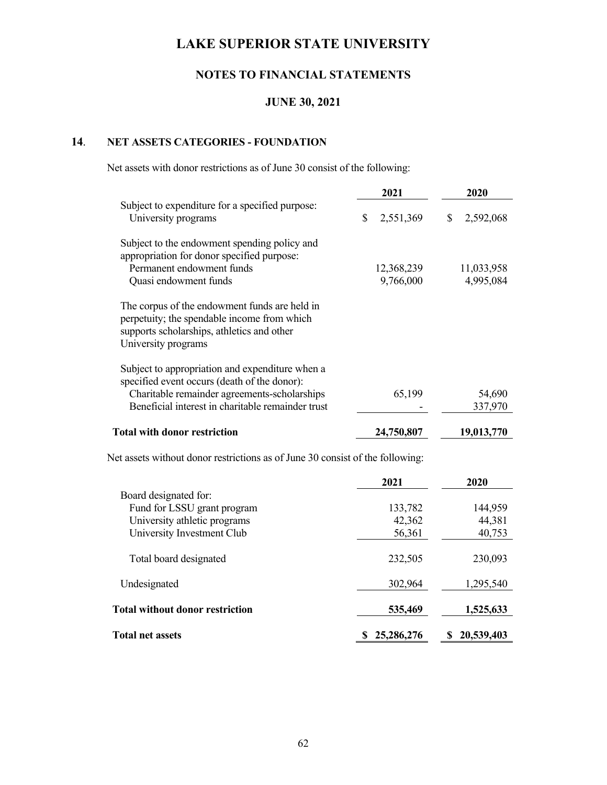# **NOTES TO FINANCIAL STATEMENTS**

## **JUNE 30, 2021**

# **14**. **NET ASSETS CATEGORIES - FOUNDATION**

Net assets with donor restrictions as of June 30 consist of the following:

|                                                                                                                                                                   | 2021                    | 2020                    |
|-------------------------------------------------------------------------------------------------------------------------------------------------------------------|-------------------------|-------------------------|
| Subject to expenditure for a specified purpose:<br>University programs                                                                                            | \$<br>2,551,369         | \$<br>2,592,068         |
| Subject to the endowment spending policy and<br>appropriation for donor specified purpose:<br>Permanent endowment funds<br>Quasi endowment funds                  | 12,368,239<br>9,766,000 | 11,033,958<br>4,995,084 |
| The corpus of the endowment funds are held in<br>perpetuity; the spendable income from which<br>supports scholarships, athletics and other<br>University programs |                         |                         |
| Subject to appropriation and expenditure when a                                                                                                                   |                         |                         |
| specified event occurs (death of the donor):                                                                                                                      |                         |                         |
| Charitable remainder agreements-scholarships                                                                                                                      | 65,199                  | 54,690                  |
| Beneficial interest in charitable remainder trust                                                                                                                 |                         | 337,970                 |
| <b>Total with donor restriction</b>                                                                                                                               | 24,750,807              | 19,013,770              |
| Net assets without donor restrictions as of June 30 consist of the following:                                                                                     |                         |                         |
|                                                                                                                                                                   | 2021                    | 2020                    |
| Board designated for:                                                                                                                                             |                         |                         |
| Fund for LSSU grant program                                                                                                                                       | 133,782                 | 144,959                 |
| University athletic programs                                                                                                                                      | 42,362                  | 44,381                  |
| University Investment Club                                                                                                                                        | 56,361                  | 40,753                  |
| Total board designated                                                                                                                                            | 232,505                 | 230,093                 |
| Undesignated                                                                                                                                                      | 302,964                 | 1,295,540               |
| <b>Total without donor restriction</b>                                                                                                                            | 535,469                 | 1,525,633               |
|                                                                                                                                                                   |                         |                         |

Total net assets **8 25,286,276 8 20,539,403**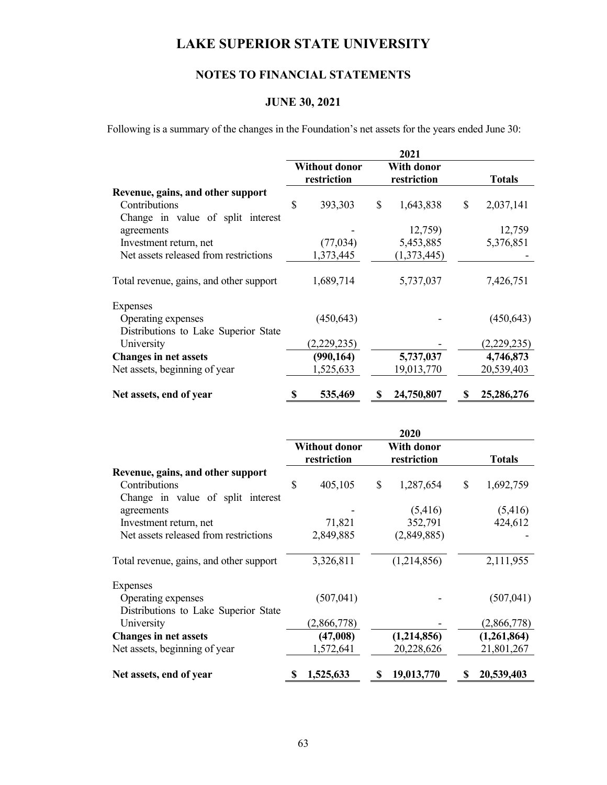# **NOTES TO FINANCIAL STATEMENTS**

# **JUNE 30, 2021**

Following is a summary of the changes in the Foundation's net assets for the years ended June 30:

|                                         |                                     |             |                           | 2021        |                 |
|-----------------------------------------|-------------------------------------|-------------|---------------------------|-------------|-----------------|
|                                         | <b>Without donor</b><br>restriction |             | With donor<br>restriction |             | <b>Totals</b>   |
| Revenue, gains, and other support       |                                     |             |                           |             |                 |
| Contributions                           | \$                                  | 393,303     | \$                        | 1,643,838   | \$<br>2,037,141 |
| Change in value of split interest       |                                     |             |                           |             |                 |
| agreements                              |                                     |             |                           | 12,759)     | 12,759          |
| Investment return, net                  |                                     | (77, 034)   |                           | 5,453,885   | 5,376,851       |
| Net assets released from restrictions   |                                     | 1,373,445   |                           | (1,373,445) |                 |
| Total revenue, gains, and other support |                                     | 1,689,714   |                           | 5,737,037   | 7,426,751       |
| Expenses                                |                                     |             |                           |             |                 |
| Operating expenses                      |                                     | (450, 643)  |                           |             | (450, 643)      |
| Distributions to Lake Superior State    |                                     |             |                           |             |                 |
| University                              |                                     | (2,229,235) |                           |             | (2,229,235)     |
| <b>Changes in net assets</b>            |                                     | (990, 164)  |                           | 5,737,037   | 4,746,873       |
| Net assets, beginning of year           |                                     | 1,525,633   |                           | 19,013,770  | 20,539,403      |
| Net assets, end of year                 |                                     | 535,469     |                           | 24,750,807  | 25,286,276      |

|                                         |                                     |             |                                  | 2020        |                 |
|-----------------------------------------|-------------------------------------|-------------|----------------------------------|-------------|-----------------|
|                                         | <b>Without donor</b><br>restriction |             | <b>With donor</b><br>restriction |             | <b>Totals</b>   |
| Revenue, gains, and other support       |                                     |             |                                  |             |                 |
| Contributions                           | \$                                  | 405,105     | \$                               | 1,287,654   | \$<br>1,692,759 |
| Change in value of split interest       |                                     |             |                                  |             |                 |
| agreements                              |                                     |             |                                  | (5,416)     | (5, 416)        |
| Investment return, net                  |                                     | 71,821      |                                  | 352,791     | 424,612         |
| Net assets released from restrictions   |                                     | 2,849,885   |                                  | (2,849,885) |                 |
| Total revenue, gains, and other support |                                     | 3,326,811   |                                  | (1,214,856) | 2,111,955       |
| Expenses                                |                                     |             |                                  |             |                 |
| Operating expenses                      |                                     | (507, 041)  |                                  |             | (507, 041)      |
| Distributions to Lake Superior State    |                                     |             |                                  |             |                 |
| University                              |                                     | (2,866,778) |                                  |             | (2,866,778)     |
| <b>Changes in net assets</b>            |                                     | (47,008)    |                                  | (1,214,856) | (1,261,864)     |
| Net assets, beginning of year           |                                     | 1,572,641   |                                  | 20,228,626  | 21,801,267      |
| Net assets, end of year                 | S                                   | 1,525,633   |                                  | 19,013,770  | 20,539,403      |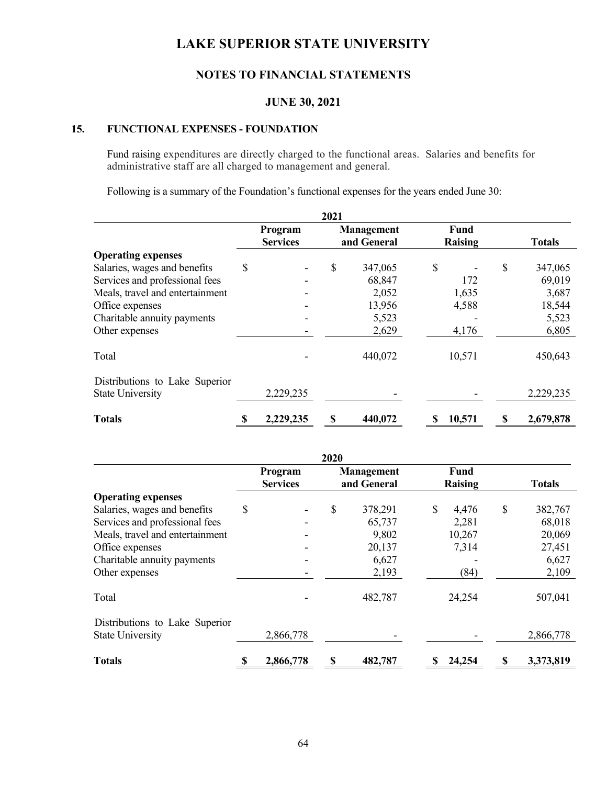# **NOTES TO FINANCIAL STATEMENTS**

## **JUNE 30, 2021**

## **15. FUNCTIONAL EXPENSES - FOUNDATION**

Fund raising expenditures are directly charged to the functional areas. Salaries and benefits for administrative staff are all charged to management and general.

Following is a summary of the Foundation's functional expenses for the years ended June 30:

|                                                           |                            | 2021 |                                  |                        |    |               |
|-----------------------------------------------------------|----------------------------|------|----------------------------------|------------------------|----|---------------|
|                                                           | Program<br><b>Services</b> |      | <b>Management</b><br>and General | <b>Fund</b><br>Raising |    | <b>Totals</b> |
| <b>Operating expenses</b>                                 |                            |      |                                  |                        |    |               |
| Salaries, wages and benefits                              | \$                         | \$   | 347,065                          | \$                     | \$ | 347,065       |
| Services and professional fees                            |                            |      | 68,847                           | 172                    |    | 69,019        |
| Meals, travel and entertainment                           |                            |      | 2,052                            | 1,635                  |    | 3,687         |
| Office expenses                                           |                            |      | 13,956                           | 4,588                  |    | 18,544        |
| Charitable annuity payments                               |                            |      | 5,523                            |                        |    | 5,523         |
| Other expenses                                            |                            |      | 2,629                            | 4,176                  |    | 6,805         |
| Total                                                     |                            |      | 440,072                          | 10,571                 |    | 450,643       |
| Distributions to Lake Superior<br><b>State University</b> | 2,229,235                  |      |                                  |                        |    | 2,229,235     |
| <b>Totals</b>                                             | 2,229,235                  |      | 440,072                          | 10,571                 | S  | 2,679,878     |

|                                 |                 | 2020 |                   |                |    |               |
|---------------------------------|-----------------|------|-------------------|----------------|----|---------------|
|                                 | Program         |      | <b>Management</b> | Fund           |    |               |
|                                 | <b>Services</b> |      | and General       | <b>Raising</b> |    | <b>Totals</b> |
| <b>Operating expenses</b>       |                 |      |                   |                |    |               |
| Salaries, wages and benefits    | \$              | \$   | 378,291           | \$<br>4,476    | \$ | 382,767       |
| Services and professional fees  |                 |      | 65,737            | 2,281          |    | 68,018        |
| Meals, travel and entertainment |                 |      | 9,802             | 10,267         |    | 20,069        |
| Office expenses                 |                 |      | 20,137            | 7,314          |    | 27,451        |
| Charitable annuity payments     |                 |      | 6,627             |                |    | 6,627         |
| Other expenses                  |                 |      | 2,193             | (84)           |    | 2,109         |
| Total                           |                 |      | 482,787           | 24,254         |    | 507,041       |
| Distributions to Lake Superior  |                 |      |                   |                |    |               |
| <b>State University</b>         | 2,866,778       |      |                   |                |    | 2,866,778     |
| <b>Totals</b>                   | \$<br>2,866,778 | \$   | 482,787           | 24,254         | S  | 3,373,819     |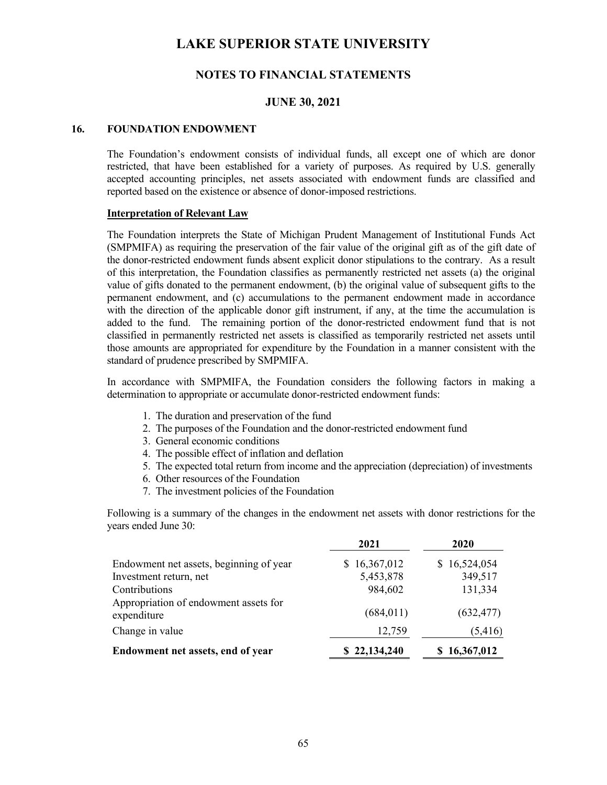## **NOTES TO FINANCIAL STATEMENTS**

### **JUNE 30, 2021**

#### **16. FOUNDATION ENDOWMENT**

The Foundation's endowment consists of individual funds, all except one of which are donor restricted, that have been established for a variety of purposes. As required by U.S. generally accepted accounting principles, net assets associated with endowment funds are classified and reported based on the existence or absence of donor-imposed restrictions.

#### **Interpretation of Relevant Law**

 The Foundation interprets the State of Michigan Prudent Management of Institutional Funds Act (SMPMIFA) as requiring the preservation of the fair value of the original gift as of the gift date of the donor-restricted endowment funds absent explicit donor stipulations to the contrary. As a result of this interpretation, the Foundation classifies as permanently restricted net assets (a) the original value of gifts donated to the permanent endowment, (b) the original value of subsequent gifts to the permanent endowment, and (c) accumulations to the permanent endowment made in accordance with the direction of the applicable donor gift instrument, if any, at the time the accumulation is added to the fund. The remaining portion of the donor-restricted endowment fund that is not classified in permanently restricted net assets is classified as temporarily restricted net assets until those amounts are appropriated for expenditure by the Foundation in a manner consistent with the standard of prudence prescribed by SMPMIFA.

 In accordance with SMPMIFA, the Foundation considers the following factors in making a determination to appropriate or accumulate donor-restricted endowment funds:

- 1. The duration and preservation of the fund
- 2. The purposes of the Foundation and the donor-restricted endowment fund
- 3. General economic conditions
- 4. The possible effect of inflation and deflation
- 5. The expected total return from income and the appreciation (depreciation) of investments
- 6. Other resources of the Foundation
- 7. The investment policies of the Foundation

 Following is a summary of the changes in the endowment net assets with donor restrictions for the years ended June 30:

|                                                      | 2021             | 2020         |
|------------------------------------------------------|------------------|--------------|
| Endowment net assets, beginning of year              | 16,367,012<br>S. | \$16,524,054 |
| Investment return, net                               | 5,453,878        | 349,517      |
| Contributions                                        | 984,602          | 131,334      |
| Appropriation of endowment assets for<br>expenditure | (684, 011)       | (632, 477)   |
| Change in value                                      | 12,759           | (5,416)      |
| Endowment net assets, end of year                    | \$22,134,240     | \$16,367,012 |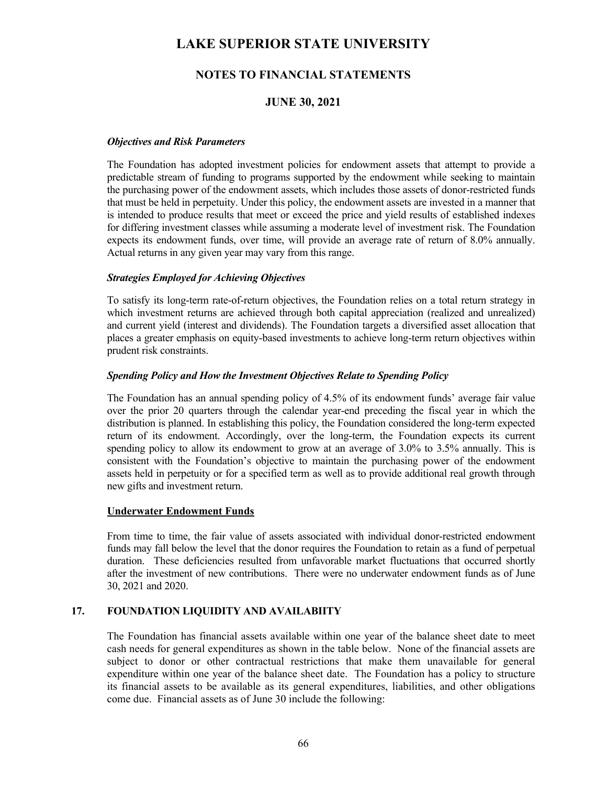# **NOTES TO FINANCIAL STATEMENTS**

## **JUNE 30, 2021**

### *Objectives and Risk Parameters*

 The Foundation has adopted investment policies for endowment assets that attempt to provide a predictable stream of funding to programs supported by the endowment while seeking to maintain the purchasing power of the endowment assets, which includes those assets of donor-restricted funds that must be held in perpetuity. Under this policy, the endowment assets are invested in a manner that is intended to produce results that meet or exceed the price and yield results of established indexes for differing investment classes while assuming a moderate level of investment risk. The Foundation expects its endowment funds, over time, will provide an average rate of return of 8.0% annually. Actual returns in any given year may vary from this range.

### *Strategies Employed for Achieving Objectives*

 To satisfy its long-term rate-of-return objectives, the Foundation relies on a total return strategy in which investment returns are achieved through both capital appreciation (realized and unrealized) and current yield (interest and dividends). The Foundation targets a diversified asset allocation that places a greater emphasis on equity-based investments to achieve long-term return objectives within prudent risk constraints.

### *Spending Policy and How the Investment Objectives Relate to Spending Policy*

 The Foundation has an annual spending policy of 4.5% of its endowment funds' average fair value over the prior 20 quarters through the calendar year-end preceding the fiscal year in which the distribution is planned. In establishing this policy, the Foundation considered the long-term expected return of its endowment. Accordingly, over the long-term, the Foundation expects its current spending policy to allow its endowment to grow at an average of 3.0% to 3.5% annually. This is consistent with the Foundation's objective to maintain the purchasing power of the endowment assets held in perpetuity or for a specified term as well as to provide additional real growth through new gifts and investment return.

#### **Underwater Endowment Funds**

From time to time, the fair value of assets associated with individual donor-restricted endowment funds may fall below the level that the donor requires the Foundation to retain as a fund of perpetual duration. These deficiencies resulted from unfavorable market fluctuations that occurred shortly after the investment of new contributions. There were no underwater endowment funds as of June 30, 2021 and 2020.

### **17. FOUNDATION LIQUIDITY AND AVAILABIITY**

The Foundation has financial assets available within one year of the balance sheet date to meet cash needs for general expenditures as shown in the table below. None of the financial assets are subject to donor or other contractual restrictions that make them unavailable for general expenditure within one year of the balance sheet date. The Foundation has a policy to structure its financial assets to be available as its general expenditures, liabilities, and other obligations come due. Financial assets as of June 30 include the following: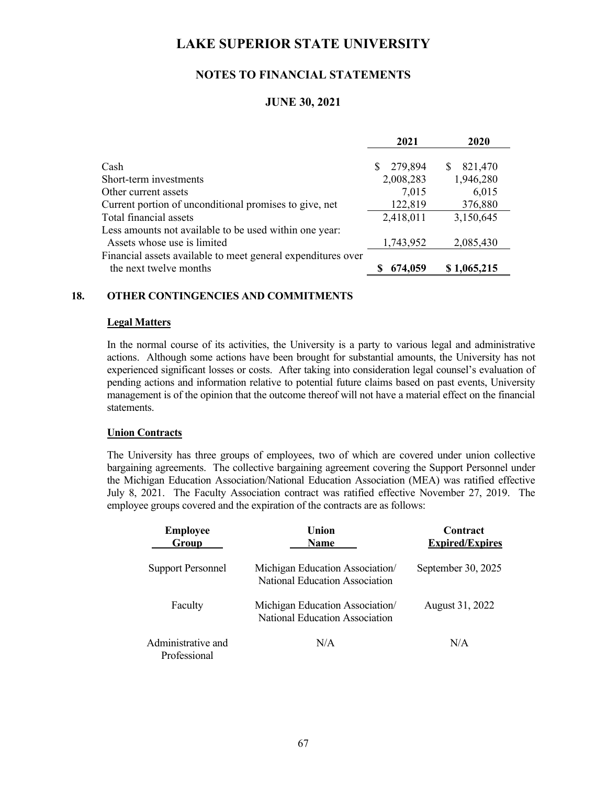## **NOTES TO FINANCIAL STATEMENTS**

## **JUNE 30, 2021**

|                                                              | 2021         | 2020         |
|--------------------------------------------------------------|--------------|--------------|
|                                                              |              |              |
| Cash                                                         | 279,894<br>S | 821,470<br>S |
| Short-term investments                                       | 2,008,283    | 1,946,280    |
| Other current assets                                         | 7,015        | 6,015        |
| Current portion of unconditional promises to give, net       | 122,819      | 376,880      |
| Total financial assets                                       | 2,418,011    | 3,150,645    |
| Less amounts not available to be used within one year:       |              |              |
| Assets whose use is limited                                  | 1,743,952    | 2,085,430    |
| Financial assets available to meet general expenditures over |              |              |
| the next twelve months                                       | 674,059      | \$1,065,215  |

### **18. OTHER CONTINGENCIES AND COMMITMENTS**

#### **Legal Matters**

In the normal course of its activities, the University is a party to various legal and administrative actions. Although some actions have been brought for substantial amounts, the University has not experienced significant losses or costs. After taking into consideration legal counsel's evaluation of pending actions and information relative to potential future claims based on past events, University management is of the opinion that the outcome thereof will not have a material effect on the financial statements.

#### **Union Contracts**

The University has three groups of employees, two of which are covered under union collective bargaining agreements. The collective bargaining agreement covering the Support Personnel under the Michigan Education Association/National Education Association (MEA) was ratified effective July 8, 2021. The Faculty Association contract was ratified effective November 27, 2019. The employee groups covered and the expiration of the contracts are as follows:

| <b>Employee</b><br>Group           | <b>Union</b><br><b>Name</b>                                       | Contract<br><b>Expired/Expires</b> |
|------------------------------------|-------------------------------------------------------------------|------------------------------------|
| <b>Support Personnel</b>           | Michigan Education Association/<br>National Education Association | September 30, 2025                 |
| Faculty                            | Michigan Education Association/<br>National Education Association | August 31, 2022                    |
| Administrative and<br>Professional | N/A                                                               | N/A                                |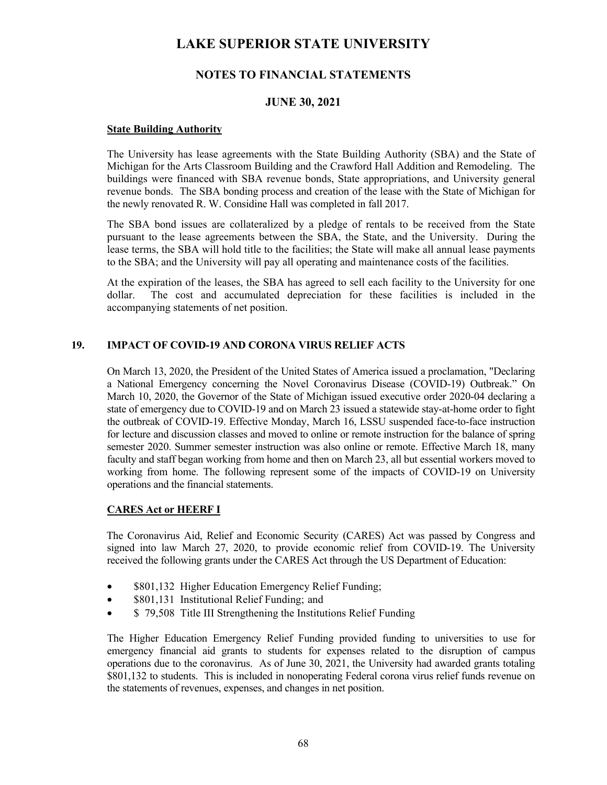## **NOTES TO FINANCIAL STATEMENTS**

## **JUNE 30, 2021**

### **State Building Authority**

 The University has lease agreements with the State Building Authority (SBA) and the State of Michigan for the Arts Classroom Building and the Crawford Hall Addition and Remodeling. The buildings were financed with SBA revenue bonds, State appropriations, and University general revenue bonds. The SBA bonding process and creation of the lease with the State of Michigan for the newly renovated R. W. Considine Hall was completed in fall 2017.

 The SBA bond issues are collateralized by a pledge of rentals to be received from the State pursuant to the lease agreements between the SBA, the State, and the University. During the lease terms, the SBA will hold title to the facilities; the State will make all annual lease payments to the SBA; and the University will pay all operating and maintenance costs of the facilities.

At the expiration of the leases, the SBA has agreed to sell each facility to the University for one dollar. The cost and accumulated depreciation for these facilities is included in the accompanying statements of net position.

### **19. IMPACT OF COVID-19 AND CORONA VIRUS RELIEF ACTS**

On March 13, 2020, the President of the United States of America issued a proclamation, "Declaring a National Emergency concerning the Novel Coronavirus Disease (COVID-19) Outbreak." On March 10, 2020, the Governor of the State of Michigan issued executive order 2020-04 declaring a state of emergency due to COVID-19 and on March 23 issued a statewide stay-at-home order to fight the outbreak of COVID-19. Effective Monday, March 16, LSSU suspended face-to-face instruction for lecture and discussion classes and moved to online or remote instruction for the balance of spring semester 2020. Summer semester instruction was also online or remote. Effective March 18, many faculty and staff began working from home and then on March 23, all but essential workers moved to working from home. The following represent some of the impacts of COVID-19 on University operations and the financial statements.

### **CARES Act or HEERF I**

The Coronavirus Aid, Relief and Economic Security (CARES) Act was passed by Congress and signed into law March 27, 2020, to provide economic relief from COVID-19. The University received the following grants under the CARES Act through the US Department of Education:

- \$801,132 Higher Education Emergency Relief Funding;
- \$801,131 Institutional Relief Funding; and
- \$ 79,508 Title III Strengthening the Institutions Relief Funding

The Higher Education Emergency Relief Funding provided funding to universities to use for emergency financial aid grants to students for expenses related to the disruption of campus operations due to the coronavirus. As of June 30, 2021, the University had awarded grants totaling \$801,132 to students. This is included in nonoperating Federal corona virus relief funds revenue on the statements of revenues, expenses, and changes in net position.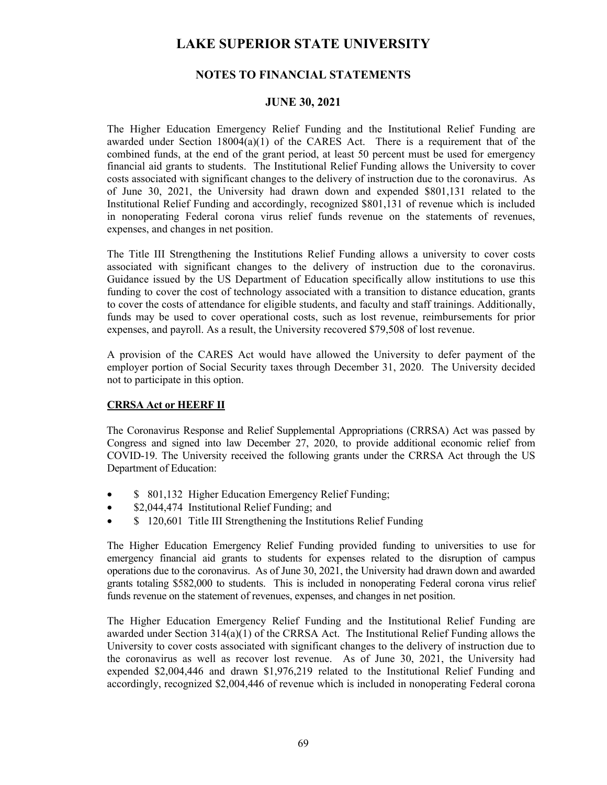## **NOTES TO FINANCIAL STATEMENTS**

## **JUNE 30, 2021**

The Higher Education Emergency Relief Funding and the Institutional Relief Funding are awarded under Section  $18004(a)(1)$  of the CARES Act. There is a requirement that of the combined funds, at the end of the grant period, at least 50 percent must be used for emergency financial aid grants to students. The Institutional Relief Funding allows the University to cover costs associated with significant changes to the delivery of instruction due to the coronavirus. As of June 30, 2021, the University had drawn down and expended \$801,131 related to the Institutional Relief Funding and accordingly, recognized \$801,131 of revenue which is included in nonoperating Federal corona virus relief funds revenue on the statements of revenues, expenses, and changes in net position.

The Title III Strengthening the Institutions Relief Funding allows a university to cover costs associated with significant changes to the delivery of instruction due to the coronavirus. Guidance issued by the US Department of Education specifically allow institutions to use this funding to cover the cost of technology associated with a transition to distance education, grants to cover the costs of attendance for eligible students, and faculty and staff trainings. Additionally, funds may be used to cover operational costs, such as lost revenue, reimbursements for prior expenses, and payroll. As a result, the University recovered \$79,508 of lost revenue.

A provision of the CARES Act would have allowed the University to defer payment of the employer portion of Social Security taxes through December 31, 2020. The University decided not to participate in this option.

### **CRRSA Act or HEERF II**

The Coronavirus Response and Relief Supplemental Appropriations (CRRSA) Act was passed by Congress and signed into law December 27, 2020, to provide additional economic relief from COVID-19. The University received the following grants under the CRRSA Act through the US Department of Education:

- \$ 801,132 Higher Education Emergency Relief Funding;
- \$2,044,474 Institutional Relief Funding; and
- \$120,601 Title III Strengthening the Institutions Relief Funding

The Higher Education Emergency Relief Funding provided funding to universities to use for emergency financial aid grants to students for expenses related to the disruption of campus operations due to the coronavirus. As of June 30, 2021, the University had drawn down and awarded grants totaling \$582,000 to students. This is included in nonoperating Federal corona virus relief funds revenue on the statement of revenues, expenses, and changes in net position.

The Higher Education Emergency Relief Funding and the Institutional Relief Funding are awarded under Section 314(a)(1) of the CRRSA Act. The Institutional Relief Funding allows the University to cover costs associated with significant changes to the delivery of instruction due to the coronavirus as well as recover lost revenue. As of June 30, 2021, the University had expended \$2,004,446 and drawn \$1,976,219 related to the Institutional Relief Funding and accordingly, recognized \$2,004,446 of revenue which is included in nonoperating Federal corona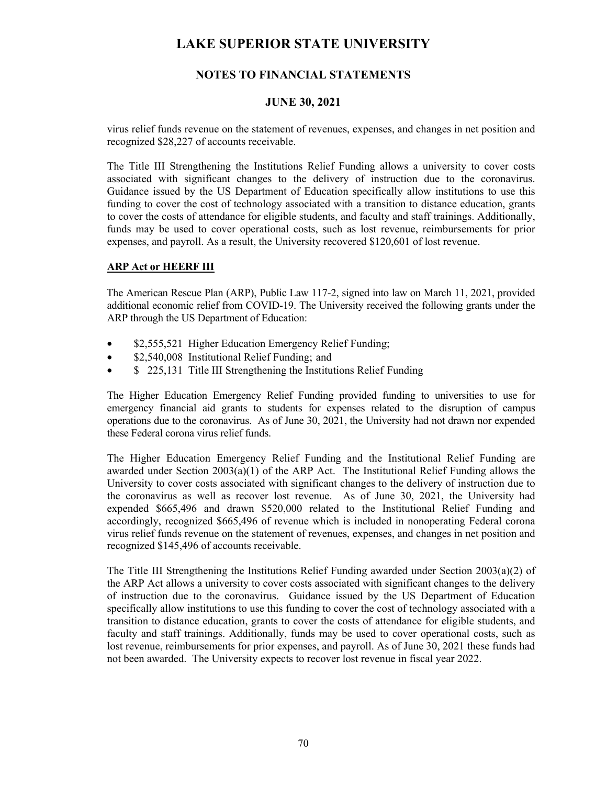# **NOTES TO FINANCIAL STATEMENTS**

## **JUNE 30, 2021**

virus relief funds revenue on the statement of revenues, expenses, and changes in net position and recognized \$28,227 of accounts receivable.

The Title III Strengthening the Institutions Relief Funding allows a university to cover costs associated with significant changes to the delivery of instruction due to the coronavirus. Guidance issued by the US Department of Education specifically allow institutions to use this funding to cover the cost of technology associated with a transition to distance education, grants to cover the costs of attendance for eligible students, and faculty and staff trainings. Additionally, funds may be used to cover operational costs, such as lost revenue, reimbursements for prior expenses, and payroll. As a result, the University recovered \$120,601 of lost revenue.

### **ARP Act or HEERF III**

The American Rescue Plan (ARP), Public Law 117-2, signed into law on March 11, 2021, provided additional economic relief from COVID-19. The University received the following grants under the ARP through the US Department of Education:

- \$2,555,521 Higher Education Emergency Relief Funding;
- \$2,540,008 Institutional Relief Funding; and
- \$ 225,131 Title III Strengthening the Institutions Relief Funding

The Higher Education Emergency Relief Funding provided funding to universities to use for emergency financial aid grants to students for expenses related to the disruption of campus operations due to the coronavirus. As of June 30, 2021, the University had not drawn nor expended these Federal corona virus relief funds.

The Higher Education Emergency Relief Funding and the Institutional Relief Funding are awarded under Section 2003(a)(1) of the ARP Act. The Institutional Relief Funding allows the University to cover costs associated with significant changes to the delivery of instruction due to the coronavirus as well as recover lost revenue. As of June 30, 2021, the University had expended \$665,496 and drawn \$520,000 related to the Institutional Relief Funding and accordingly, recognized \$665,496 of revenue which is included in nonoperating Federal corona virus relief funds revenue on the statement of revenues, expenses, and changes in net position and recognized \$145,496 of accounts receivable.

The Title III Strengthening the Institutions Relief Funding awarded under Section 2003(a)(2) of the ARP Act allows a university to cover costs associated with significant changes to the delivery of instruction due to the coronavirus. Guidance issued by the US Department of Education specifically allow institutions to use this funding to cover the cost of technology associated with a transition to distance education, grants to cover the costs of attendance for eligible students, and faculty and staff trainings. Additionally, funds may be used to cover operational costs, such as lost revenue, reimbursements for prior expenses, and payroll. As of June 30, 2021 these funds had not been awarded. The University expects to recover lost revenue in fiscal year 2022.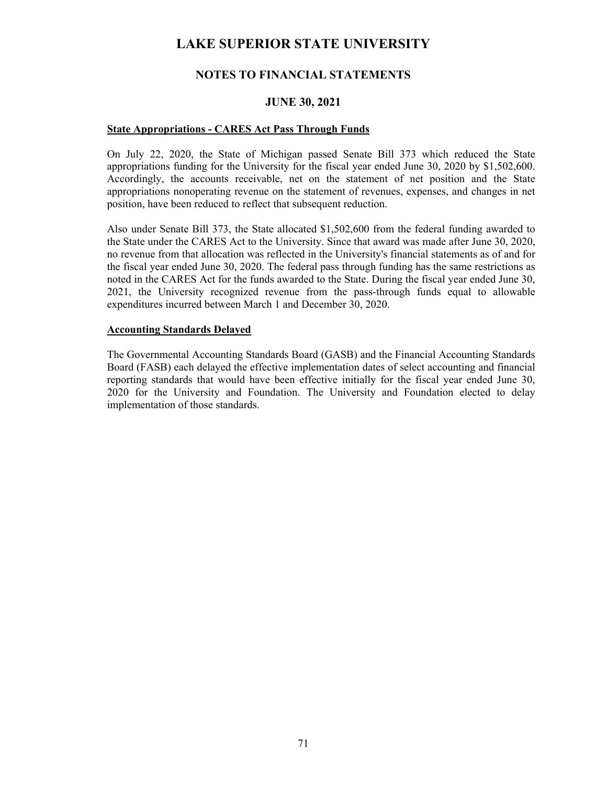## **NOTES TO FINANCIAL STATEMENTS**

#### **JUNE 30, 2021**

#### **State Appropriations - CARES Act Pass Through Funds**

On July 22, 2020, the State of Michigan passed Senate Bill 373 which reduced the State appropriations funding for the University for the fiscal year ended June 30, 2020 by \$1,502,600. Accordingly, the accounts receivable, net on the statement of net position and the State appropriations nonoperating revenue on the statement of revenues, expenses, and changes in net position, have been reduced to reflect that subsequent reduction.

Also under Senate Bill 373, the State allocated \$1,502,600 from the federal funding awarded to the State under the CARES Act to the University. Since that award was made after June 30, 2020, no revenue from that allocation was reflected in the University's financial statements as of and for the fiscal year ended June 30, 2020. The federal pass through funding has the same restrictions as noted in the CARES Act for the funds awarded to the State. During the fiscal year ended June 30, 2021, the University recognized revenue from the pass-through funds equal to allowable expenditures incurred between March 1 and December 30, 2020.

#### **Accounting Standards Delayed**

The Governmental Accounting Standards Board (GASB) and the Financial Accounting Standards Board (FASB) each delayed the effective implementation dates of select accounting and financial reporting standards that would have been effective initially for the fiscal year ended June 30, 2020 for the University and Foundation. The University and Foundation elected to delay implementation of those standards.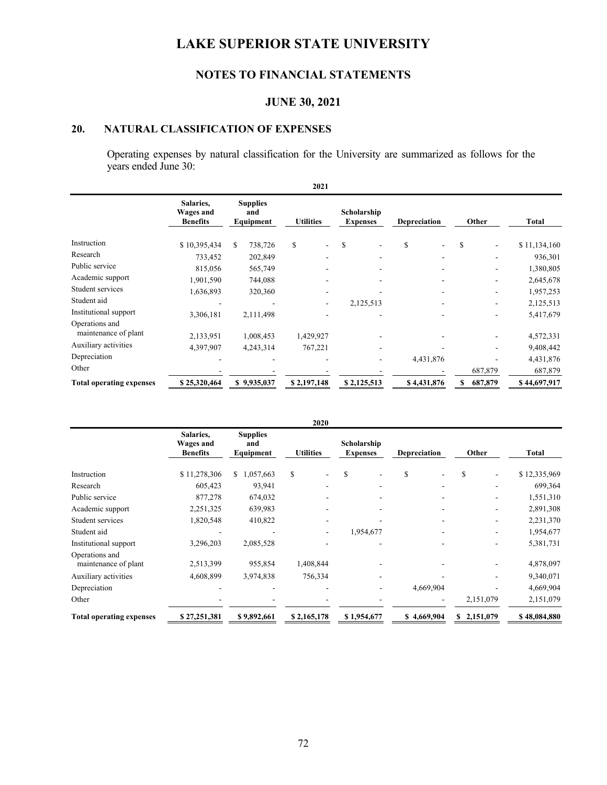# **NOTES TO FINANCIAL STATEMENTS**

## **JUNE 30, 2021**

# **20. NATURAL CLASSIFICATION OF EXPENSES**

Operating expenses by natural classification for the University are summarized as follows for the years ended June 30:

| 2021                                   |                                           |                                     |                                |                                |                                |               |              |  |  |  |
|----------------------------------------|-------------------------------------------|-------------------------------------|--------------------------------|--------------------------------|--------------------------------|---------------|--------------|--|--|--|
|                                        | Salaries,<br>Wages and<br><b>Benefits</b> | <b>Supplies</b><br>and<br>Equipment | <b>Utilities</b>               | Scholarship<br><b>Expenses</b> | Depreciation                   | Other         | Total        |  |  |  |
| Instruction                            | \$10,395,434                              | 738,726<br>S                        | \$<br>$\overline{\phantom{a}}$ | <sup>\$</sup>                  | \$<br>$\overline{\phantom{a}}$ | \$            | \$11,134,160 |  |  |  |
| Research                               | 733,452                                   | 202,849                             |                                |                                |                                |               | 936,301      |  |  |  |
| Public service                         | 815,056                                   | 565,749                             |                                |                                |                                |               | 1,380,805    |  |  |  |
| Academic support                       | 1,901,590                                 | 744,088                             |                                |                                |                                |               | 2,645,678    |  |  |  |
| Student services                       | 1,636,893                                 | 320,360                             |                                |                                |                                |               | 1,957,253    |  |  |  |
| Student aid                            |                                           |                                     |                                | 2,125,513                      |                                |               | 2,125,513    |  |  |  |
| Institutional support                  | 3,306,181                                 | 2,111,498                           |                                |                                |                                |               | 5,417,679    |  |  |  |
| Operations and<br>maintenance of plant | 2,133,951                                 | 1,008,453                           | 1,429,927                      |                                |                                |               | 4,572,331    |  |  |  |
| Auxiliary activities                   | 4,397,907                                 | 4,243,314                           | 767,221                        |                                |                                |               | 9,408,442    |  |  |  |
| Depreciation                           |                                           |                                     |                                |                                | 4,431,876                      |               | 4,431,876    |  |  |  |
| Other                                  |                                           |                                     |                                |                                |                                | 687,879       | 687,879      |  |  |  |
| <b>Total operating expenses</b>        | \$25,320,464                              | \$9,935,037                         | \$2,197,148                    | \$2,125,513                    | \$4,431,876                    | 687,879<br>\$ | \$44,697,917 |  |  |  |

|                                        |                                           |                                     | 2020             |                                |                     |             |              |  |
|----------------------------------------|-------------------------------------------|-------------------------------------|------------------|--------------------------------|---------------------|-------------|--------------|--|
|                                        | Salaries.<br>Wages and<br><b>Benefits</b> | <b>Supplies</b><br>and<br>Equipment | <b>Utilities</b> | Scholarship<br><b>Expenses</b> | <b>Depreciation</b> | Other       | <b>Total</b> |  |
| Instruction                            | \$11,278,306                              | 1,057,663<br>S.                     | \$               | S                              | \$                  | \$          | \$12,335,969 |  |
| Research                               | 605,423                                   | 93,941                              |                  |                                |                     |             | 699,364      |  |
| Public service                         | 877,278                                   | 674,032                             |                  |                                |                     |             | 1,551,310    |  |
| Academic support                       | 2,251,325                                 | 639,983                             |                  |                                |                     |             | 2,891,308    |  |
| Student services                       | 1,820,548                                 | 410,822                             |                  |                                |                     |             | 2,231,370    |  |
| Student aid                            |                                           |                                     |                  | 1,954,677                      |                     |             | 1,954,677    |  |
| Institutional support                  | 3,296,203                                 | 2,085,528                           |                  |                                |                     |             | 5,381,731    |  |
| Operations and<br>maintenance of plant | 2,513,399                                 | 955,854                             | 1,408,844        |                                |                     |             | 4,878,097    |  |
| Auxiliary activities                   | 4,608,899                                 | 3,974,838                           | 756,334          |                                |                     |             | 9,340,071    |  |
| Depreciation                           |                                           |                                     |                  |                                | 4,669,904           |             | 4,669,904    |  |
| Other                                  |                                           |                                     |                  |                                |                     | 2,151,079   | 2,151,079    |  |
| <b>Total operating expenses</b>        | \$27,251,381                              | \$9,892,661                         | \$2,165,178      | \$1,954,677                    | \$4,669,904         | \$2,151,079 | \$48,084,880 |  |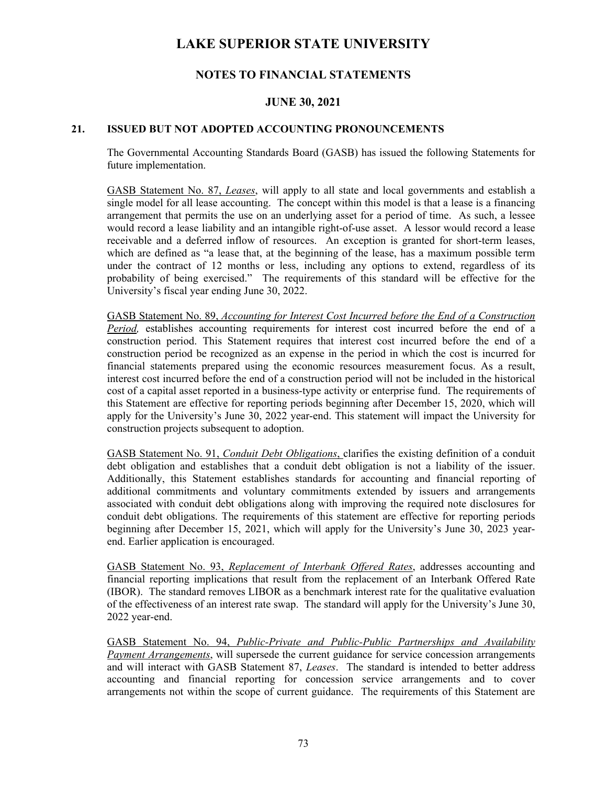## **NOTES TO FINANCIAL STATEMENTS**

### **JUNE 30, 2021**

#### **21. ISSUED BUT NOT ADOPTED ACCOUNTING PRONOUNCEMENTS**

The Governmental Accounting Standards Board (GASB) has issued the following Statements for future implementation.

GASB Statement No. 87, *Leases*, will apply to all state and local governments and establish a single model for all lease accounting. The concept within this model is that a lease is a financing arrangement that permits the use on an underlying asset for a period of time. As such, a lessee would record a lease liability and an intangible right-of-use asset. A lessor would record a lease receivable and a deferred inflow of resources. An exception is granted for short-term leases, which are defined as "a lease that, at the beginning of the lease, has a maximum possible term under the contract of 12 months or less, including any options to extend, regardless of its probability of being exercised." The requirements of this standard will be effective for the University's fiscal year ending June 30, 2022.

GASB Statement No. 89, *Accounting for Interest Cost Incurred before the End of a Construction Period,* establishes accounting requirements for interest cost incurred before the end of a construction period. This Statement requires that interest cost incurred before the end of a construction period be recognized as an expense in the period in which the cost is incurred for financial statements prepared using the economic resources measurement focus. As a result, interest cost incurred before the end of a construction period will not be included in the historical cost of a capital asset reported in a business-type activity or enterprise fund. The requirements of this Statement are effective for reporting periods beginning after December 15, 2020, which will apply for the University's June 30, 2022 year-end. This statement will impact the University for construction projects subsequent to adoption.

GASB Statement No. 91, *Conduit Debt Obligations*, clarifies the existing definition of a conduit debt obligation and establishes that a conduit debt obligation is not a liability of the issuer. Additionally, this Statement establishes standards for accounting and financial reporting of additional commitments and voluntary commitments extended by issuers and arrangements associated with conduit debt obligations along with improving the required note disclosures for conduit debt obligations. The requirements of this statement are effective for reporting periods beginning after December 15, 2021, which will apply for the University's June 30, 2023 yearend. Earlier application is encouraged.

GASB Statement No. 93, *Replacement of Interbank Offered Rates*, addresses accounting and financial reporting implications that result from the replacement of an Interbank Offered Rate (IBOR). The standard removes LIBOR as a benchmark interest rate for the qualitative evaluation of the effectiveness of an interest rate swap. The standard will apply for the University's June 30, 2022 year-end.

GASB Statement No. 94, *Public-Private and Public-Public Partnerships and Availability Payment Arrangements*, will supersede the current guidance for service concession arrangements and will interact with GASB Statement 87, *Leases*. The standard is intended to better address accounting and financial reporting for concession service arrangements and to cover arrangements not within the scope of current guidance. The requirements of this Statement are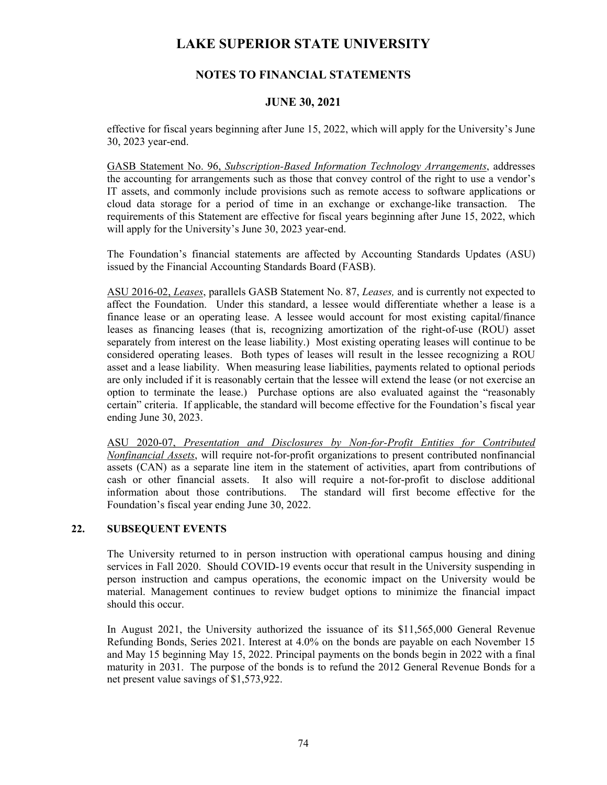## **NOTES TO FINANCIAL STATEMENTS**

### **JUNE 30, 2021**

effective for fiscal years beginning after June 15, 2022, which will apply for the University's June 30, 2023 year-end.

GASB Statement No. 96, *Subscription-Based Information Technology Arrangements*, addresses the accounting for arrangements such as those that convey control of the right to use a vendor's IT assets, and commonly include provisions such as remote access to software applications or cloud data storage for a period of time in an exchange or exchange-like transaction. The requirements of this Statement are effective for fiscal years beginning after June 15, 2022, which will apply for the University's June 30, 2023 year-end.

The Foundation's financial statements are affected by Accounting Standards Updates (ASU) issued by the Financial Accounting Standards Board (FASB).

ASU 2016-02, *Leases*, parallels GASB Statement No. 87, *Leases,* and is currently not expected to affect the Foundation. Under this standard, a lessee would differentiate whether a lease is a finance lease or an operating lease. A lessee would account for most existing capital/finance leases as financing leases (that is, recognizing amortization of the right-of-use (ROU) asset separately from interest on the lease liability.) Most existing operating leases will continue to be considered operating leases. Both types of leases will result in the lessee recognizing a ROU asset and a lease liability. When measuring lease liabilities, payments related to optional periods are only included if it is reasonably certain that the lessee will extend the lease (or not exercise an option to terminate the lease.) Purchase options are also evaluated against the "reasonably certain" criteria. If applicable, the standard will become effective for the Foundation's fiscal year ending June 30, 2023.

ASU 2020-07, *Presentation and Disclosures by Non-for-Profit Entities for Contributed Nonfinancial Assets*, will require not-for-profit organizations to present contributed nonfinancial assets (CAN) as a separate line item in the statement of activities, apart from contributions of cash or other financial assets. It also will require a not-for-profit to disclose additional information about those contributions. The standard will first become effective for the Foundation's fiscal year ending June 30, 2022.

#### **22. SUBSEQUENT EVENTS**

The University returned to in person instruction with operational campus housing and dining services in Fall 2020. Should COVID-19 events occur that result in the University suspending in person instruction and campus operations, the economic impact on the University would be material. Management continues to review budget options to minimize the financial impact should this occur.

In August 2021, the University authorized the issuance of its \$11,565,000 General Revenue Refunding Bonds, Series 2021. Interest at 4.0% on the bonds are payable on each November 15 and May 15 beginning May 15, 2022. Principal payments on the bonds begin in 2022 with a final maturity in 2031. The purpose of the bonds is to refund the 2012 General Revenue Bonds for a net present value savings of \$1,573,922.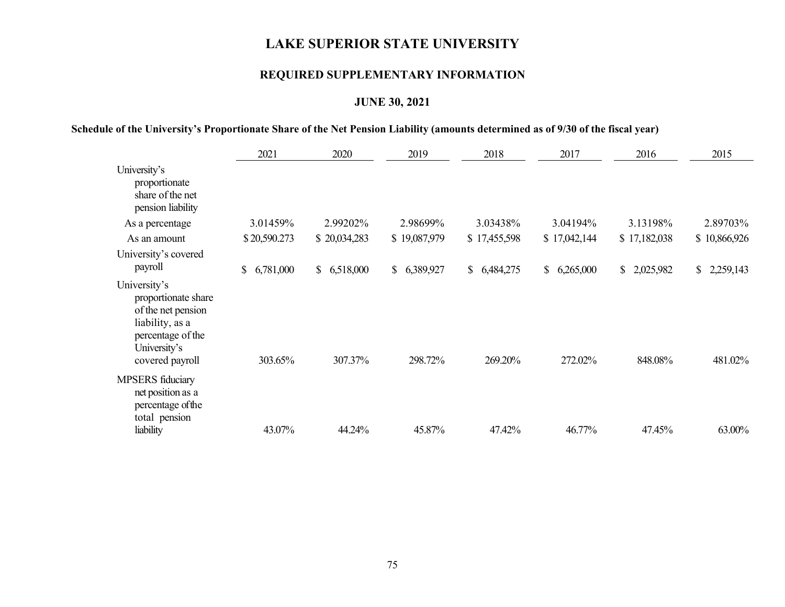## **REQUIRED SUPPLEMENTARY INFORMATION**

## **JUNE 30, 2021**

### **Schedule of the University's Proportionate Share of the Net Pension Liability (amounts determined as of 9/30 of the fiscal year)**

|                                                                                                                                      | 2021                      | 2020         | 2019                      | 2018         | 2017            | 2016         | 2015         |
|--------------------------------------------------------------------------------------------------------------------------------------|---------------------------|--------------|---------------------------|--------------|-----------------|--------------|--------------|
| University's<br>proportionate<br>share of the net<br>pension liability                                                               |                           |              |                           |              |                 |              |              |
| As a percentage                                                                                                                      | 3.01459%                  | 2.99202%     | 2.98699%                  | 3.03438%     | 3.04194%        | 3.13198%     | 2.89703%     |
| As an amount                                                                                                                         | \$20,590.273              | \$20,034,283 | \$19,087,979              | \$17,455,598 | \$17,042,144    | \$17,182,038 | \$10,866,926 |
| University's covered<br>payroll                                                                                                      | 6,781,000<br>$\mathbb{S}$ | \$6,518,000  | 6,389,927<br>$\mathbb{S}$ | \$6,484,275  | 6,265,000<br>\$ | \$2,025,982  | \$2,259,143  |
| University's<br>proportionate share<br>of the net pension<br>liability, as a<br>percentage of the<br>University's<br>covered payroll | 303.65%                   | 307.37%      | 298.72%                   | 269.20%      | 272.02%         | 848.08%      | 481.02%      |
| <b>MPSERS</b> fiduciary<br>net position as a<br>percentage of the<br>total pension                                                   |                           |              |                           |              |                 |              |              |
| liability                                                                                                                            | 43.07%                    | 44.24%       | 45.87%                    | 47.42%       | 46.77%          | 47.45%       | 63.00%       |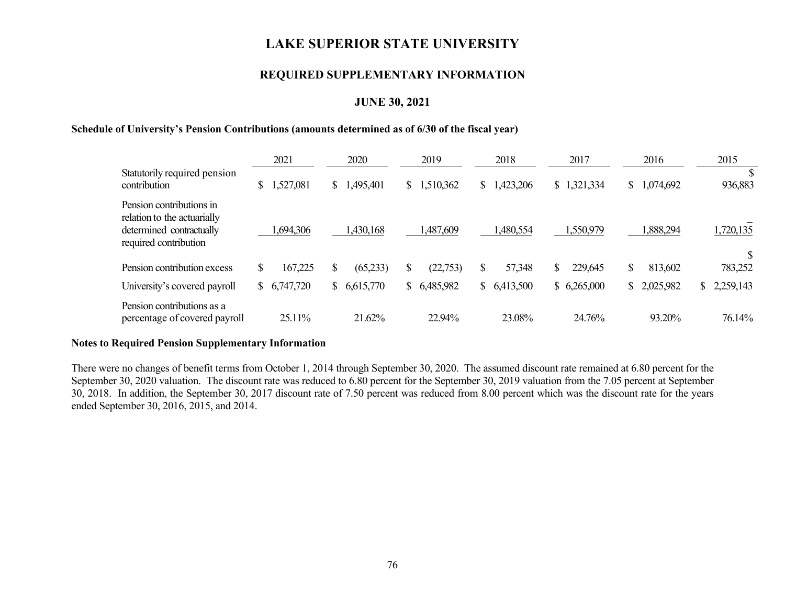### **REQUIRED SUPPLEMENTARY INFORMATION**

### **JUNE 30, 2021**

#### **Schedule of University's Pension Contributions (amounts determined as of 6/30 of the fiscal year)**

|                                                                                                              | 2021           |    | 2020      |                | 2019      | 2018            |    | 2017        |                | 2016        | 2015            |
|--------------------------------------------------------------------------------------------------------------|----------------|----|-----------|----------------|-----------|-----------------|----|-------------|----------------|-------------|-----------------|
| Statutorily required pension<br>contribution                                                                 | \$<br>,527,081 | S. | 1,495,401 | $\mathbb{S}^-$ | 1,510,362 | \$<br>,423,206  | \$ | 1,321,334   | $\mathbb{S}^-$ | 1,074,692   | 936,883         |
| Pension contributions in<br>relation to the actuarially<br>determined contractually<br>required contribution | ,694,306       |    | ,430,168  |                | 1,487,609 | ,480,554        |    | 1,550,979   |                | .888,294    | 1,720,135       |
| Pension contribution excess                                                                                  | \$<br>167,225  |    | (65,233)  | \$             | (22, 753) | \$<br>57,348    | S  | 229,645     | \$             | 813,602     | 783,252         |
| University's covered payroll                                                                                 | \$6,747,720    | S. | 6,615,770 | S.             | 6,485,982 | \$<br>6,413,500 |    | \$6,265,000 |                | \$2,025,982 | \$<br>2,259,143 |
| Pension contributions as a<br>percentage of covered payroll                                                  | 25.11%         |    | 21.62%    |                | 22.94%    | 23.08%          |    | 24.76%      |                | 93.20%      | 76.14%          |

#### **Notes to Required Pension Supplementary Information**

There were no changes of benefit terms from October 1, 2014 through September 30, 2020. The assumed discount rate remained at 6.80 percent for the September 30, 2020 valuation. The discount rate was reduced to 6.80 percent for the September 30, 2019 valuation from the 7.05 percent at September 30, 2018. In addition, the September 30, 2017 discount rate of 7.50 percent was reduced from 8.00 percent which was the discount rate for the years ended September 30, 2016, 2015, and 2014.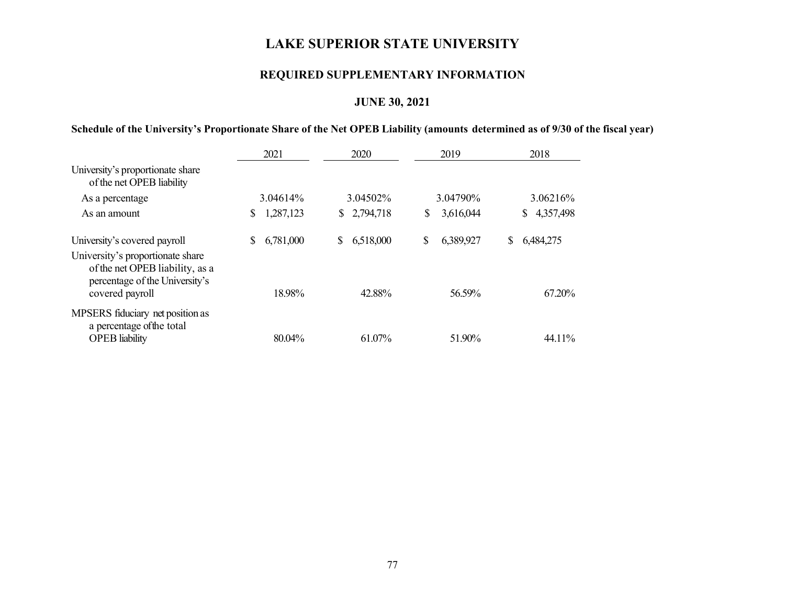## **REQUIRED SUPPLEMENTARY INFORMATION**

## **JUNE 30, 2021**

### **Schedule of the University's Proportionate Share of the Net OPEB Liability (amounts determined as of 9/30 of the fiscal year)**

|                                                                                                                          | 2021            |                 | 2019            | 2018            |
|--------------------------------------------------------------------------------------------------------------------------|-----------------|-----------------|-----------------|-----------------|
| University's proportionate share<br>of the net OPEB liability                                                            |                 |                 |                 |                 |
| As a percentage                                                                                                          | 3.04614%        | 3.04502%        | 3.04790\%       | 3.06216%        |
| As an amount                                                                                                             | 1,287,123<br>\$ | \$2,794,718     | \$<br>3,616,044 | 4,357,498<br>S. |
| University's covered payroll                                                                                             | 6,781,000<br>S  | \$<br>6,518,000 | \$<br>6,389,927 | S<br>6,484,275  |
| University's proportionate share<br>of the net OPEB liability, as a<br>percentage of the University's<br>covered payroll | 18.98%          | 42.88%          | 56.59%          | 67.20%          |
| MPSERS fiduciary net position as<br>a percentage of the total                                                            |                 |                 |                 |                 |
| <b>OPEB</b> liability                                                                                                    | 80.04%          | 61.07%          | 51.90%          | 44.11%          |